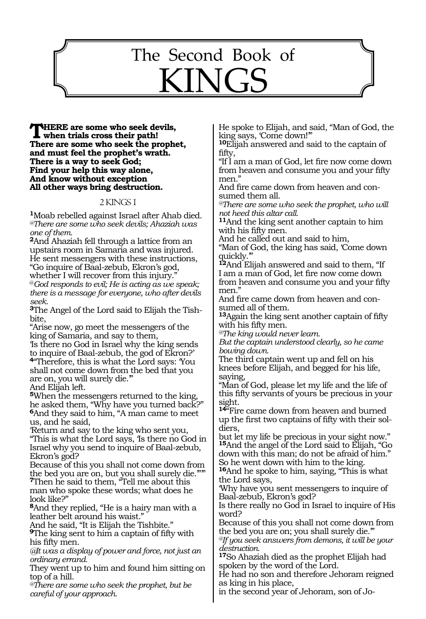# The Second Book of KINGS

469

**THERE are some who seek devils,**<br> **When trials cross their path!**<br> **There are some who seek the weaks There are some who seek the prophet, and must feel the prophet's wrath. There is a way to seek God; Find your help this way alone, And know without exception All other ways bring destruction.** 

#### 2 KINGS 1

**<sup>1</sup>**Moab rebelled against Israel after Ahab died. *@There are some who seek devils; Ahaziah was one of them.* 

**<sup>2</sup>**And Ahaziah fell through a lattice from an upstairs room in Samaria and was injured. He sent messengers with these instructions, "Go inquire of Baal-zebub, Ekron's god,

whether I will recover from this injury."

@*God responds to evil; He is acting as we speak; there is a message for everyone, who after devils seek.* 

**3**The Angel of the Lord said to Elijah the Tishbite,

"Arise now, go meet the messengers of the king of Samaria, and say to them,

'Is there no God in Israel why the king sends to inquire of Baal-zebub, the god of Ekron?' **<sup>4</sup>**"Therefore, this is what the Lord says: 'You

shall not come down from the bed that you are on, you will surely die.'"

And Elijah left.

**<sup>5</sup>**When the messengers returned to the king, he asked them, "Why have you turned back?" **<sup>6</sup>**And they said to him, "A man came to meet us, and he said,

'Return and say to the king who sent you, "This is what the Lord says, 'Is there no God in Israel why you send to inquire of Baal-zebub, Ekron's god?

Because of this you shall not come down from the bed you are on, but you shall surely die.""

**<sup>7</sup>**Then he said to them, "Tell me about this man who spoke these words; what does he look like?"

**<sup>8</sup>**And they replied, "He is a hairy man with a leather belt around his waist."

And he said, "It is Elijah the Tishbite."

**<sup>9</sup>**The king sent to him a captain of fifty with his fifty men.

*@It was a display of power and force, not just an ordinary errand.*

They went up to him and found him sitting on top of a hill.

*@There are some who seek the prophet, but be careful of your approach*.

He spoke to Elijah, and said, "Man of God, the king says, 'Come down!'"

**<sup>10</sup>**Elijah answered and said to the captain of fifty,

"If I am a man of God, let fire now come down from heaven and consume you and your fifty men."

And fire came down from heaven and consumed them all.

*@There are some who seek the prophet, who will not heed this altar call.* 

**<sup>11</sup>**And the king sent another captain to him with his fifty men.

And he called out and said to him,

"Man of God, the king has said, 'Come down quickly."

**<sup>12</sup>**And Elijah answered and said to them, "If I am a man of God, let fire now come down from heaven and consume you and your fifty men."

And fire came down from heaven and consumed all of them.

**<sup>13</sup>**Again the king sent another captain of fifty with his fifty men.

*@The king would never learn.* 

*But the captain understood clearly, so he came bowing down.* 

The third captain went up and fell on his knees before Elijah, and begged for his life, saying,

"Man of God, please let my life and the life of this fifty servants of yours be precious in your sight.

**<sup>14</sup>**"Fire came down from heaven and burned up the first two captains of fifty with their soldiers,

but let my life be precious in your sight now." **<sup>15</sup>**And the angel of the Lord said to Elijah, "Go down with this man; do not be afraid of him." So he went down with him to the king.

**<sup>16</sup>**And he spoke to him, saying, "This is what the Lord says,

'Why have you sent messengers to inquire of Baal-zebub, Ekron's god?

Is there really no God in Israel to inquire of His word?

Because of this you shall not come down from the bed you are on; you shall surely die.'"

*@If you seek answers from demons, it will be your destruction.*

**<sup>17</sup>**So Ahaziah died as the prophet Elijah had spoken by the word of the Lord.

He had no son and therefore Jehoram reigned as king in his place,

in the second year of Jehoram, son of Jo-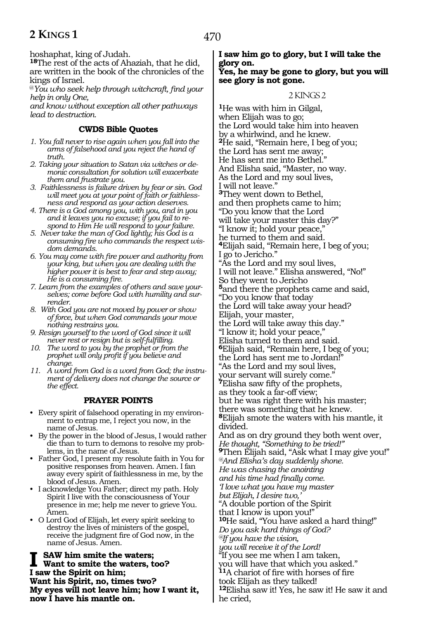hoshaphat, king of Judah.

**<sup>18</sup>**The rest of the acts of Ahaziah, that he did, are written in the book of the chronicles of the kings of Israel.

@*You who seek help through witchcraft, find your help in only One,* 

*and know without exception all other pathways lead to destruction.*

# **CWDS Bible Quotes**

- *1. You fall never to rise again when you fall into the arms of falsehood and you reject the hand of truth.*
- *2. Taking your situation to Satan via witches or demonic consultation for solution will exacerbate them and frustrate you.*
- *3. Faithlessness is failure driven by fear or sin. God will meet you at your point of faith or faithlessness and respond as your action deserves.*
- *4. There is a God among you, with you, and in you and it leaves you no excuse; if you fail to respond to Him He will respond to your failure.*
- *5. Never take the man of God lightly; his God is a consuming fire who commands the respect wisdom demands.*
- *6. You may come with fire power and authority from your king, but when you are dealing with the higher power it is best to fear and step away; He is a consuming fire.*
- *7. Learn from the examples of others and save yourselves; come before God with humility and surrender.*
- *8. With God you are not moved by power or show of force, but when God commands your move nothing restrains you.*
- *9. Resign yourself to the word of God since it will never rest or resign but is self-fulfilling.*
- *10. The word to you by the prophet or from the prophet will only profit if you believe and change.*
- *11. A word from God is a word from God; the instrument of delivery does not change the source or the effect.*

# **PRAYER POINTS**

- Every spirit of falsehood operating in my environment to entrap me, I reject you now, in the name of Jesus.
- By the power in the blood of Jesus, I would rather die than to turn to demons to resolve my problems, in the name of Jesus.
- Father God, I present my resolute faith in You for positive responses from heaven. Amen. I fan away every spirit of faithlessness in me, by the blood of Jesus. Amen.
- I acknowledge You Father; direct my path. Holy Spirit I live with the consciousness of Your presence in me; help me never to grieve You. Amen.
- O Lord God of Elijah, let every spirit seeking to destroy the lives of ministers of the gospel, receive the judgment fire of God now, in the name of Jesus. Amen.

**I** SAW him smite the waters;<br>Want to smite the waters, too? **I saw the Spirit on him; Want his Spirit, no, times two? My eyes will not leave him; how I want it, now I have his mantle on.**

# **I saw him go to glory, but I will take the glory on.**

# **Yes, he may be gone to glory, but you will see glory is not gone.**

# 2 KINGS 2

**<sup>1</sup>**He was with him in Gilgal, when Elijah was to go; the Lord would take him into heaven by a whirlwind, and he knew. **<sup>2</sup>**He said, "Remain here, I beg of you; the Lord has sent me away; He has sent me into Bethel." And Elisha said, "Master, no way. As the Lord and my soul lives, I will not leave." **<sup>3</sup>**They went down to Bethel, and then prophets came to him; "Do you know that the Lord will take your master this day?" "I know it; hold your peace," he turned to them and said. **<sup>4</sup>**Elijah said, "Remain here, I beg of you; I go to Jericho." "As the Lord and my soul lives, I will not leave." Elisha answered, "No!" So they went to Jericho **<sup>5</sup>**and there the prophets came and said, "Do you know that today the Lord will take away your head? Elijah, your master, the Lord will take away this day." "I know it; hold your peace," Elisha turned to them and said. **<sup>6</sup>**Elijah said, "Remain here, I beg of you; the Lord has sent me to Jordan!" "As the Lord and my soul lives, your servant will surely come." **<sup>7</sup>**Elisha saw fifty of the prophets, as they took a far-off view; but he was right there with his master; there was something that he knew. **<sup>8</sup>**Elijah smote the waters with his mantle, it divided. And as on dry ground they both went over, *He thought, "Something to be tried!"*  **<sup>9</sup>**Then Elijah said, "Ask what I may give you!" *@And Elisha's day suddenly shone. He was chasing the anointing and his time had finally come. 'I love what you have my master but Elijah, I desire two,'* "A double portion of the Spirit that I know is upon you!" **<sup>10</sup>**He said, "You have asked a hard thing!" *Do you ask hard things of God? @If you have the vision, you will receive it of the Lord!* "If you see me when I am taken, you will have that which you asked." **<sup>11</sup>**A chariot of fire with horses of fire took Elijah as they talked! **<sup>12</sup>**Elisha saw it! Yes, he saw it! He saw it and he cried,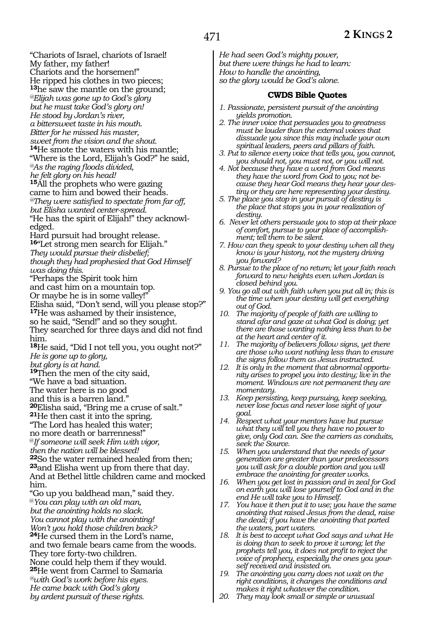"Chariots of Israel, chariots of Israel!

My father, my father!

Chariots and the horsemen!" He ripped his clothes in two pieces;

**<sup>13</sup>**he saw the mantle on the ground;

*@Elijah was gone up to God's glory*

*but he must take God's glory on!*

*He stood by Jordan's river,*

*a bittersweet taste in his mouth.*

*Bitter for he missed his master,*

*sweet from the vision and the shout.*

**<sup>14</sup>**He smote the waters with his mantle;

"Where is the Lord, Elijah's God?" he said,

*@As the raging floods divided,* 

*he felt glory on his head!* 

**<sup>15</sup>**All the prophets who were gazing came to him and bowed their heads. *@They were satisfied to spectate from far off,*

*but Elisha wanted center-spread.*  "He has the spirit of Elijah!" they acknowl-

edged.

Hard pursuit had brought release.

**<sup>16</sup>**"Let strong men search for Elijah."

*They would pursue their disbelief;*

*though they had prophesied that God Himself was doing this.* 

"Perhaps the Spirit took him

and cast him on a mountain top.

Or maybe he is in some valley!"

Elisha said, "Don't send, will you please stop?" **<sup>17</sup>**He was ashamed by their insistence,

so he said, "Send!" and so they sought.

They searched for three days and did not find him.

**<sup>18</sup>**He said, "Did I not tell you, you ought not?" *He is gone up to glory,* 

*but glory is at hand.*

**<sup>19</sup>**Then the men of the city said,

"We have a bad situation.

The water here is no good

and this is a barren land."

**<sup>20</sup>**Elisha said, "Bring me a cruse of salt." **<sup>21</sup>**He then cast it into the spring.

"The Lord has healed this water;

no more death or barrenness!"

@*If someone will seek Him with vigor,* 

*then the nation will be blessed!* 

**<sup>22</sup>**So the water remained healed from then; **<sup>23</sup>**and Elisha went up from there that day.

And at Bethel little children came and mocked him.

"Go up you baldhead man," said they.

@*You can play with an old man,* 

*but the anointing holds no slack.* 

*You cannot play with the anointing!* 

*Won't you hold those children back?*  **<sup>24</sup>**He cursed them in the Lord's name,

and two female bears came from the woods.

They tore forty-two children.

None could help them if they would.

**<sup>25</sup>**He went from Carmel to Samaria

*@with God's work before his eyes. He came back with God's glory*

*by ardent pursuit of these rights.*

*He had seen God's mighty power, but there were things he had to learn: How to handle the anointing, so the glory would be God's alone.*

# **CWDS Bible Quotes**

- *1. Passionate, persistent pursuit of the anointing yields promotion.*
- *2. The inner voice that persuades you to greatness must be louder than the external voices that dissuade you since this may include your own spiritual leaders, peers and pillars of faith.*
- *3. Put to silence every voice that tells you, you cannot, you should not, you must not, or you will not.*
- *4. Not because they have a word from God means they have the word from God to you; not because they hear God means they hear your destiny or they are here representing your destiny.*
- *5. The place you stop in your pursuit of destiny is the place that stops you in your realization of destiny.*
- *6. Never let others persuade you to stop at their place of comfort, pursue to your place of accomplishment; tell them to be silent.*
- *7. How can they speak to your destiny when all they know is your history, not the mystery driving you forward?*
- *8. Pursue to the place of no return; let your faith reach forward to new heights even when Jordan is closed behind you.*
- *9. You go all out with faith when you put all in; this is the time when your destiny will get everything out of God.*
- *10. The majority of people of faith are willing to stand afar and gaze at what God is doing; yet there are those wanting nothing less than to be at the heart and center of it.*
- *11. The majority of believers follow signs, yet there are those who want nothing less than to ensure the signs follow them as Jesus instructed.*
- *12. It is only in the moment that abnormal opportunity arises to propel you into destiny; live in the moment. Windows are not permanent they are momentary.*
- *13. Keep persisting, keep pursuing, keep seeking, never lose focus and never lose sight of your goal.*
- *14. Respect what your mentors have but pursue what they will tell you they have no power to give, only God can. See the carriers as conduits, seek the Source.*
- *15. When you understand that the needs of your generation are greater than your predecessors you will ask for a double portion and you will embrace the anointing for greater works.*
- *16. When you get lost in passion and in zeal for God on earth you will lose yourself to God and in the end He will take you to Himself.*
- *17. You have it then put it to use; you have the same anointing that raised Jesus from the dead, raise the dead; if you have the anointing that parted the waters, part waters.*
- *18. It is best to accept what God says and what He is doing than to seek to prove it wrong; let the prophets tell you, it does not profit to reject the voice of prophecy, especially the ones you yourself received and insisted on.*
- *19. The anointing you carry does not wait on the right conditions, it changes the conditions and makes it right whatever the condition.*
- *20. They may look small or simple or unusual*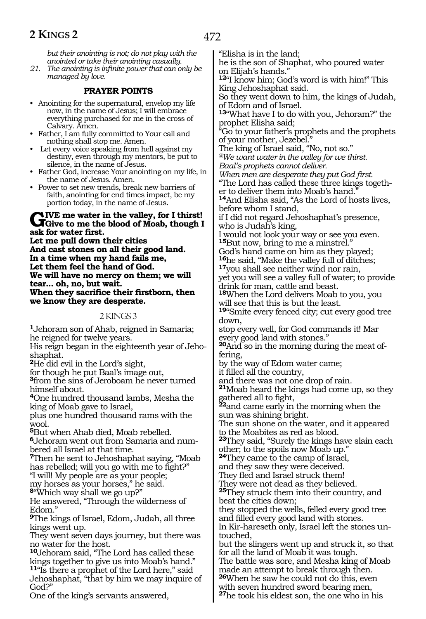472

*but their anointing is not; do not play with the anointed or take their anointing casually.* 

*21. The anointing is infinite power that can only be managed by love.*

#### **PRAYER POINTS**

- Anointing for the supernatural, envelop my life now, in the name of Jesus; I will embrace everything purchased for me in the cross of Calvary. Amen.
- Father, I am fully committed to Your call and nothing shall stop me. Amen.
- Let every voice speaking from hell against my destiny, even through my mentors, be put to silence, in the name of Jesus.
- Father God, increase Your anointing on my life, in the name of Jesus. Amen.
- Power to set new trends, break new barriers of faith, anointing for end times impact, be my portion today, in the name of Jesus.

# GIVE me water in the valley, for I thirst!<br>Give to me the blood of Moab, though I **ask for water first.**

**Let me pull down their cities And cast stones on all their good land. In a time when my hand fails me, Let them feel the hand of God. We will have no mercy on them; we will tear... oh, no, but wait. When they sacrifice their firstborn, then** 

**we know they are desperate.**

#### 2 KINGS 3

**<sup>1</sup>**Jehoram son of Ahab, reigned in Samaria; he reigned for twelve years.

His reign began in the eighteenth year of Jehoshaphat.

**<sup>2</sup>**He did evil in the Lord's sight,

for though he put Baal's image out,

**<sup>3</sup>**from the sins of Jeroboam he never turned himself about.

**<sup>4</sup>**One hundred thousand lambs, Mesha the king of Moab gave to Israel,

plus one hundred thousand rams with the wool.

**<sup>5</sup>**But when Ahab died, Moab rebelled.

**6**Jehoram went out from Samaria and numbered all Israel at that time.

**<sup>7</sup>**Then he sent to Jehoshaphat saying, "Moab has rebelled; will you go with me to fight?"

"I will! My people are as your people; my horses as your horses," he said.

**<sup>8</sup>**"Which way shall we go up?"

He answered, "Through the wilderness of Edom."

**<sup>9</sup>**The kings of Israel, Edom, Judah, all three kings went up.

They went seven days journey, but there was no water for the host.

**<sup>10</sup>**Jehoram said, "The Lord has called these kings together to give us into Moab's hand."

**<sup>11</sup>**"Is there a prophet of the Lord here," said Jehoshaphat, "that by him we may inquire of God?"

One of the king's servants answered,

"Elisha is in the land; he is the son of Shaphat, who poured water on Elijah's hands." **<sup>12</sup>**"I know him; God's word is with him!" This King Jehoshaphat said. So they went down to him, the kings of Judah, of Edom and of Israel. **<sup>13</sup>**"What have I to do with you, Jehoram?" the prophet Elisha said;

"Go to your father's prophets and the prophets of your mother, Jezebel."

The king of Israel said, "No, not so."

*@We want water in the valley for we thirst. Baal's prophets cannot deliver.*

*When men are desperate they put God first.*

"The Lord has called these three kings together to deliver them into Moab's hand.

**<sup>14</sup>**And Elisha said, "As the Lord of hosts lives, before whom I stand,

if I did not regard Jehoshaphat's presence, who is Judah's king,

I would not look your way or see you even. **<sup>15</sup>**But now, bring to me a minstrel."

God's hand came on him as they played;

**<sup>16</sup>**he said, "Make the valley full of ditches; **17**you shall see neither wind nor rain,

yet you will see a valley full of water; to provide drink for man, cattle and beast.

**<sup>18</sup>**When the Lord delivers Moab to you, you will see that this is but the least.

**<sup>19</sup>**"Smite every fenced city; cut every good tree down,

stop every well, for God commands it! Mar every good land with stones."

**20**And so in the morning during the meat offering,

by the way of Edom water came;

it filled all the country,

and there was not one drop of rain.

**<sup>21</sup>**Moab heard the kings had come up, so they gathered all to fight,

**<sup>22</sup>**and came early in the morning when the sun was shining bright.

The sun shone on the water, and it appeared to the Moabites as red as blood.

**<sup>23</sup>**They said, "Surely the kings have slain each other; to the spoils now Moab up."

**<sup>24</sup>**They came to the camp of Israel,

and they saw they were deceived.

They fled and Israel struck them!

They were not dead as they believed.

**<sup>25</sup>**They struck them into their country, and beat the cities down;

they stopped the wells, felled every good tree and filled every good land with stones. In Kir-hareseth only, Israel left the stones un-

touched, but the slingers went up and struck it, so that

for all the land of Moab it was tough. The battle was sore, and Mesha king of Moab made an attempt to break through then. **<sup>26</sup>**When he saw he could not do this, even with seven hundred sword bearing men,

**<sup>27</sup>**he took his eldest son, the one who in his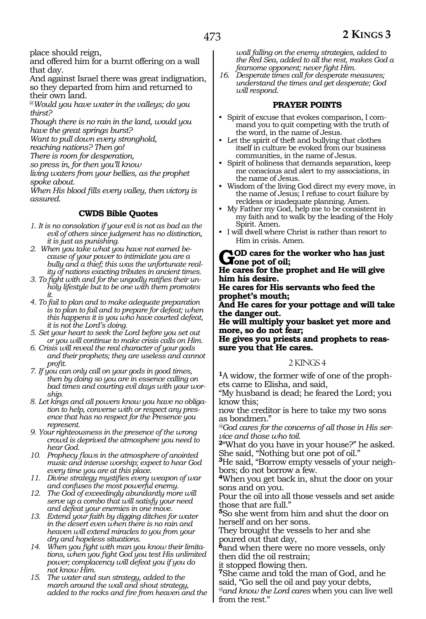place should reign,

and offered him for a burnt offering on a wall that day.

And against Israel there was great indignation, so they departed from him and returned to their own land.

@*Would you have water in the valleys; do you thirst?*

*Though there is no rain in the land, would you have the great springs burst?*

*Want to pull down every stronghold,*

*reaching nations? Then go!*

*There is room for desperation,*

*so press in, for then you'll know*

*living waters from your bellies, as the prophet spoke about.*

*When His blood fills every valley, then victory is assured.* 

## **CWDS Bible Quotes**

- *1. It is no consolation if your evil is not as bad as the evil of others since judgment has no distinction, it is just as punishing.*
- *2. When you take what you have not earned because of your power to intimidate you are a bully and a thief; this was the unfortunate reality of nations exacting tributes in ancient times.*
- *3. To fight with and for the ungodly ratifies their unholy lifestyle but to be one with them promotes it.*
- *4. To fail to plan and to make adequate preparation is to plan to fail and to prepare for defeat; when this happens it is you who have courted defeat, it is not the Lord's doing.*
- *5. Set your heart to seek the Lord before you set out or you will continue to make crisis calls on Him.*
- *6. Crisis will reveal the real character of your gods and their prophets; they are useless and cannot profit.*
- *7. If you can only call on your gods in good times, then by doing so you are in essence calling on bad times and courting evil days with your worship.*
- *8. Let kings and all powers know you have no obligation to help, converse with or respect any presence that has no respect for the Presence you represent.*
- *9. Your righteousness in the presence of the wrong crowd is deprived the atmosphere you need to hear God.*
- *10. Prophecy flows in the atmosphere of anointed music and intense worship; expect to hear God every time you are at this place.*
- *11. Divine strategy mystifies every weapon of war and confuses the most powerful enemy.*
- *12. The God of exceedingly abundantly more will serve up a combo that will satisfy your need and defeat your enemies in one move.*
- *13. Extend your faith by digging ditches for water in the desert even when there is no rain and heaven will extend miracles to you from your dry and hopeless situations.*
- *14. When you fight with man you know their limitations, when you fight God you test His unlimited power; complacency will defeat you if you do not know Him.*
- *15. The water and sun strategy, added to the march around the wall and shout strategy, added to the rocks and fire from heaven and the*

*wall falling on the enemy strategies, added to the Red Sea, added to all the rest, makes God a fearsome opponent; never fight Him.*

*16. Desperate times call for desperate measures; understand the times and get desperate; God will respond.*

# **PRAYER POINTS**

- Spirit of excuse that evokes comparison, I command you to quit competing with the truth of the word, in the name of Jesus.
- Let the spirit of theft and bullying that clothes itself in culture be evoked from our business communities, in the name of Jesus.
- Spirit of holiness that demands separation, keep me conscious and alert to my associations, in the name of Jesus.
- Wisdom of the living God direct my every move, in the name of Jesus; I refuse to court failure by reckless or inadequate planning. Amen.
- My Father my God, help me to be consistent in my faith and to walk by the leading of the Holy Spirit. Amen.
- I will dwell where Christ is rather than resort to Him in crisis. Amen.

#### **God cares for the worker who has just Jone pot of oil;**

**He cares for the prophet and He will give him his desire.**

**He cares for His servants who feed the prophet's mouth;** 

**And He cares for your pottage and will take the danger out.**

**He will multiply your basket yet more and more, so do not fear;**

**He gives you priests and prophets to reas- sure you that He cares.**

#### 2 KINGS 4

**1**A widow, the former wife of one of the prophets came to Elisha, and said,

"My husband is dead; he feared the Lord; you know this;

now the creditor is here to take my two sons as bondmen."

*@God cares for the concerns of all those in His service and those who toil.*

**<sup>2</sup>**"What do you have in your house?" he asked. She said, "Nothing but one pot of oil."

**3**He said, "Borrow empty vessels of your neighbors; do not borrow a few.

**<sup>4</sup>**When you get back in, shut the door on your sons and on you.

Pour the oil into all those vessels and set aside those that are full."

**<sup>5</sup>**So she went from him and shut the door on herself and on her sons.

They brought the vessels to her and she poured out that day,

**<sup>6</sup>**and when there were no more vessels, only then did the oil restrain;

it stopped flowing then.

**<sup>7</sup>**She came and told the man of God, and he said, "Go sell the oil and pay your debts, *@and know the Lord cares* when you can live well from the rest."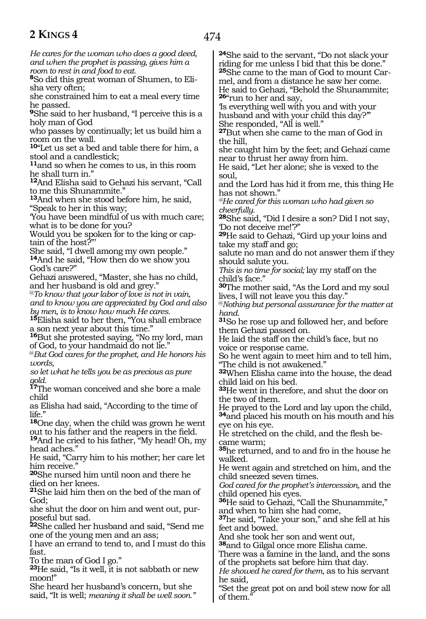474

*He cares for the woman who does a good deed, and when the prophet is passing, gives him a room to rest in and food to eat.*

**8**So did this great woman of Shumen, to Elisha very often;

she constrained him to eat a meal every time he passed.

**<sup>9</sup>**She said to her husband, "I perceive this is a holy man of God

who passes by continually; let us build him a room on the wall.

**<sup>10</sup>**"Let us set a bed and table there for him, a stool and a candlestick;

**<sup>11</sup>**and so when he comes to us, in this room he shall turn in."

**<sup>12</sup>**And Elisha said to Gehazi his servant, "Call to me this Shunammite."

**<sup>13</sup>**And when she stood before him, he said, "Speak to her in this way;

'You have been mindful of us with much care; what is to be done for you?

Would you be spoken for to the king or captain of the host?"'

She said, "I dwell among my own people." **<sup>14</sup>**And he said, "How then do we show you God's care?"

Gehazi answered, "Master, she has no child, and her husband is old and grey."

@*To know that your labor of love is not in vain, and to know you are appreciated by God and also by men, is to know how much He cares.*

**<sup>15</sup>**Elisha said to her then, "You shall embrace a son next year about this time.'

**<sup>16</sup>**But she protested saying, "No my lord, man of God, to your handmaid do not lie."

@*But God cares for the prophet, and He honors his words,*

*so let what he tells you be as precious as pure gold.*

**<sup>17</sup>**The woman conceived and she bore a male child

as Elisha had said, "According to the time of life."

**<sup>18</sup>**One day, when the child was grown he went out to his father and the reapers in the field.

**<sup>19</sup>**And he cried to his father, "My head! Oh, my head aches."

He said, "Carry him to his mother; her care let him receive."

**<sup>20</sup>**She nursed him until noon and there he died on her knees.

**<sup>21</sup>**She laid him then on the bed of the man of God;

she shut the door on him and went out, purposeful but sad.

**<sup>22</sup>**She called her husband and said, "Send me one of the young men and an ass;

I have an errand to tend to, and I must do this fast.

To the man of God I go."

**<sup>23</sup>**He said, "Is it well, it is not sabbath or new moon!"

She heard her husband's concern, but she said, "It is well; *meaning it shall be well soon."* **<sup>24</sup>**She said to the servant, "Do not slack your riding for me unless I bid that this be done." **<sup>25</sup>**She came to the man of God to mount Car- mel, and from a distance he saw her come. He said to Gehazi, "Behold the Shunammite; **<sup>26</sup>**"run to her and say,

'Is everything well with you and with your husband and with your child this day?'" She responded, "All is well."

**<sup>27</sup>**But when she came to the man of God in the hill,

she caught him by the feet; and Gehazi came near to thrust her away from him.

He said, "Let her alone; she is vexed to the soul,

and the Lord has hid it from me, this thing He has not shown."

*@He cared for this woman who had given so cheerfully.*

**<sup>28</sup>**She said, "Did I desire a son? Did I not say, 'Do not deceive me!'?"

**<sup>29</sup>**He said to Gehazi, "Gird up your loins and take my staff and go;

salute no man and do not answer them if they should salute you.

*This is no time for social;* lay my staff on the child's face."

**<sup>30</sup>**The mother said, "As the Lord and my soul lives, I will not leave you this day."

@*Nothing but personal assurance for the matter at hand.*

**<sup>31</sup>**So he rose up and followed her, and before them Gehazi passed on.

He laid the staff on the child's face, but no voice or response came.

So he went again to meet him and to tell him, "The child is not awakened."

**<sup>32</sup>**When Elisha came into the house, the dead child laid on his bed.

**<sup>33</sup>**He went in therefore, and shut the door on the two of them.

He prayed to the Lord and lay upon the child, **<sup>34</sup>**and placed his mouth on his mouth and his eye on his eye.

He stretched on the child, and the flesh be- came warm;

**<sup>35</sup>**he returned, and to and fro in the house he walked.

He went again and stretched on him, and the child sneezed seven times.

*God cared for the prophet's intercession,* and the child opened his eyes.

**<sup>36</sup>**He said to Gehazi, "Call the Shunammite," and when to him she had come,

**<sup>37</sup>**he said, "Take your son," and she fell at his feet and bowed.

And she took her son and went out,

**<sup>38</sup>**and to Gilgal once more Elisha came.

There was a famine in the land, and the sons of the prophets sat before him that day.

*He showed he cared for them*, as to his servant he said,

"Set the great pot on and boil stew now for all of them.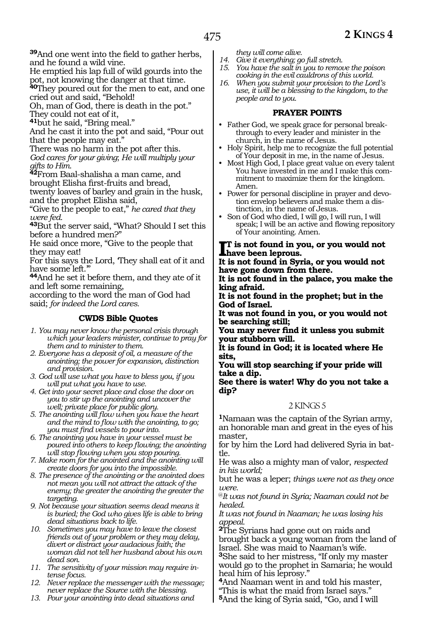**<sup>39</sup>**And one went into the field to gather herbs, and he found a wild vine.

He emptied his lap full of wild gourds into the pot, not knowing the danger at that time.

**<sup>40</sup>**They poured out for the men to eat, and one cried out and said, "Behold!

Oh, man of God, there is death in the pot." They could not eat of it,

**<sup>41</sup>**but he said, "Bring meal."

And he cast it into the pot and said, "Pour out that the people may eat."

There was no harm in the pot after this. *God cares for your giving*; *He will multiply your gifts to Him.*

**<sup>42</sup>**From Baal-shalisha a man came, and brought Elisha first-fruits and bread,

twenty loaves of barley and grain in the husk, and the prophet Elisha said,

"Give to the people to eat," *he cared that they* 

*were fed.* **<sup>43</sup>**But the server said, "What? Should I set this before a hundred men?"

He said once more, "Give to the people that they may eat!

For this says the Lord, 'They shall eat of it and have some left."

**<sup>44</sup>**And he set it before them, and they ate of it and left some remaining,

according to the word the man of God had said; *for indeed the Lord cares.*

## **CWDS Bible Quotes**

*1. You may never know the personal crisis through which your leaders minister, continue to pray for them and to minister to them.*

*2. Everyone has a deposit of oil, a measure of the anointing; the power for expansion, distinction and provision.*

*3. God will use what you have to bless you, if you will put what you have to use.*

*4. Get into your secret place and close the door on you to stir up the anointing and uncover the well; private place for public glory.*

*5. The anointing will flow when you have the heart and the mind to flow with the anointing, to go; you must find vessels to pour into.*

*6. The anointing you have in your vessel must be poured into others to keep flowing; the anointing will stop flowing when you stop pouring.*

*7. Make room for the anointed and the anointing will create doors for you into the impossible.*

*8. The presence of the anointing or the anointed does not mean you will not attract the attack of the enemy; the greater the anointing the greater the targeting.*

*9. Not because your situation seems dead means it is buried; the God who gives life is able to bring dead situations back to life.*

*10. Sometimes you may have to leave the closest friends out of your problem or they may delay, divert or distract your audacious faith; the woman did not tell her husband about his own dead son.*

*11. The sensitivity of your mission may require intense focus.*

*12. Never replace the messenger with the message; never replace the Source with the blessing.*

*13. Pour your anointing into dead situations and* 

*they will come alive.*

- *14. Give it everything; go full stretch.*
- *15. You have the salt in you to remove the poison cooking in the evil cauldrons of this world.*
- *16. When you submit your provision to the Lord's use, it will be a blessing to the kingdom, to the people and to you.*

#### **PRAYER POINTS**

- Father God, we speak grace for personal breakthrough to every leader and minister in the church, in the name of Jesus.
- Holy Spirit, help me to recognize the full potential of Your deposit in me, in the name of Jesus.
- Most High God, I place great value on every talent You have invested in me and I make this commitment to maximize them for the kingdom. Amen.
- Power for personal discipline in prayer and devotion envelop believers and make them a distinction, in the name of Jesus.
- Son of God who died, I will go, I will run, I will speak; I will be an active and flowing repository of Your anointing. Amen.

# **I** is not found in you, or you would not<br>have been leprous.<br>It is not found in Spring or you would not **have been leprous.**

**It is not found in Syria, or you would not have gone down from there.**

**It is not found in the palace, you make the king afraid.**

**It is not found in the prophet; but in the God of Israel.**

**It was not found in you, or you would not be searching still;**

**You may never find it unless you submit your stubborn will.**

**It is found in God; it is located where He sits,**

**You will stop searching if your pride will take a dip.**

**See there is water! Why do you not take a dip?**

#### 2 KINGS 5

**<sup>1</sup>**Namaan was the captain of the Syrian army, an honorable man and great in the eyes of his master,

for by him the Lord had delivered Syria in battle.

He was also a mighty man of valor, *respected in his world;*

but he was a leper; *things were not as they once were.* 

@*It was not found in Syria; Naaman could not be healed.*

*It was not found in Naaman; he was losing his appeal.*

**<sup>2</sup>**The Syrians had gone out on raids and brought back a young woman from the land of Israel. She was maid to Naaman's wife.

**<sup>3</sup>**She said to her mistress, "If only my master would go to the prophet in Samaria; he would heal him of his leprosy."

**<sup>4</sup>**And Naaman went in and told his master, "This is what the maid from Israel says."

**<sup>5</sup>**And the king of Syria said, "Go, and I will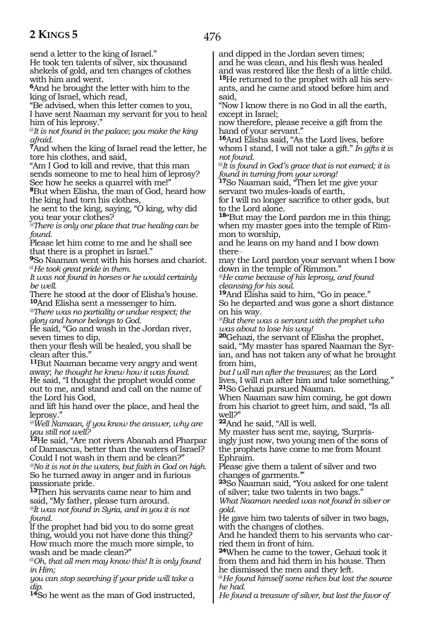476

send a letter to the king of Israel." He took ten talents of silver, six thousand shekels of gold, and ten changes of clothes

with him and went. **<sup>6</sup>**And he brought the letter with him to the

king of Israel, which read,

"Be advised, when this letter comes to you, I have sent Naaman my servant for you to heal him of his leprosy."

@*It is not found in the palace; you make the king* 

*afraid.* **<sup>7</sup>**And when the king of Israel read the letter, he tore his clothes, and said,

"Am I God to kill and revive, that this man sends someone to me to heal him of leprosy? See how he seeks a quarrel with me!"

**<sup>8</sup>**But when Elisha, the man of God, heard how the king had torn his clothes,

he sent to the king, saying, "O king, why did you tear your clothes?

*@There is only one place that true healing can be found.*

Please let him come to me and he shall see that there is a prophet in Israel."

**<sup>9</sup>**So Naaman went with his horses and chariot. @*He took great pride in them.* 

*It was not found in horses or he would certainly be well.*

There he stood at the door of Elisha's house. **<sup>10</sup>**And Elisha sent a messenger to him.

*@There was no partiality or undue respect; the glory and honor belongs to God.*

He said, "Go and wash in the Jordan river, seven times to dip,

then your flesh will be healed, you shall be clean after this."

**<sup>11</sup>**But Naaman became very angry and went away; *he thought he knew how it was found.* He said, "I thought the prophet would come out to me, and stand and call on the name of the Lord his God,

and lift his hand over the place, and heal the leprosy."

*@Well Namaan, if you know the answer, why are you still not well?*

**<sup>12</sup>**He said, "Are not rivers Abanah and Pharpar of Damascus, better than the waters of Israel? Could I not wash in them and be clean?" *@No it is not in the waters, but faith in God on high.* So he turned away in anger and in furious passionate pride.

**<sup>13</sup>**Then his servants came near to him and said, "My father, please turn around.

*@It was not found in Syria, and in you it is not found.*

If the prophet had bid you to do some great thing, would you not have done this thing? How much more the much more simple, to wash and be made clean?"

@*Oh, that all men may know this! It is only found in Him;*

*you can stop searching if your pride will take a dip.*

**<sup>14</sup>**So he went as the man of God instructed,

and dipped in the Jordan seven times; and he was clean, and his flesh was healed and was restored like the flesh of a little child. **15**He returned to the prophet with all his servants, and he came and stood before him and said,

"Now I know there is no God in all the earth, except in Israel;

now therefore, please receive a gift from the hand of your servant."

**<sup>16</sup>**And Elisha said, "As the Lord lives, before whom I stand, I will not take a gift." *In gifts it is not found.*

@*It is found in God's grace that is not earned; it is found in turning from your wrong!*

**<sup>17</sup>**So Naaman said, "Then let me give your servant two mules-loads of earth,

for I will no longer sacrifice to other gods, but to the Lord alone.

**<sup>18</sup>**"But may the Lord pardon me in this thing; when my master goes into the temple of Rimmon to worship,

and he leans on my hand and I bow down there\_\_

may the Lord pardon your servant when I bow down in the temple of Rimmon."

*@He came because of his leprosy, and found cleansing for his soul.*

**<sup>19</sup>**And Elisha said to him, "Go in peace." So he departed and was gone a short distance on his way.

*@But there was a servant with the prophet who was about to lose his way!*

**<sup>20</sup>**Gehazi, the servant of Elisha the prophet, said, "My master has spared Naaman the Syrian, and has not taken any of what he brought from him,

*but I will run after the treasures*; as the Lord lives, I will run after him and take something." **<sup>21</sup>**So Gehazi pursued Naaman.

When Naaman saw him coming, he got down from his chariot to greet him, and said, "Is all well?"

**<sup>22</sup>**And he said, "All is well.

My master has sent me, saying, 'Surprisingly just now, two young men of the sons of the prophets have come to me from Mount Ephraim.

Please give them a talent of silver and two changes of garments.'"

**<sup>23</sup>**So Naaman said, "You asked for one talent of silver; take two talents in two bags."

*What Naaman needed was not found in silver or gold.*

He gave him two talents of silver in two bags, with the changes of clothes.

And he handed them to his servants who carried them in front of him.

**<sup>24</sup>**When he came to the tower, Gehazi took it from them and hid them in his house. Then he dismissed the men and they left.

@*He found himself some riches but lost the source he had.*

*He found a treasure of silver, but lost the favor of*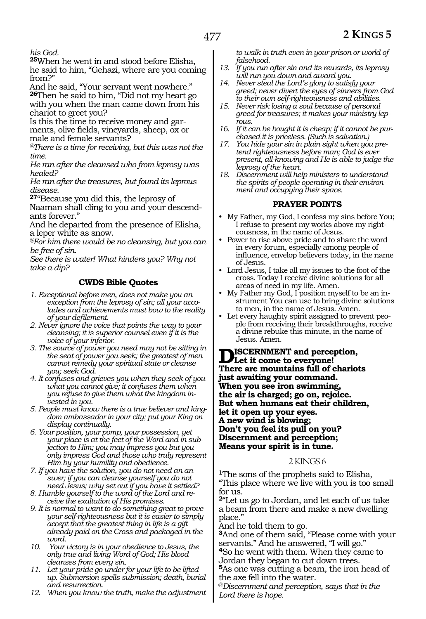*his God.*

**<sup>25</sup>**When he went in and stood before Elisha, he said to him, "Gehazi, where are you coming from?"

And he said, "Your servant went nowhere." **<sup>26</sup>**Then he said to him, "Did not my heart go with you when the man came down from his chariot to greet you?

Is this the time to receive money and garments, olive fields, vineyards, sheep, ox or male and female servants?

*@There is a time for receiving, but this was not the time.*

*He ran after the cleansed who from leprosy was healed?*

*He ran after the treasures, but found its leprous disease.*

**<sup>27</sup>**"Because you did this, the leprosy of Naaman shall cling to you and your descendants forever."

And he departed from the presence of Elisha, a leper white as snow.

*@For him there would be no cleansing, but you can be free of sin.*

*See there is water! What hinders you? Why not take a dip?*

# **CWDS Bible Quotes**

- *1. Exceptional before men, does not make you an exception from the leprosy of sin; all your accolades and achievements must bow to the reality of your defilement.*
- *2. Never ignore the voice that points the way to your cleansing; it is superior counsel even if it is the voice of your inferior.*
- *3. The source of power you need may not be sitting in the seat of power you seek; the greatest of men cannot remedy your spiritual state or cleanse you; seek God.*
- *4. It confuses and grieves you when they seek of you what you cannot give; it confuses them when you refuse to give them what the kingdom invested in you.*
- *5. People must know there is a true believer and kingdom ambassador in your city; put your King on display continually.*
- *6. Your position, your pomp, your possession, yet your place is at the feet of the Word and in subjection to Him; you may impress you but you only impress God and those who truly represent Him by your humility and obedience.*
- *7. If you have the solution, you do not need an answer; if you can cleanse yourself you do not need Jesus; why set out if you have it settled?*
- *8. Humble yourself to the word of the Lord and receive the exaltation of His promises.*
- *9. It is normal to want to do something great to prove your self-righteousness but it is easier to simply accept that the greatest thing in life is a gift already paid on the Cross and packaged in the word.*
- *10. Your victory is in your obedience to Jesus, the only true and living Word of God; His blood cleanses from every sin.*
- *11. Let your pride go under for your life to be lifted up. Submersion spells submission; death, burial and resurrection.*
- *12. When you know the truth, make the adjustment*

*to walk in truth even in your prison or world of falsehood.*

- *13. If you run after sin and its rewards, its leprosy will run you down and award you.*
- *14. Never steal the Lord's glory to satisfy your greed; never divert the eyes of sinners from God to their own self-righteousness and abilities.*
- *15. Never risk losing a soul because of personal greed for treasures; it makes your ministry lep-*
- *rous. 16. If it can be bought it is cheap; if it cannot be purchased it is priceless. (Such is salvation.)*
- *17. You hide your sin in plain sight when you pretend righteousness before man; God is ever present, all-knowing and He is able to judge the leprosy of the heart.*
- *18. Discernment will help ministers to understand the spirits of people operating in their environment and occupying their space.*

## **PRAYER POINTS**

- My Father, my God, I confess my sins before You; I refuse to present my works above my righteousness, in the name of Jesus.
- Power to rise above pride and to share the word in every forum, especially among people of influence, envelop believers today, in the name of Jesus.
- Lord Jesus, I take all my issues to the foot of the cross. Today I receive divine solutions for all areas of need in my life. Amen.
- My Father my God, I position myself to be an instrument You can use to bring divine solutions to men, in the name of Jesus. Amen.
- Let every haughty spirit assigned to prevent people from receiving their breakthroughs, receive a divine rebuke this minute, in the name of Jesus. Amen.

**Discernment and perception, Let it come to everyone! There are mountains full of chariots just awaiting your command. When you see iron swimming, the air is charged; go on, rejoice. But when humans eat their children, let it open up your eyes. A new wind is blowing; Don't you feel its pull on you? Discernment and perception; Means your spirit is in tune.**

#### 2 KINGS 6

**<sup>1</sup>**The sons of the prophets said to Elisha, "This place where we live with you is too small for us.

**<sup>2</sup>**"Let us go to Jordan, and let each of us take a beam from there and make a new dwelling place."

And he told them to go.

**<sup>3</sup>**And one of them said, "Please come with your servants." And he answered, "I will go."

**<sup>4</sup>**So he went with them. When they came to Jordan they began to cut down trees.

**<sup>5</sup>**As one was cutting a beam, the iron head of the axe fell into the water.

@*Discernment and perception, says that in the Lord there is hope.*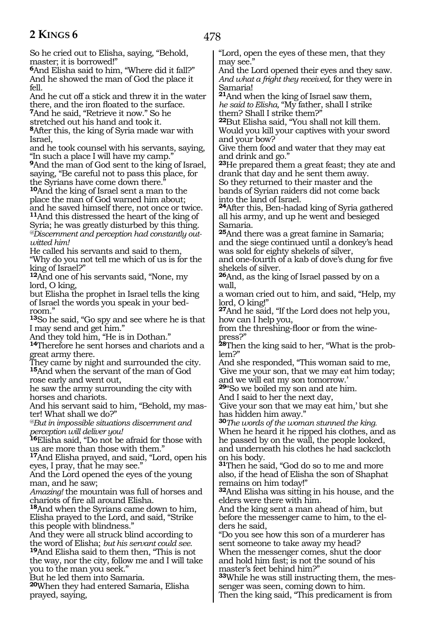478

So he cried out to Elisha, saying, "Behold, master; it is borrowed!"

**<sup>6</sup>**And Elisha said to him, "Where did it fall?" And he showed the man of God the place it fell.

And he cut off a stick and threw it in the water there, and the iron floated to the surface.

**<sup>7</sup>**And he said, "Retrieve it now." So he

stretched out his hand and took it.

**<sup>8</sup>**After this, the king of Syria made war with Israel,

and he took counsel with his servants, saying, "In such a place I will have my camp."

**<sup>9</sup>**And the man of God sent to the king of Israel, saying, "Be careful not to pass this place, for the Syrians have come down there."

**<sup>10</sup>**And the king of Israel sent a man to the place the man of God warned him about; and he saved himself there, not once or twice. **<sup>11</sup>**And this distressed the heart of the king of Syria; he was greatly disturbed by this thing. *@Discernment and perception had constantly outwitted him!*

He called his servants and said to them, "Why do you not tell me which of us is for the king of Israel?"

**<sup>12</sup>**And one of his servants said, "None, my lord, O king,

but Elisha the prophet in Israel tells the king of Israel the words you speak in your bed- room."

**<sup>13</sup>**So he said, "Go spy and see where he is that I may send and get him."

And they told him, "He is in Dothan."

**<sup>14</sup>**Therefore he sent horses and chariots and a great army there.

They came by night and surrounded the city. **<sup>15</sup>**And when the servant of the man of God rose early and went out,

he saw the army surrounding the city with horses and chariots.

And his servant said to him, "Behold, my master! What shall we do?"

*@But in impossible situations discernment and perception will deliver you!*

**<sup>16</sup>**Elisha said, "Do not be afraid for those with us are more than those with them."

**<sup>17</sup>**And Elisha prayed, and said, "Lord, open his eyes, I pray, that he may see."

And the Lord opened the eyes of the young man, and he saw;

*Amazing!* the mountain was full of horses and chariots of fire all around Elisha.

**<sup>18</sup>**And when the Syrians came down to him, Elisha prayed to the Lord, and said, "Strike this people with blindness."

And they were all struck blind according to<br>the word of Elisha; but his servant could see. <sup>19</sup>And Elisha said to them then, "This is not the way, nor the city, follow me and I will take you to the man you seek."

But he led them into Samaria.

**<sup>20</sup>**When they had entered Samaria, Elisha prayed, saying,

"Lord, open the eyes of these men, that they may see."

And the Lord opened their eyes and they saw. *And what a fright they received,* for they were in Samaria!

**<sup>21</sup>**And when the king of Israel saw them, *he said to Elisha,* "My father, shall I strike them? Shall I strike them?"

**<sup>22</sup>**But Elisha said, "You shall not kill them. Would you kill your captives with your sword and your bow?

Give them food and water that they may eat and drink and go."

**<sup>23</sup>**He prepared them a great feast; they ate and drank that day and he sent them away.

So they returned to their master and the bands of Syrian raiders did not come back into the land of Israel.

**<sup>24</sup>**After this, Ben-hadad king of Syria gathered all his army, and up he went and besieged Samaria.

**<sup>25</sup>**And there was a great famine in Samaria; and the siege continued until a donkey's head was sold for eighty shekels of silver,

and one-fourth of a kab of dove's dung for five shekels of silver.

**<sup>26</sup>**And, as the king of Israel passed by on a wall,

a woman cried out to him, and said, "Help, my lord, O king!"

**<sup>27</sup>**And he said, "If the Lord does not help you, how can I help you,

from the threshing-floor or from the wine- press?"

**28**Then the king said to her, "What is the prob-<br>lem?"

And she responded, "This woman said to me, 'Give me your son, that we may eat him today; and we will eat my son tomorrow.'

**<sup>29</sup>**"So we boiled my son and ate him.

And I said to her the next day,

'Give your son that we may eat him,' but she has hidden him away."

**<sup>30</sup>***The words of the woman stunned the king.* When he heard it he ripped his clothes, and as he passed by on the wall, the people looked, and underneath his clothes he had sackcloth on his body.

**<sup>31</sup>**Then he said, "God do so to me and more also, if the head of Elisha the son of Shaphat remains on him today!"

**<sup>32</sup>**And Elisha was sitting in his house, and the elders were there with him.

And the king sent a man ahead of him, but before the messenger came to him, to the elders he said,

"Do you see how this son of a murderer has sent someone to take away my head? When the messenger comes, shut the door and hold him fast; is not the sound of his master's feet behind him?"

**33**While he was still instructing them, the messenger was seen, coming down to him.

Then the king said, "This predicament is from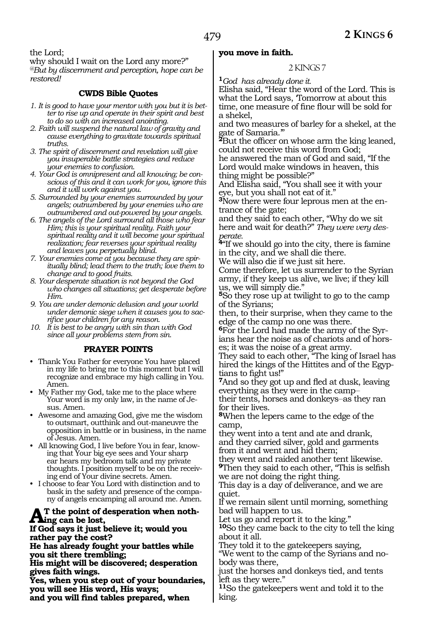the Lord;

why should I wait on the Lord any more?" *@But by discernment and perception, hope can be restored!*

# **CWDS Bible Quotes**

- *1. It is good to have your mentor with you but it is better to rise up and operate in their spirit and best to do so with an increased anointing.*
- *2. Faith will suspend the natural law of gravity and cause everything to gravitate towards spiritual truths.*
- *3. The spirit of discernment and revelation will give you insuperable battle strategies and reduce your enemies to confusion.*
- *4. Your God is omnipresent and all knowing; be conscious of this and it can work for you, ignore this and it will work against you.*
- *5. Surrounded by your enemies surrounded by your angels; outnumbered by your enemies who are outnumbered and out-powered by your angels.*
- *6. The angels of the Lord surround all those who fear Him; this is your spiritual reality. Faith your spiritual reality and it will become your spiritual realization; fear reverses your spiritual reality and leaves you perpetually blind.*
- *7. Your enemies come at you because they are spiritually blind; lead them to the truth; love them to change and to good fruits.*
- *8. Your desperate situation is not beyond the God who changes all situations; get desperate before Him.*
- *9. You are under demonic delusion and your world under demonic siege when it causes you to sacrifice your children for any reason.*
- *10. It is best to be angry with sin than with God since all your problems stem from sin.*

# **PRAYER POINTS**

- Thank You Father for everyone You have placed in my life to bring me to this moment but I will recognize and embrace my high calling in You. Amen.
- My Father my God, take me to the place where Your word is my only law, in the name of Jesus. Amen.
- Awesome and amazing God, give me the wisdom to outsmart, outthink and out-maneuvre the opposition in battle or in business, in the name of Jesus. Amen.
- All knowing God, I live before You in fear, knowing that Your big eye sees and Your sharp ear hears my bedroom talk and my private thoughts. I position myself to be on the receiving end of Your divine secrets. Amen.
- I choose to fear You Lord with distinction and to bask in the safety and presence of the company of angels encamping all around me. Amen.

#### **T** the point of desperation when noth**ing can be lost,**

**If God says it just believe it; would you rather pay the cost?**

**He has already fought your battles while you sit there trembling;**

**His might will be discovered; desperation gives faith wings.**

**Yes, when you step out of your boundaries, you will see His word, His ways; and you will find tables prepared, when** 

#### **you move in faith.**

#### 2 KINGS 7

**<sup>1</sup>***God has already done it.*

Elisha said, "Hear the word of the Lord. This is what the Lord says, Tomorrow at about this time, one measure of fine flour will be sold for a shekel,

and two measures of barley for a shekel, at the gate of Samaria.'"

**<sup>2</sup>**But the officer on whose arm the king leaned, could not receive this word from God;

he answered the man of God and said, "If the Lord would make windows in heaven, this thing might be possible?"

And Elisha said, "You shall see it with your eye, but you shall not eat of it."

**3**Now there were four leprous men at the entrance of the gate;

and they said to each other, "Why do we sit here and wait for death?" *They were very desperate.*

<sup>4"</sup>If we should go into the city, there is famine in the city, and we shall die there.

We will also die if we just sit here.

Come therefore, let us surrender to the Syrian army, if they keep us alive, we live; if they kill us, we will simply die."

**<sup>5</sup>**So they rose up at twilight to go to the camp of the Syrians;

then, to their surprise, when they came to the edge of the camp no one was there.

**6**For the Lord had made the army of the Syrians hear the noise as of chariots and of hors- es; it was the noise of a great army.

They said to each other, "The king of Israel has hired the kings of the Hittites and of the Egyptians to fight us!"

**<sup>7</sup>**And so they got up and fled at dusk, leaving everything as they were in the camp\_\_

their tents, horses and donkeys-as they ran for their lives.

**<sup>8</sup>**When the lepers came to the edge of the camp,

they went into a tent and ate and drank, and they carried silver, gold and garments from it and went and hid them;

they went and raided another tent likewise. **<sup>9</sup>**Then they said to each other, "This is selfish

we are not doing the right thing. This day is a day of deliverance, and we are quiet.

If we remain silent until morning, something bad will happen to us.

Let us go and report it to the king."

**<sup>10</sup>**So they came back to the city to tell the king about it all.

They told it to the gatekeepers saying,

"We went to the camp of the Syrians and nobody was there,

just the horses and donkeys tied, and tents left as they were."

**<sup>11</sup>**So the gatekeepers went and told it to the king.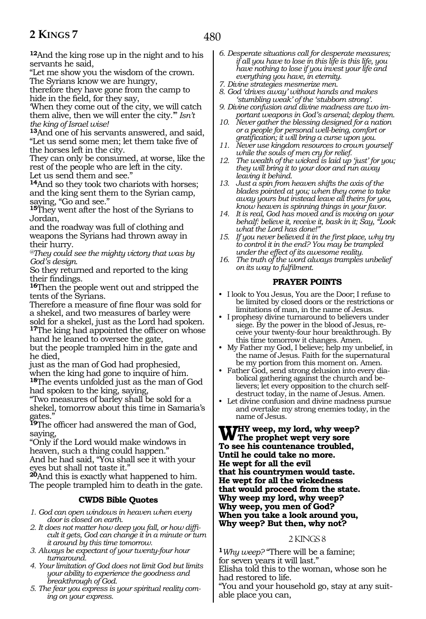**<sup>12</sup>**And the king rose up in the night and to his servants he said,

"Let me show you the wisdom of the crown. The Syrians know we are hungry,

therefore they have gone from the camp to hide in the field, for they say,

'When they come out of the city, we will catch them alive, then we will enter the city.'" *Isn't the king of Israel wise!*

**<sup>13</sup>**And one of his servants answered, and said, "Let us send some men; let them take five of the horses left in the city.

They can only be consumed, at worse, like the rest of the people who are left in the city. Let us send them and see."

**<sup>14</sup>**And so they took two chariots with horses; and the king sent them to the Syrian camp, saying, "Go and see."

**<sup>15</sup>**They went after the host of the Syrians to Jordan,

and the roadway was full of clothing and weapons the Syrians had thrown away in their hurry.

*@They could see the mighty victory that was by God's design.*

So they returned and reported to the king their findings.

**<sup>16</sup>**Then the people went out and stripped the tents of the Syrians.

Therefore a measure of fine flour was sold for a shekel, and two measures of barley were sold for a shekel, just as the Lord had spoken. **<sup>17</sup>**The king had appointed the officer on whose

hand he leaned to oversee the gate,

but the people trampled him in the gate and he died,

just as the man of God had prophesied, when the king had gone to inquire of him. **<sup>18</sup>**The events unfolded just as the man of God had spoken to the king, saying,

"Two measures of barley shall be sold for a shekel, tomorrow about this time in Samaria's gates."

**<sup>19</sup>**The officer had answered the man of God, saying,

"Only if the Lord would make windows in heaven, such a thing could happen." And he had said, "You shall see it with your eyes but shall not taste it."

**<sup>20</sup>**And this is exactly what happened to him. The people trampled him to death in the gate.

## **CWDS Bible Quotes**

- *1. God can open windows in heaven when every door is closed on earth.*
- *2. It does not matter how deep you fall, or how difficult it gets, God can change it in a minute or turn it around by this time tomorrow.*
- *3. Always be expectant of your twenty-four hour turnaround.*
- *4. Your limitation of God does not limit God but limits your ability to experience the goodness and breakthrough of God.*
- *5. The fear you express is your spiritual reality coming on your express.*
- *6. Desperate situations call for desperate measures; if all you have to lose in this life is this life, you have nothing to lose if you invest your life and everything you have, in eternity.*
- *7. Divine strategies mesmerize men.*
- *8. God 'drives away' without hands and makes 'stumbling weak' of the 'stubborn strong'.*
- *9. Divine confusion and divine madness are two important weapons in God's arsenal; deploy them.*
- *10. Never gather the blessing designed for a nation or a people for personal well-being, comfort or gratification; it will bring a curse upon you.*
- *11. Never use kingdom resources to crown yourself while the souls of men cry for relief.*
- *12. The wealth of the wicked is laid up 'just' for you; they will bring it to your door and run away leaving it behind.*
- *13. Just a spin from heaven shifts the axis of the blades pointed at you; when they come to take away yours but instead leave all theirs for you, know heaven is spinning things in your favor.*
- *14. It is real, God has moved and is moving on your behalf: believe it, receive it, bask in it; Say, "Look what the Lord has done!"*
- *15. If you never believed it in the first place, why try to control it in the end? You may be trampled under the effect of its awesome reality.*
- *16. The truth of the word always tramples unbelief on its way to fulfilment.*

# **PRAYER POINTS**

- I look to You Jesus, You are the Door; I refuse to be limited by closed doors or the restrictions or limitations of man, in the name of Jesus.
- I prophesy divine turnaround to believers under siege. By the power in the blood of Jesus, receive your twenty-four hour breakthrough. By this time tomorrow it changes. Amen.
- My Father my God, I believe; help my unbelief, in the name of Jesus. Faith for the supernatural be my portion from this moment on. Amen.
- Father God, send strong delusion into every diabolical gathering against the church and believers; let every opposition to the church selfdestruct today, in the name of Jesus. Amen.
- Let divine confusion and divine madness pursue and overtake my strong enemies today, in the name of Jesus.

**Why weep, my lord, why weep? The prophet wept very sore To see his countenance troubled, Until he could take no more. He wept for all the evil that his countrymen would taste. He wept for all the wickedness that would proceed from the state. Why weep my lord, why weep? Why weep, you men of God? When you take a look around you, Why weep? But then, why not?**

## 2 KINGS 8

**<sup>1</sup>***Why weep?* "There will be a famine; for seven years it will last." Elisha told this to the woman, whose son he had restored to life.

"You and your household go, stay at any suit- able place you can,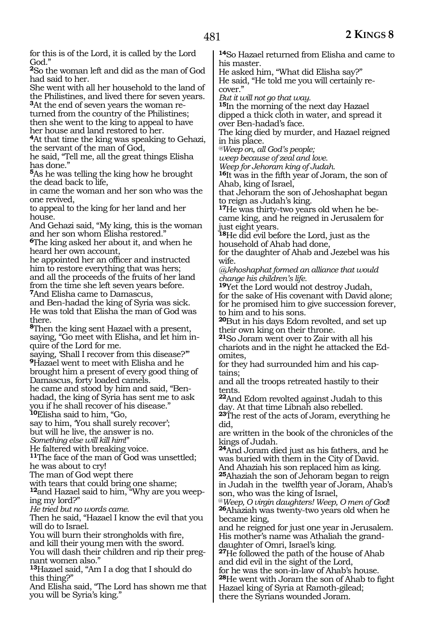for this is of the Lord, it is called by the Lord God."

**<sup>2</sup>**So the woman left and did as the man of God had said to her.

She went with all her household to the land of the Philistines, and lived there for seven years.

**3**At the end of seven years the woman returned from the country of the Philistines; then she went to the king to appeal to have her house and land restored to her.

**<sup>4</sup>**At that time the king was speaking to Gehazi, the servant of the man of God,

he said, "Tell me, all the great things Elisha has done."

**<sup>5</sup>**As he was telling the king how he brought the dead back to life,

in came the woman and her son who was the one revived,

to appeal to the king for her land and her house.

And Gehazi said, "My king, this is the woman and her son whom Elisha restored."

**<sup>6</sup>**The king asked her about it, and when he heard her own account,

he appointed her an officer and instructed him to restore everything that was hers; and all the proceeds of the fruits of her land from the time she left seven years before. **<sup>7</sup>**And Elisha came to Damascus,

and Ben-hadad the king of Syria was sick. He was told that Elisha the man of God was there.

**<sup>8</sup>**Then the king sent Hazael with a present, saying, "Go meet with Elisha, and let him inquire of the Lord for me.

saying, 'Shall I recover from this disease?'" **<sup>9</sup>**Hazael went to meet with Elisha and he brought him a present of every good thing of Damascus, forty loaded camels.

he came and stood by him and said, "Benhadad, the king of Syria has sent me to ask you if he shall recover of his disease."

**<sup>10</sup>**Elisha said to him, "Go,

say to him, 'You shall surely recover'; but will he live, the answer is no. *Something else will kill him*!"

He faltered with breaking voice.

**<sup>11</sup>**The face of the man of God was unsettled; he was about to cry!

The man of God wept there

with tears that could bring one shame;

**12**and Hazael said to him, "Why are you weeping my lord?"

*He tried but no words came.*

Then he said, "Hazael I know the evil that you will do to Israel.

You will burn their strongholds with fire,

and kill their young men with the sword.

You will dash their children and rip their pregnant women also."

**<sup>13</sup>**Hazael said, "Am I a dog that I should do this thing?"

And Elisha said, "The Lord has shown me that you will be Syria's king."

**<sup>14</sup>**So Hazael returned from Elisha and came to his master.

He asked him, "What did Elisha say?" He said, "He told me you will certainly recover."

*But it will not go that way.*

**<sup>15</sup>**In the morning of the next day Hazael dipped a thick cloth in water, and spread it over Ben-hadad's face.

The king died by murder, and Hazael reigned in his place.

*@Weep on, all God's people;*

*weep because of zeal and love.*

*Weep for Jehoram king of Judah.*

**<sup>16</sup>**It was in the fifth year of Joram, the son of Ahab, king of Israel,

that Jehoram the son of Jehoshaphat began to reign as Judah's king.

**<sup>17</sup>**He was thirty-two years old when he be- came king, and he reigned in Jerusalem for just eight years.

**<sup>18</sup>**He did evil before the Lord, just as the household of Ahab had done,

for the daughter of Ahab and Jezebel was his wife.

*@Jehoshaphat formed an alliance that would change his children's life.*

**<sup>19</sup>**Yet the Lord would not destroy Judah, for the sake of His covenant with David alone; for he promised him to give succession forever, to him and to his sons.

**<sup>20</sup>**But in his days Edom revolted, and set up their own king on their throne.

**<sup>21</sup>**So Joram went over to Zair with all his chariots and in the night he attacked the Edomites,

for they had surrounded him and his captains;

and all the troops retreated hastily to their tents.

**<sup>22</sup>**And Edom revolted against Judah to this day. At that time Libnah also rebelled.

**<sup>23</sup>**The rest of the acts of Joram, everything he did,

are written in the book of the chronicles of the kings of Judah.

**<sup>24</sup>**And Joram died just as his fathers, and he was buried with them in the City of David.

And Ahaziah his son replaced him as king. **<sup>25</sup>**Ahaziah the son of Jehoram began to reign in Judah in the twelfth year of Joram, Ahab's

son, who was the king of Israel,

@*Weep, O virgin daughters! Weep, O men of God*! **<sup>26</sup>**Ahaziah was twenty-two years old when he became king,

and he reigned for just one year in Jerusalem. His mother's name was Athaliah the granddaughter of Omri, Israel's king.

**<sup>27</sup>**He followed the path of the house of Ahab and did evil in the sight of the Lord,

for he was the son-in-law of Ahab's house. **<sup>28</sup>**He went with Joram the son of Ahab to fight Hazael king of Syria at Ramoth-gilead; there the Syrians wounded Joram.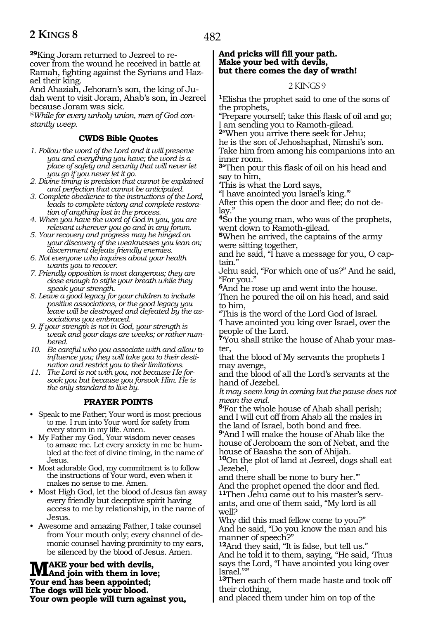**29**King Joram returned to Jezreel to recover from the wound he received in battle at Ramah, fighting against the Syrians and Hazael their king.

And Ahaziah, Jehoram's son, the king of Judah went to visit Joram, Ahab's son, in Jezreel because Joram was sick.

*@While for every unholy union, men of God constantly weep.* 

# **CWDS Bible Quotes**

- *1. Follow the word of the Lord and it will preserve you and everything you have; the word is a place of safety and security that will never let you go if you never let it go.*
- *2. Divine timing is precision that cannot be explained and perfection that cannot be anticipated.*
- *3. Complete obedience to the instructions of the Lord, leads to complete victory and complete restoration of anything lost in the process.*
- *4. When you have the word of God in you, you are relevant wherever you go and in any forum.*
- *5. Your recovery and progress may be hinged on your discovery of the weaknesses you lean on; discernment defeats friendly enemies.*
- *6. Not everyone who inquires about your health wants you to recover.*
- *7. Friendly opposition is most dangerous; they are close enough to stifle your breath while they speak your strength.*
- *8. Leave a good legacy for your children to include positive associations, or the good legacy you leave will be destroyed and defeated by the associations you embraced.*
- *9. If your strength is not in God, your strength is weak and your days are weeks; or rather numbered.*
- *10. Be careful who you associate with and allow to influence you; they will take you to their destination and restrict you to their limitations.*
- *11. The Lord is not with you, not because He forsook you but because you forsook Him. He is the only standard to live by.*

#### **PRAYER POINTS**

- Speak to me Father; Your word is most precious to me. I run into Your word for safety from every storm in my life. Amen.
- My Father my God, Your wisdom never ceases to amaze me. Let every anxiety in me be humbled at the feet of divine timing, in the name of Jesus.
- Most adorable God, my commitment is to follow the instructions of Your word, even when it makes no sense to me. Amen.
- Most High God, let the blood of Jesus fan away every friendly but deceptive spirit having access to me by relationship, in the name of Jesus.
- Awesome and amazing Father, I take counsel from Your mouth only; every channel of demonic counsel having proximity to my ears, be silenced by the blood of Jesus. Amen.

**MAKE** your bed with devils,<br>Veur and has been appointed. **Your end has been appointed; The dogs will lick your blood. Your own people will turn against you,**

#### **And pricks will fill your path. Make your bed with devils, but there comes the day of wrath!**

#### 2 KINGS 9

**<sup>1</sup>**Elisha the prophet said to one of the sons of the prophets,

"Prepare yourself; take this flask of oil and go; I am sending you to Ramoth-gilead.

**<sup>2</sup>**"When you arrive there seek for Jehu;

he is the son of Jehoshaphat, Nimshi's son. Take him from among his companions into an inner room.

**<sup>3</sup>**"Then pour this flask of oil on his head and say to him,

'This is what the Lord says,

"I have anointed you Israel's king.'" After this open the door and flee; do not delay.'

**<sup>4</sup>**So the young man, who was of the prophets, went down to Ramoth-gilead.

**<sup>5</sup>**When he arrived, the captains of the army were sitting together,

and he said, "I have a message for you, O captain."

Jehu said, "For which one of us?" And he said, "For you."

**<sup>6</sup>**And he rose up and went into the house. Then he poured the oil on his head, and said to him,

"This is the word of the Lord God of Israel. 'I have anointed you king over Israel, over the people of the Lord.

**<sup>7</sup>**'You shall strike the house of Ahab your mas- ter,

that the blood of My servants the prophets I may avenge,

and the blood of all the Lord's servants at the hand of Jezebel.

*It may seem long in coming but the pause does not mean the end.*

**<sup>8</sup>**'For the whole house of Ahab shall perish; and I will cut off from Ahab all the males in the land of Israel, both bond and free.

**<sup>9</sup>**'And I will make the house of Ahab like the house of Jeroboam the son of Nebat, and the house of Baasha the son of Ahijah.

**<sup>10</sup>**On the plot of land at Jezreel, dogs shall eat Jezebel,

and there shall be none to bury her.'" And the prophet opened the door and fled. **11**Then Jehu came out to his master's servants, and one of them said, "My lord is all well?

Why did this mad fellow come to you?" And he said, "Do you know the man and his manner of speech?"

**<sup>12</sup>**And they said, "It is false, but tell us." And he told it to them, saying, "He said, 'Thus says the Lord, "I have anointed you king over Israel.""

**<sup>13</sup>**Then each of them made haste and took off their clothing,

and placed them under him on top of the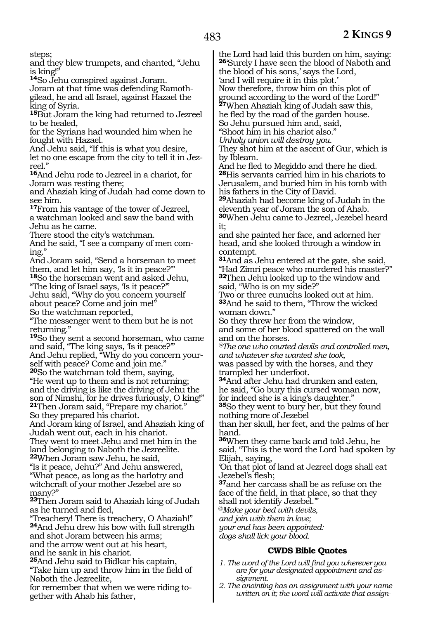steps;

and they blew trumpets, and chanted, "Jehu is king!"

**<sup>14</sup>**So Jehu conspired against Joram.

Joram at that time was defending Ramothgilead, he and all Israel, against Hazael the king of Syria.

**<sup>15</sup>**But Joram the king had returned to Jezreel to be healed,

for the Syrians had wounded him when he fought with Hazael.

And Jehu said, "If this is what you desire, let no one escape from the city to tell it in Jez- reel."

**<sup>16</sup>**And Jehu rode to Jezreel in a chariot, for Joram was resting there;

and Ahaziah king of Judah had come down to see him.

**<sup>17</sup>**From his vantage of the tower of Jezreel, a watchman looked and saw the band with Jehu as he came.

There stood the city's watchman.

And he said, "I see a company of men coming."

And Joram said, "Send a horseman to meet them, and let him say, 'Is it in peace?'"

**<sup>18</sup>**So the horseman went and asked Jehu, "The king of Israel says, 'Is it peace?'"

Jehu said, "Why do you concern yourself about peace? Come and join me!"

So the watchman reported,

"The messenger went to them but he is not returning."

**<sup>19</sup>**So they sent a second horseman, who came and said, "The king says, 'Is it peace?" And Jehu replied, "Why do you concern your-

self with peace? Come and join me." **<sup>20</sup>**So the watchman told them, saying,

"He went up to them and is not returning; and the driving is like the driving of Jehu the son of Nimshi, for he drives furiously, O king!" **<sup>21</sup>**Then Joram said, "Prepare my chariot."

So they prepared his chariot.

And Joram king of Israel, and Ahaziah king of Judah went out, each in his chariot. They went to meet Jehu and met him in the

land belonging to Naboth the Jezreelite. **<sup>22</sup>**When Joram saw Jehu, he said,

"Is it peace, Jehu?" And Jehu answered, "What peace, as long as the harlotry and witchcraft of your mother Jezebel are so many?"

**<sup>23</sup>**Then Joram said to Ahaziah king of Judah as he turned and fled,

"Treachery! There is treachery, O Ahaziah!" **<sup>24</sup>**And Jehu drew his bow with full strength and shot Joram between his arms; and the arrow went out at his heart, and he sank in his chariot.

**<sup>25</sup>**And Jehu said to Bidkar his captain, "Take him up and throw him in the field of Naboth the Jezreelite,

for remember that when we were riding to- gether with Ahab his father,

the Lord had laid this burden on him, saying: **<sup>26</sup>**'Surely I have seen the blood of Naboth and the blood of his sons,' says the Lord,

'and I will require it in this plot.'

Now therefore, throw him on this plot of

ground according to the word of the Lord!" **<sup>27</sup>**When Ahaziah king of Judah saw this,

he fled by the road of the garden house.

So Jehu pursued him and, said,

"Shoot him in his chariot also."

*Unholy union will destroy you.*

They shot him at the ascent of Gur, which is by Ibleam.

And he fled to Megiddo and there he died. **<sup>28</sup>**His servants carried him in his chariots to Jerusalem, and buried him in his tomb with his fathers in the City of David.

**<sup>29</sup>**Ahaziah had become king of Judah in the eleventh year of Joram the son of Ahab.

**<sup>30</sup>**When Jehu came to Jezreel, Jezebel heard it;

and she painted her face, and adorned her head, and she looked through a window in contempt.

**<sup>31</sup>**And as Jehu entered at the gate, she said, "Had Zimri peace who murdered his master?" **<sup>32</sup>**Then Jehu looked up to the window and said, "Who is on my side?"

Two or three eunuchs looked out at him. **<sup>33</sup>**And he said to them, "Throw the wicked woman down."

So they threw her from the window, and some of her blood spattered on the wall and on the horses.

*@The one who courted devils and controlled men, and whatever she wanted she took,*

was passed by with the horses, and they trampled her underfoot.

**<sup>34</sup>**And after Jehu had drunken and eaten, he said, "Go bury this cursed woman now, for indeed she is a king's daughter."

**<sup>35</sup>**So they went to bury her, but they found nothing more of Jezebel

than her skull, her feet, and the palms of her hand.

**<sup>36</sup>**When they came back and told Jehu, he said, "This is the word the Lord had spoken by Elijah, saying,

'On that plot of land at Jezreel dogs shall eat Jezebel's flesh;

**<sup>37</sup>**and her carcass shall be as refuse on the face of the field, in that place, so that they

shall not identify Jezebel.'"

@*Make your bed with devils,*

*and join with them in love;*

*your end has been appointed: dogs shall lick your blood.*

## **CWDS Bible Quotes**

- *1. The word of the Lord will find you wherever you are for your designated appointment and assignment.*
- *2. The anointing has an assignment with your name written on it; the word will activate that assign-*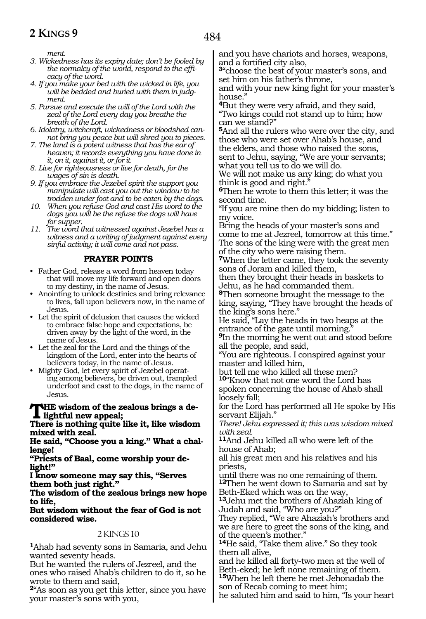484

*ment.*

- *3. Wickedness has its expiry date; don't be fooled by the normalcy of the world, respond to the efficacy of the word.*
- *4. If you make your bed with the wicked in life, you will be bedded and buried with them in judgment.*
- *5. Pursue and execute the will of the Lord with the zeal of the Lord every day you breathe the breath of the Lord.*
- *6. Idolatry, witchcraft, wickedness or bloodshed cannot bring you peace but will shred you to pieces.*
- *7. The land is a potent witness that has the ear of heaven; it records everything you have done in it, on it, against it, or for it.*
- *8. Live for righteousness or live for death, for the wages of sin is death.*
- *9. If you embrace the Jezebel spirit the support you manipulate will cast you out the window to be trodden under foot and to be eaten by the dogs.*
- *10. When you refuse God and cast His word to the dogs you will be the refuse the dogs will have for supper.*
- *11. The word that witnessed against Jezebel has a witness and a writing of judgment against every sinful activity; it will come and not pass.*

#### **PRAYER POINTS**

- Father God, release a word from heaven today that will move my life forward and open doors to my destiny, in the name of Jesus.
- Anointing to unlock destinies and bring relevance to lives, fall upon believers now, in the name of Jesus.
- Let the spirit of delusion that causes the wicked to embrace false hope and expectations, be driven away by the light of the word, in the name of Jesus.
- Let the zeal for the Lord and the things of the kingdom of the Lord, enter into the hearts of believers today, in the name of Jesus.
- Mighty God, let every spirit of Jezebel operating among believers, be driven out, trampled underfoot and cast to the dogs, in the name of Jesus.

#### **The wisdom of the zealous brings a delightful new appeal;**

**There is nothing quite like it, like wisdom mixed with zeal.**

**He said, "Choose you a king." What a challenge!** 

**"Priests of Baal, come worship your delight!"**

**I know someone may say this, "Serves them both just right."**

**The wisdom of the zealous brings new hope to life,**

**But wisdom without the fear of God is not considered wise.**

#### 2 KINGS 10

**<sup>1</sup>**Ahab had seventy sons in Samaria, and Jehu wanted seventy heads.

But he wanted the rulers of Jezreel, and the ones who raised Ahab's children to do it, so he wrote to them and said,

**<sup>2</sup>**"As soon as you get this letter, since you have your master's sons with you,

and you have chariots and horses, weapons, and a fortified city also,

**<sup>3</sup>**"choose the best of your master's sons, and set him on his father's throne,

and with your new king fight for your master's house."

**<sup>4</sup>**But they were very afraid, and they said, "Two kings could not stand up to him; how can we stand?"

**<sup>5</sup>**And all the rulers who were over the city, and those who were set over Ahab's house, and the elders, and those who raised the sons, sent to Jehu, saying, "We are your servants; what you tell us to do we will do.

We will not make us any king; do what you think is good and right."

**<sup>6</sup>**Then he wrote to them this letter; it was the second time.

"If you are mine then do my bidding; listen to my voice.

Bring the heads of your master's sons and come to me at Jezreel, tomorrow at this time." The sons of the king were with the great men of the city who were raising them.

**<sup>7</sup>**When the letter came, they took the seventy sons of Joram and killed them,

then they brought their heads in baskets to Jehu, as he had commanded them.

**<sup>8</sup>**Then someone brought the message to the king, saying, "They have brought the heads of the king's sons here."

He said, "Lay the heads in two heaps at the entrance of the gate until morning.

**<sup>9</sup>**In the morning he went out and stood before all the people, and said,

"You are righteous. I conspired against your master and killed him,

but tell me who killed all these men? **<sup>10</sup>**"Know that not one word the Lord has spoken concerning the house of Ahab shall loosely fall;

for the Lord has performed all He spoke by His servant Elijah."

*There! Jehu expressed it; this was wisdom mixed with zeal.*

**<sup>11</sup>**And Jehu killed all who were left of the house of Ahab;

all his great men and his relatives and his priests,

until there was no one remaining of them. **<sup>12</sup>**Then he went down to Samaria and sat by Beth-Eked which was on the way,

**<sup>13</sup>**Jehu met the brothers of Ahaziah king of Judah and said, "Who are you?"

They replied, "We are Ahaziah's brothers and we are here to greet the sons of the king, and of the queen's mother."

**<sup>14</sup>**He said, "Take them alive." So they took them all alive,

and he killed all forty-two men at the well of Beth-eked; he left none remaining of them. **<sup>15</sup>**When he left there he met Jehonadab the son of Recab coming to meet him;

he saluted him and said to him, "Is your heart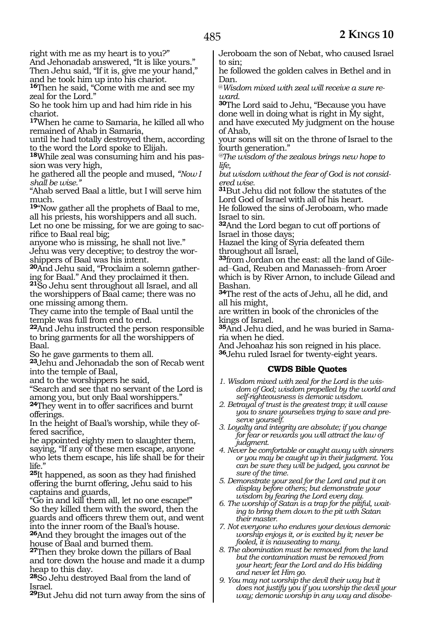right with me as my heart is to you?"

And Jehonadab answered, "It is like yours." Then Jehu said, "If it is, give me your hand," and he took him up into his chariot.

16Then he said, "Come with me and see my zeal for the Lord."

So he took him up and had him ride in his chariot.

**<sup>17</sup>**When he came to Samaria, he killed all who remained of Ahab in Samaria,

until he had totally destroyed them, according to the word the Lord spoke to Elijah.

**<sup>18</sup>**While zeal was consuming him and his pas- sion was very high,

he gathered all the people and mused, *"Now I shall be wise."*

"Ahab served Baal a little, but I will serve him much.

**<sup>19</sup>**"Now gather all the prophets of Baal to me, all his priests, his worshippers and all such. Let no one be missing, for we are going to sacrifice to Baal real big;

anyone who is missing, he shall not live." Jehu was very deceptive; to destroy the worshippers of Baal was his intent.

**20**And Jehu said, "Proclaim a solemn gathering for Baal." And they proclaimed it then.

**<sup>21</sup>**So Jehu sent throughout all Israel, and all the worshippers of Baal came; there was no one missing among them.

They came into the temple of Baal until the temple was full from end to end.

**<sup>22</sup>**And Jehu instructed the person responsible to bring garments for all the worshippers of Baal.

So he gave garments to them all.

**<sup>23</sup>**Jehu and Jehonadab the son of Recab went into the temple of Baal,

and to the worshippers he said,

"Search and see that no servant of the Lord is among you, but only Baal worshippers."

**<sup>24</sup>**They went in to offer sacrifices and burnt offerings.

In the height of Baal's worship, while they offered sacrifice,

he appointed eighty men to slaughter them, saying, "If any of these men escape, anyone who lets them escape, his life shall be for their life.'

**<sup>25</sup>**It happened, as soon as they had finished offering the burnt offering, Jehu said to his captains and guards,

"Go in and kill them all, let no one escape!" So they killed them with the sword, then the guards and officers threw them out, and went into the inner room of the Baal's house.

**<sup>26</sup>**And they brought the images out of the house of Baal and burned them.

**<sup>27</sup>**Then they broke down the pillars of Baal and tore down the house and made it a dump heap to this day.

**<sup>28</sup>**So Jehu destroyed Baal from the land of Israel.

**<sup>29</sup>**But Jehu did not turn away from the sins of

Jeroboam the son of Nebat, who caused Israel to sin;

he followed the golden calves in Bethel and in Dan.

@*Wisdom mixed with zeal will receive a sure reward.*

**<sup>30</sup>**The Lord said to Jehu, "Because you have done well in doing what is right in My sight, and have executed My judgment on the house of Ahab,

your sons will sit on the throne of Israel to the fourth generation."

*@The wisdom of the zealous brings new hope to life,*

*but wisdom without the fear of God is not considered wise.*

**<sup>31</sup>**But Jehu did not follow the statutes of the Lord God of Israel with all of his heart.

He followed the sins of Jeroboam, who made Israel to sin.

**<sup>32</sup>**And the Lord began to cut off portions of Israel in those days;

Hazael the king of Syria defeated them throughout all Israel,

**33**from Jordan on the east: all the land of Gilead-Gad, Reuben and Manasseh-from Aroer which is by River Arnon, to include Gilead and Bashan.

**<sup>34</sup>**The rest of the acts of Jehu, all he did, and all his might,

are written in book of the chronicles of the kings of Israel.

**35**And Jehu died, and he was buried in Samaria when he died.

And Jehoahaz his son reigned in his place. **<sup>36</sup>**Jehu ruled Israel for twenty-eight years.

## **CWDS Bible Quotes**

- *1. Wisdom mixed with zeal for the Lord is the wisdom of God; wisdom propelled by the world and self-righteousness is demonic wisdom.*
- *2. Betrayal of trust is the greatest trap; it will cause you to snare yourselves trying to save and preserve yourself.*
- *3. Loyalty and integrity are absolute; if you change for fear or rewards you will attract the law of judgment.*
- *4. Never be comfortable or caught away with sinners or you may be caught up in their judgment. You can be sure they will be judged, you cannot be sure of the time.*
- *5. Demonstrate your zeal for the Lord and put it on display before others; but demonstrate your wisdom by fearing the Lord every day.*
- *6. The worship of Satan is a trap for the pitiful, waiting to bring them down to the pit with Satan their master.*
- *7. Not everyone who endures your devious demonic worship enjoys it, or is excited by it; never be fooled, it is nauseating to many.*
- *8. The abomination must be removed from the land but the contamination must be removed from your heart; fear the Lord and do His bidding and never let Him go.*
- *9. You may not worship the devil their way but it does not justify you if you worship the devil your way; demonic worship in any way and disobe-*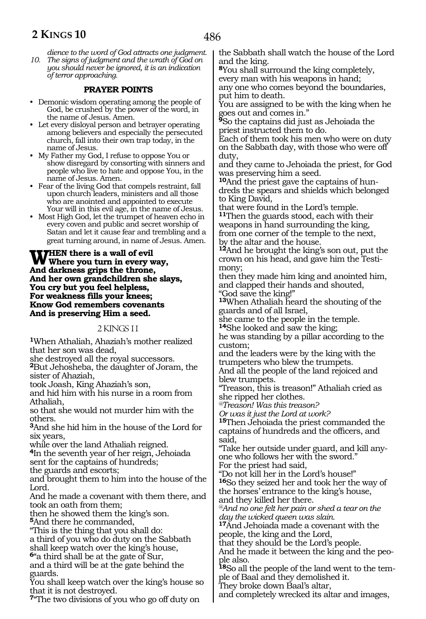*dience to the word of God attracts one judgment. 10. The signs of judgment and the wrath of God on you should never be ignored, it is an indication of terror approaching.*

# **PRAYER POINTS**

- Demonic wisdom operating among the people of God, be crushed by the power of the word, in the name of Jesus. Amen.
- Let every disloyal person and betrayer operating among believers and especially the persecuted church, fall into their own trap today, in the name of Jesus.
- My Father my God, I refuse to oppose You or show disregard by consorting with sinners and people who live to hate and oppose You, in the name of Jesus. Amen.
- Fear of the living God that compels restraint, fall upon church leaders, ministers and all those who are anointed and appointed to execute Your will in this evil age, in the name of Jesus.
- Most High God, let the trumpet of heaven echo in every coven and public and secret worship of Satan and let it cause fear and trembling and a great turning around, in name of Jesus. Amen.

#### **WHEN** there is a wall of evil where you turn in every way, **And darkness grips the throne, And her own grandchildren she slays, You cry but you feel helpless, For weakness fills your knees; Know God remembers covenants And is preserving Him a seed.**

#### 2 KINGS 11

**<sup>1</sup>**When Athaliah, Ahaziah's mother realized that her son was dead,

she destroyed all the royal successors.

**<sup>2</sup>**But Jehosheba, the daughter of Joram, the sister of Ahaziah,

took Joash, King Ahaziah's son,

and hid him with his nurse in a room from Athaliah,

so that she would not murder him with the others.

**<sup>3</sup>**And she hid him in the house of the Lord for six years,

while over the land Athaliah reigned.

**<sup>4</sup>**In the seventh year of her reign, Jehoiada sent for the captains of hundreds;

the guards and escorts; and brought them to him into the house of the Lord.

And he made a covenant with them there, and took an oath from them;

then he showed them the king's son.

**<sup>5</sup>**And there he commanded,

"This is the thing that you shall do:

a third of you who do duty on the Sabbath shall keep watch over the king's house,

**<sup>6</sup>**"a third shall be at the gate of Sur,

and a third will be at the gate behind the guards.

You shall keep watch over the king's house so that it is not destroyed.

**<sup>7</sup>**"The two divisions of you who go off duty on

the Sabbath shall watch the house of the Lord and the king.

**<sup>8</sup>**You shall surround the king completely, every man with his weapons in hand; any one who comes beyond the boundaries, put him to death.

You are assigned to be with the king when he goes out and comes in."

**<sup>9</sup>**So the captains did just as Jehoiada the priest instructed them to do.

Each of them took his men who were on duty on the Sabbath day, with those who were off duty,

and they came to Jehoiada the priest, for God was preserving him a seed.

**10**And the priest gave the captains of hundreds the spears and shields which belonged to King David,

that were found in the Lord's temple. **<sup>11</sup>**Then the guards stood, each with their weapons in hand surrounding the king, from one corner of the temple to the next, by the altar and the house.

**<sup>12</sup>**And he brought the king's son out, put the crown on his head, and gave him the Testimony;

then they made him king and anointed him, and clapped their hands and shouted, "God save the king!"

**<sup>13</sup>**When Athaliah heard the shouting of the guards and of all Israel,

she came to the people in the temple.

**<sup>14</sup>**She looked and saw the king;

he was standing by a pillar according to the custom;

and the leaders were by the king with the trumpeters who blew the trumpets. And all the people of the land rejoiced and blew trumpets.

"Treason, this is treason!" Athaliah cried as she ripped her clothes.

*@Treason! Was this treason?*

*Or was it just the Lord at work?* 

**<sup>15</sup>**Then Jehoiada the priest commanded the captains of hundreds and the officers, and said,

"Take her outside under guard, and kill anyone who follows her with the sword."

For the priest had said,

"Do not kill her in the Lord's house!" **<sup>16</sup>**So they seized her and took her the way of the horses' entrance to the king's house, and they killed her there.

*@And no one felt her pain or shed a tear on the day the wicked queen was slain.*

**<sup>17</sup>**And Jehoiada made a covenant with the people, the king and the Lord,

that they should be the Lord's people.

And he made it between the king and the people also.

**18**So all the people of the land went to the temple of Baal and they demolished it.

They broke down Baal's altar,

and completely wrecked its altar and images,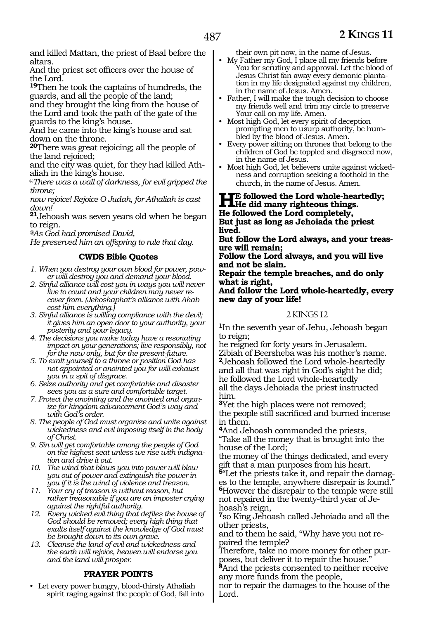and killed Mattan, the priest of Baal before the altars.

And the priest set officers over the house of the Lord.

**<sup>19</sup>**Then he took the captains of hundreds, the guards, and all the people of the land;

and they brought the king from the house of the Lord and took the path of the gate of the guards to the king's house.

And he came into the king's house and sat down on the throne.

**<sup>20</sup>**There was great rejoicing; all the people of the land rejoiced;

and the city was quiet, for they had killed Athaliah in the king's house.

@*There was a wall of darkness, for evil gripped the throne;*

*now rejoice! Rejoice O Judah, for Athaliah is cast down!*

**<sup>21</sup>**Jehoash was seven years old when he began to reign.

*@As God had promised David,*

*He preserved him an offspring to rule that day.*

## **CWDS Bible Quotes**

- *1. When you destroy your own blood for power, power will destroy you and demand your blood.*
- *2. Sinful alliance will cost you in ways you will never live to count and your children may never recover from. (Jehoshaphat's alliance with Ahab cost him everything.)*
- *3. Sinful alliance is willing compliance with the devil; it gives him an open door to your authority, your posterity and your legacy.*
- *4. The decisions you make today have a resonating impact on your generations; live responsibly, not for the now only, but for the present-future.*
- *5. To exalt yourself to a throne or position God has not appointed or anointed you for will exhaust you in a spit of disgrace.*
- *6. Seize authority and get comfortable and disaster sees you as a sure and comfortable target.*
- *7. Protect the anointing and the anointed and organize for kingdom advancement God's way and with God's order.*
- *8. The people of God must organize and unite against wickedness and evil imposing itself in the body of Christ.*
- *9. Sin will get comfortable among the people of God on the highest seat unless we rise with indignation and drive it out.*
- *10. The wind that blows you into power will blow you out of power and extinguish the power in you if it is the wind of violence and treason.*
- *11. Your cry of treason is without reason, but rather treasonable if you are an imposter crying against the rightful authority.*
- *12. Every wicked evil thing that defiles the house of God should be removed; every high thing that exalts itself against the knowledge of God must be brought down to its own grave.*
- *13. Cleanse the land of evil and wickedness and the earth will rejoice, heaven will endorse you and the land will prosper.*

## **PRAYER POINTS**

• Let every power hungry, blood-thirsty Athaliah spirit raging against the people of God, fall into their own pit now, in the name of Jesus.

- My Father my God, I place all my friends before You for scrutiny and approval. Let the blood of Jesus Christ fan away every demonic plantation in my life designated against my children, in the name of Jesus. Amen.
- Father, I will make the tough decision to choose my friends well and trim my circle to preserve Your call on my life. Amen.
- Most high God, let every spirit of deception prompting men to usurp authority, be humbled by the blood of Jesus. Amen.
- Every power sitting on thrones that belong to the children of God be toppled and disgraced now, in the name of Jesus.
- Most high God, let believers unite against wickedness and corruption seeking a foothold in the church, in the name of Jesus. Amen.

# **HE followed the Lord whole-heartedly;**<br> **He did many righteous things.**<br> **He followed the Lord completely. He followed the Lord completely,**

**But just as long as Jehoiada the priest lived.**

**But follow the Lord always, and your treasure will remain;**

**Follow the Lord always, and you will live and not be slain.**

**Repair the temple breaches, and do only what is right,**

#### **And follow the Lord whole-heartedly, every new day of your life!**

#### 2 KINGS 12

**<sup>1</sup>**In the seventh year of Jehu, Jehoash began to reign;

he reigned for forty years in Jerusalem. Zibiah of Beersheba was his mother's name. **<sup>2</sup>**Jehoash followed the Lord whole-heartedly and all that was right in God's sight he did; he followed the Lord whole-heartedly all the days Jehoiada the priest instructed him.

**<sup>3</sup>**Yet the high places were not removed; the people still sacrificed and burned incense in them.

**<sup>4</sup>**And Jehoash commanded the priests, "Take all the money that is brought into the house of the Lord;

the money of the things dedicated, and every gift that a man purposes from his heart.

**5**"Let the priests take it, and repair the damages to the temple, anywhere disrepair is found." **<sup>6</sup>**However the disrepair to the temple were still not repaired in the twenty-third year of Jehoash's reign,

**<sup>7</sup>**so King Jehoash called Jehoiada and all the other priests,

and to them he said, "Why have you not repaired the temple?

Therefore, take no more money for other purposes, but deliver it to repair the house."

**<sup>8</sup>**And the priests consented to neither receive any more funds from the people,

nor to repair the damages to the house of the Lord.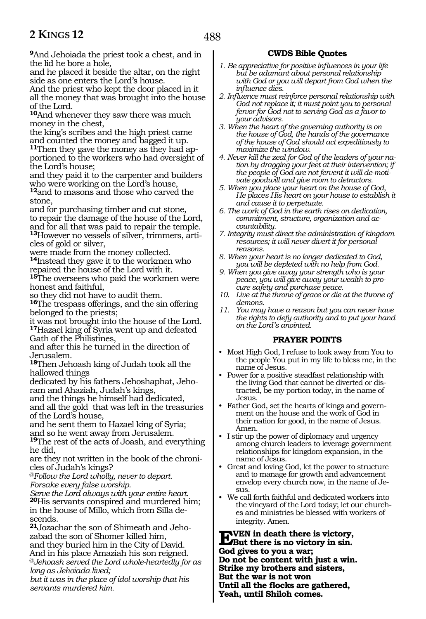**<sup>9</sup>**And Jehoiada the priest took a chest, and in the lid he bore a hole,

and he placed it beside the altar, on the right side as one enters the Lord's house.

And the priest who kept the door placed in it all the money that was brought into the house of the Lord.

**<sup>10</sup>**And whenever they saw there was much money in the chest,

the king's scribes and the high priest came and counted the money and bagged it up. **11**Then they gave the money as they had apportioned to the workers who had oversight of

the Lord's house; and they paid it to the carpenter and builders who were working on the Lord's house, **<sup>12</sup>**and to masons and those who carved the stone,

and for purchasing timber and cut stone, to repair the damage of the house of the Lord, and for all that was paid to repair the temple. **13**However no vessels of silver, trimmers, articles of gold or silver,

were made from the money collected. **<sup>14</sup>**Instead they gave it to the workmen who repaired the house of the Lord with it.

**<sup>15</sup>**The overseers who paid the workmen were honest and faithful,

so they did not have to audit them.

**<sup>16</sup>**The trespass offerings, and the sin offering belonged to the priests;

it was not brought into the house of the Lord. **<sup>17</sup>**Hazael king of Syria went up and defeated Gath of the Philistines,

and after this he turned in the direction of Jerusalem.

**<sup>18</sup>**Then Jehoash king of Judah took all the hallowed things

dedicated by his fathers Jehoshaphat, Jeho- ram and Ahaziah, Judah's kings,

and the things he himself had dedicated,

and all the gold that was left in the treasuries of the Lord's house,

and he sent them to Hazael king of Syria; and so he went away from Jerusalem.

**<sup>19</sup>**The rest of the acts of Joash, and everything he did,

are they not written in the book of the chronicles of Judah's kings?

@*Follow the Lord wholly, never to depart. Forsake every false worship.* 

*Serve the Lord always with your entire heart.* **<sup>20</sup>**His servants conspired and murdered him; in the house of Millo, which from Silla descends.

**21**Jozachar the son of Shimeath and Jehozabad the son of Shomer killed him, and they buried him in the City of David. And in his place Amaziah his son reigned. @*Jehoash served the Lord whole-heartedly for as long as Jehoiada lived;*

*but it was in the place of idol worship that his servants murdered him.*

# **CWDS Bible Quotes**

- *1. Be appreciative for positive influences in your life but be adamant about personal relationship with God or you will depart from God when the influence dies.*
- *2. Influence must reinforce personal relationship with God not replace it; it must point you to personal fervor for God not to serving God as a favor to your advisors.*
- *3. When the heart of the governing authority is on the house of God, the hands of the governance of the house of God should act expeditiously to maximize the window.*
- *4. Never kill the zeal for God of the leaders of your nation by dragging your feet at their intervention; if the people of God are not fervent it will de-motivate goodwill and give room to detractors.*
- *5. When you place your heart on the house of God, He places His heart on your house to establish it and cause it to perpetuate.*
- *6. The work of God in the earth rises on dedication, commitment, structure, organization and accountability.*
- *7. Integrity must direct the administration of kingdom resources; it will never divert it for personal reasons.*
- *8. When your heart is no longer dedicated to God, you will be depleted with no help from God.*
- *9. When you give away your strength who is your peace, you will give away your wealth to procure safety and purchase peace.*
- *10. Live at the throne of grace or die at the throne of demons.*
- *11. You may have a reason but you can never have the rights to defy authority and to put your hand on the Lord's anointed.*

## **PRAYER POINTS**

- Most High God, I refuse to look away from You to the people You put in my life to bless me, in the name of Jesus.
- Power for a positive steadfast relationship with the living God that cannot be diverted or distracted, be my portion today, in the name of Jesus.
- Father God, set the hearts of kings and government on the house and the work of God in their nation for good, in the name of Jesus. Amen.
- I stir up the power of diplomacy and urgency among church leaders to leverage government relationships for kingdom expansion, in the name of Jesus.
- Great and loving God, let the power to structure and to manage for growth and advancement envelop every church now, in the name of Jesus.
- We call forth faithful and dedicated workers into the vineyard of the Lord today; let our churches and ministries be blessed with workers of integrity. Amen.

**EVEN** in death there is victory,<br> **But there is no victory in sin.**<br> **Cod** gives to you a your **God gives to you a war; Do not be content with just a win. Strike my brothers and sisters, But the war is not won Until all the flocks are gathered, Yeah, until Shiloh comes.**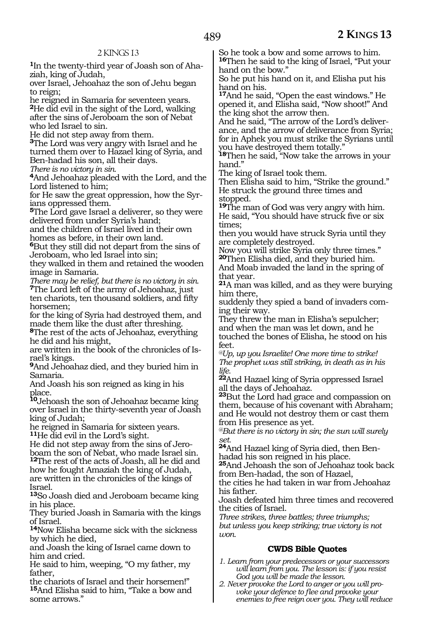**1**In the twenty-third year of Joash son of Ahaziah, king of Judah,

over Israel, Jehoahaz the son of Jehu began to reign;

he reigned in Samaria for seventeen years. **<sup>2</sup>**He did evil in the sight of the Lord, walking after the sins of Jeroboam the son of Nebat who led Israel to sin.

He did not step away from them.

**<sup>3</sup>**The Lord was very angry with Israel and he turned them over to Hazael king of Syria, and Ben-hadad his son, all their days.

*There is no victory in sin.*

**<sup>4</sup>**And Jehoahaz pleaded with the Lord, and the Lord listened to him;

for He saw the great oppression, how the Syrians oppressed them.

**<sup>5</sup>**The Lord gave Israel a deliverer, so they were delivered from under Syria's hand;

and the children of Israel lived in their own homes as before, in their own land.

**<sup>6</sup>**But they still did not depart from the sins of Jeroboam, who led Israel into sin;

they walked in them and retained the wooden image in Samaria.

*There may be relief, but there is no victory in sin.* **<sup>7</sup>**The Lord left of the army of Jehoahaz, just ten chariots, ten thousand soldiers, and fifty horsemen;

for the king of Syria had destroyed them, and made them like the dust after threshing.

**<sup>8</sup>**The rest of the acts of Jehoahaz, everything he did and his might,

are written in the book of the chronicles of Israel's kings.

**<sup>9</sup>**And Jehoahaz died, and they buried him in Samaria.

And Joash his son reigned as king in his place.

**<sup>10</sup>**Jehoash the son of Jehoahaz became king over Israel in the thirty-seventh year of Joash king of Judah;

he reigned in Samaria for sixteen years. **<sup>11</sup>**He did evil in the Lord's sight.

He did not step away from the sins of Jeroboam the son of Nebat, who made Israel sin.

**<sup>12</sup>**The rest of the acts of Joash, all he did and how he fought Amaziah the king of Judah, are written in the chronicles of the kings of Israel.

**<sup>13</sup>**So Joash died and Jeroboam became king in his place.

They buried Joash in Samaria with the kings of Israel.

**<sup>14</sup>**Now Elisha became sick with the sickness by which he died,

and Joash the king of Israel came down to him and cried.

He said to him, weeping, "O my father, my father,

the chariots of Israel and their horsemen!" **<sup>15</sup>**And Elisha said to him, "Take a bow and some arrows."

So he took a bow and some arrows to him. **<sup>16</sup>**Then he said to the king of Israel, "Put your hand on the bow."

So he put his hand on it, and Elisha put his hand on his.

**<sup>17</sup>**And he said, "Open the east windows." He opened it, and Elisha said, "Now shoot!" And the king shot the arrow then.

And he said, "The arrow of the Lord's deliverance, and the arrow of deliverance from Syria; for in Aphek you must strike the Syrians until you have destroyed them totally."

**<sup>18</sup>**Then he said, "Now take the arrows in your hand."

The king of Israel took them.

Then Elisha said to him, "Strike the ground." He struck the ground three times and stopped.

**<sup>19</sup>**The man of God was very angry with him. He said, "You should have struck five or six times;

then you would have struck Syria until they are completely destroyed.

Now you will strike Syria only three times." **<sup>20</sup>**Then Elisha died, and they buried him.

And Moab invaded the land in the spring of that year.

**<sup>21</sup>**A man was killed, and as they were burying him there,

suddenly they spied a band of invaders coming their way.

They threw the man in Elisha's sepulcher; and when the man was let down, and he touched the bones of Elisha, he stood on his feet.

*@Up, up you Israelite! One more time to strike! The prophet was still striking, in death as in his life.*

**<sup>22</sup>**And Hazael king of Syria oppressed Israel all the days of Jehoahaz.

**<sup>23</sup>**But the Lord had grace and compassion on them, because of his covenant with Abraham; and He would not destroy them or cast them from His presence as yet.

*@But there is no victory in sin; the sun will surely set.* 

**24**And Hazael king of Syria died, then Benhadad his son reigned in his place.

**<sup>25</sup>**And Jehoash the son of Jehoahaz took back from Ben-hadad, the son of Hazael,

the cities he had taken in war from Jehoahaz his father.

Joash defeated him three times and recovered the cities of Israel.

*Three strikes, three battles; three triumphs; but unless you keep striking; true victory is not won.*

## **CWDS Bible Quotes**

- *1. Learn from your predecessors or your successors will learn from you. The lesson is: if you resist God you will be made the lesson.*
- *2. Never provoke the Lord to anger or you will provoke your defence to flee and provoke your enemies to free reign over you. They will reduce*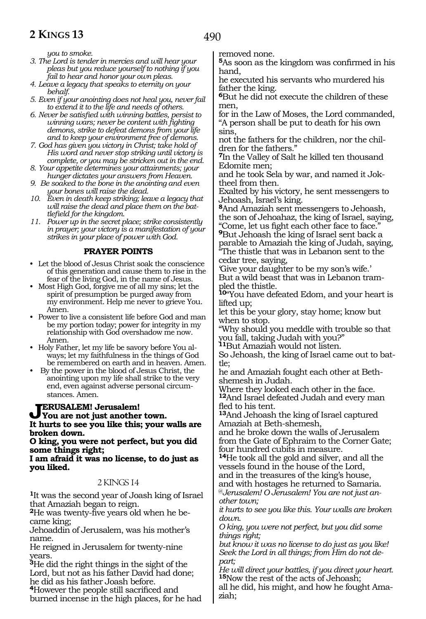*you to smoke.*

- *3. The Lord is tender in mercies and will hear your pleas but you reduce yourself to nothing if you fail to hear and honor your own pleas.*
- *4. Leave a legacy that speaks to eternity on your behalf.*
- *5. Even if your anointing does not heal you, never fail to extend it to the life and needs of others.*
- *6. Never be satisfied with winning battles, persist to winning wars; never be content with fighting demons, strike to defeat demons from your life and to keep your environment free of demons.*
- *7. God has given you victory in Christ; take hold of His word and never stop striking until victory is complete, or you may be stricken out in the end.*
- *8. Your appetite determines your attainments; your hunger dictates your answers from Heaven.*
- *9. Be soaked to the bone in the anointing and even your bones will raise the dead.*
- *10. Even in death keep striking; leave a legacy that will raise the dead and place them on the battlefield for the kingdom.*
- *11. Power up in the secret place; strike consistently in prayer; your victory is a manifestation of your strikes in your place of power with God.*

#### **PRAYER POINTS**

- Let the blood of Jesus Christ soak the conscience of this generation and cause them to rise in the fear of the living God, in the name of Jesus.
- Most High God, forgive me of all my sins; let the spirit of presumption be purged away from my environment. Help me never to grieve You. Amen.
- Power to live a consistent life before God and man be my portion today; power for integrity in my relationship with God overshadow me now. Amen.
- Holy Father, let my life be savory before You always; let my faithfulness in the things of God be remembered on earth and in heaven. Amen.
- By the power in the blood of Jesus Christ, the anointing upon my life shall strike to the very end, even against adverse personal circumstances. Amen.

# **Jerusalem! Jerusalem! You are not just another town. It hurts to see you like this; your walls are broken down.**

#### **O king, you were not perfect, but you did some things right;**

**I am afraid it was no license, to do just as you liked.**

#### 2 KINGS 14

**<sup>1</sup>**It was the second year of Joash king of Israel that Amaziah began to reign.

**2**He was twenty-five years old when he became king;

Jehoaddin of Jerusalem, was his mother's name.

He reigned in Jerusalem for twenty-nine years.

**<sup>3</sup>**He did the right things in the sight of the Lord, but not as his father David had done; he did as his father Joash before.

**<sup>4</sup>**However the people still sacrificed and burned incense in the high places, for he had removed none.

**<sup>5</sup>**As soon as the kingdom was confirmed in his hand,

he executed his servants who murdered his father the king.

**<sup>6</sup>**But he did not execute the children of these men,

for in the Law of Moses, the Lord commanded, "A person shall be put to death for his own sins,

not the fathers for the children, nor the children for the fathers."

**<sup>7</sup>**In the Valley of Salt he killed ten thousand Edomite men;

and he took Sela by war, and named it Joktheel from then.

Exalted by his victory, he sent messengers to Jehoash, Israel's king.

**<sup>8</sup>**And Amaziah sent messengers to Jehoash, the son of Jehoahaz, the king of Israel, saying, "Come, let us fight each other face to face." **<sup>9</sup>**But Jehoash the king of Israel sent back a parable to Amaziah the king of Judah, saying,

"The thistle that was in Lebanon sent to the cedar tree, saying,

'Give your daughter to be my son's wife.' But a wild beast that was in Lebanon trampled the thistle.

**<sup>10</sup>**"You have defeated Edom, and your heart is lifted up;

let this be your glory, stay home; know but when to stop.

"Why should you meddle with trouble so that you fall, taking Judah with you?"

**<sup>11</sup>**But Amaziah would not listen.

So Jehoash, the king of Israel came out to bat- tle;

he and Amaziah fought each other at Bethshemesh in Judah.

Where they looked each other in the face. **<sup>12</sup>**And Israel defeated Judah and every man fled to his tent.

**<sup>13</sup>**And Jehoash the king of Israel captured Amaziah at Beth-shemesh,

and he broke down the walls of Jerusalem from the Gate of Ephraim to the Corner Gate; four hundred cubits in measure.

**<sup>14</sup>**He took all the gold and silver, and all the vessels found in the house of the Lord, and in the treasures of the king's house,

and with hostages he returned to Samaria. @*Jerusalem! O Jerusalem! You are not just an-*

*other town; it hurts to see you like this. Your walls are broken down.*

*O king, you were not perfect, but you did some things right;*

*but know it was no license to do just as you like! Seek the Lord in all things; from Him do not depart;*

*He will direct your battles, if you direct your heart.* **<sup>15</sup>**Now the rest of the acts of Jehoash;

all he did, his might, and how he fought Amaziah;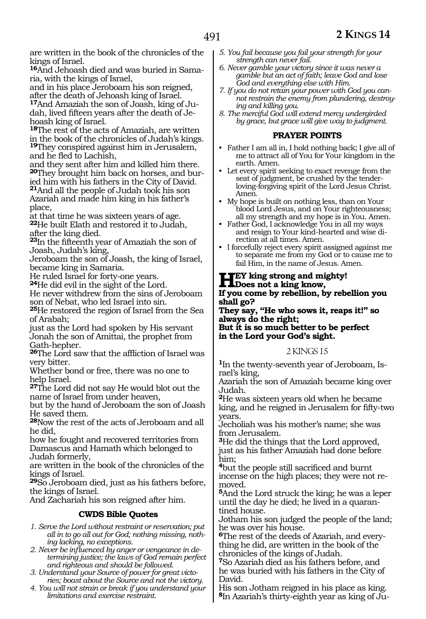are written in the book of the chronicles of the kings of Israel.

**16**And Jehoash died and was buried in Samaria, with the kings of Israel,

and in his place Jeroboam his son reigned, after the death of Jehoash king of Israel.

**17**And Amaziah the son of Joash, king of Judah, lived fifteen years after the death of Jehoash king of Israel.

**<sup>18</sup>**The rest of the acts of Amaziah, are written in the book of the chronicles of Judah's kings.

**<sup>19</sup>**They conspired against him in Jerusalem, and he fled to Lachish,

and they sent after him and killed him there. **<sup>20</sup>**They brought him back on horses, and bur- ied him with his fathers in the City of David. **<sup>21</sup>**And all the people of Judah took his son Azariah and made him king in his father's place,

at that time he was sixteen years of age.

**<sup>22</sup>**He built Elath and restored it to Judah, after the king died.

**<sup>23</sup>**In the fifteenth year of Amaziah the son of Joash, Judah's king,

Jeroboam the son of Joash, the king of Israel, became king in Samaria.

He ruled Israel for forty-one years.

**<sup>24</sup>**He did evil in the sight of the Lord.

He never withdrew from the sins of Jeroboam son of Nebat, who led Israel into sin.

**<sup>25</sup>**He restored the region of Israel from the Sea of Arabah;

just as the Lord had spoken by His servant Jonah the son of Amittai, the prophet from Gath-hepher.

**<sup>26</sup>**The Lord saw that the affliction of Israel was very bitter.

Whether bond or free, there was no one to help Israel.

**<sup>27</sup>**The Lord did not say He would blot out the name of Israel from under heaven,

but by the hand of Jeroboam the son of Joash He saved them.

**<sup>28</sup>**Now the rest of the acts of Jeroboam and all he did,

how he fought and recovered territories from Damascus and Hamath which belonged to Judah formerly,

are written in the book of the chronicles of the kings of Israel.

**<sup>29</sup>**So Jeroboam died, just as his fathers before, the kings of Israel.

And Zachariah his son reigned after him.

## **CWDS Bible Quotes**

- *1. Serve the Lord without restraint or reservation; put all in to go all out for God; nothing missing, nothing lacking, no exceptions.*
- *2. Never be influenced by anger or vengeance in determining justice; the laws of God remain perfect and righteous and should be followed.*
- *3. Understand your Source of power for great victories; boast about the Source and not the victory.*
- *4. You will not strain or break if you understand your limitations and exercise restraint.*
- *5. You fail because you fail your strength for your strength can never fail.*
- *6. Never gamble your victory since it was never a gamble but an act of faith; leave God and lose God and everything else with Him.*
- *7. If you do not retain your power with God you cannot restrain the enemy from plundering, destroying and killing you.*
- *8. The merciful God will extend mercy undergirded by grace, but grace will give way to judgment.*

#### **PRAYER POINTS**

- Father I am all in, I hold nothing back; I give all of me to attract all of You for Your kingdom in the earth. Amen.
- Let every spirit seeking to exact revenge from the seat of judgment, be crushed by the tenderloving-forgiving spirit of the Lord Jesus Christ. Amen.
- My hope is built on nothing less, than on Your blood Lord Jesus, and on Your righteousness; all my strength and my hope is in You. Amen.
- Father God, I acknowledge You in all my ways and resign to Your kind-hearted and wise direction at all times. Amen.
- I forcefully reject every spirit assigned against me to separate me from my God or to cause me to fail Him, in the name of Jesus. Amen.

# **Hey king strong and mighty! Does not a king know,**

#### **If you come by rebellion, by rebellion you shall go?**

**They say, "He who sows it, reaps it!" so always do the right; But it is so much better to be perfect in the Lord your God's sight.**

#### 2 KINGS 15

**1**In the twenty-seventh year of Jeroboam, Israel's king,

Azariah the son of Amaziah became king over Judah.

**<sup>2</sup>**He was sixteen years old when he became king, and he reigned in Jerusalem for fifty-two years.

Jecholiah was his mother's name; she was from Jerusalem.

**<sup>3</sup>**He did the things that the Lord approved, just as his father Amaziah had done before him;

**<sup>4</sup>**but the people still sacrificed and burnt incense on the high places; they were not removed.

**<sup>5</sup>**And the Lord struck the king; he was a leper until the day he died; he lived in a quarantined house.

Jotham his son judged the people of the land; he was over his house.

**6**The rest of the deeds of Azariah, and everything he did, are written in the book of the chronicles of the kings of Judah.

**<sup>7</sup>**So Azariah died as his fathers before, and he was buried with his fathers in the City of David.

His son Jotham reigned in his place as king. **8**In Azariah's thirty-eighth year as king of Ju-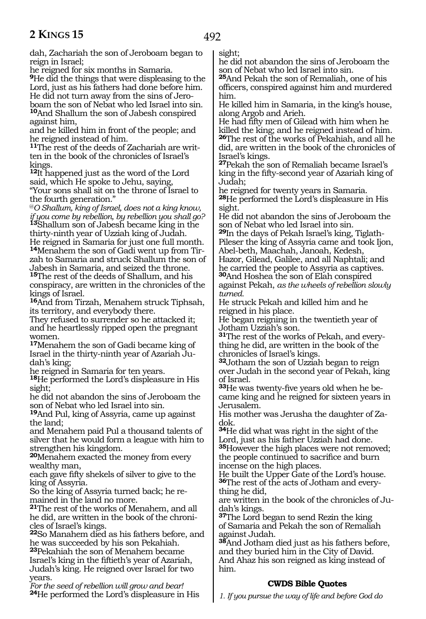dah, Zachariah the son of Jeroboam began to reign in Israel;

he reigned for six months in Samaria.

**<sup>9</sup>**He did the things that were displeasing to the Lord, just as his fathers had done before him. He did not turn away from the sins of Jeroboam the son of Nebat who led Israel into sin. **<sup>10</sup>**And Shallum the son of Jabesh conspired against him,

and he killed him in front of the people; and he reigned instead of him.

**11**The rest of the deeds of Zachariah are written in the book of the chronicles of Israel's kings.

**<sup>12</sup>**It happened just as the word of the Lord said, which He spoke to Jehu, saying, "Your sons shall sit on the throne of Israel to the fourth generation."

@*O Shallum, king of Israel, does not a king know, if you come by rebellion, by rebellion you shall go?* **<sup>13</sup>**Shallum son of Jabesh became king in the thirty-ninth year of Uzziah king of Judah. He reigned in Samaria for just one full month.

**14**Menahem the son of Gadi went up from Tirzah to Samaria and struck Shallum the son of Jabesh in Samaria, and seized the throne.

**<sup>15</sup>**The rest of the deeds of Shallum, and his conspiracy, are written in the chronicles of the kings of Israel.

**<sup>16</sup>**And from Tirzah, Menahem struck Tiphsah, its territory, and everybody there.

They refused to surrender so he attacked it; and he heartlessly ripped open the pregnant women.

**<sup>17</sup>**Menahem the son of Gadi became king of Israel in the thirty-ninth year of Azariah Judah's king;

he reigned in Samaria for ten years.

**<sup>18</sup>**He performed the Lord's displeasure in His sight;

he did not abandon the sins of Jeroboam the son of Nebat who led Israel into sin.

**<sup>19</sup>**And Pul, king of Assyria, came up against the land;

and Menahem paid Pul a thousand talents of silver that he would form a league with him to strengthen his kingdom.

**<sup>20</sup>**Menahem exacted the money from every wealthy man,

each gave fifty shekels of silver to give to the king of Assyria.

So the king of Assyria turned back; he remained in the land no more.

**<sup>21</sup>**The rest of the works of Menahem, and all he did, are written in the book of the chronicles of Israel's kings.

**<sup>22</sup>**So Manahem died as his fathers before, and he was succeeded by his son Pekahiah.

**<sup>23</sup>**Pekahiah the son of Menahem became Israel's king in the fiftieth's year of Azariah, Judah's king. He reigned over Israel for two years.

*For the seed of rebellion will grow and bear!* **<sup>24</sup>**He performed the Lord's displeasure in His sight;

he did not abandon the sins of Jeroboam the son of Nebat who led Israel into sin.

**<sup>25</sup>**And Pekah the son of Remaliah, one of his officers, conspired against him and murdered him.

He killed him in Samaria, in the king's house, along Argob and Arieh.

He had fifty men of Gilead with him when he killed the king; and he reigned instead of him. **<sup>26</sup>**The rest of the works of Pekahiah, and all he did, are written in the book of the chronicles of Israel's kings.

**<sup>27</sup>**Pekah the son of Remaliah became Israel's king in the fifty-second year of Azariah king of Judah;

he reigned for twenty years in Samaria. **<sup>28</sup>**He performed the Lord's displeasure in His

sight. He did not abandon the sins of Jeroboam the

son of Nebat who led Israel into sin.

**29**In the days of Pekah Israel's king, Tiglath-Pileser the king of Assyria came and took Ijon, Abel-beth, Maachah, Janoah, Kedesh,

Hazor, Gilead, Galilee, and all Naphtali; and he carried the people to Assyria as captives.

**<sup>30</sup>**And Hoshea the son of Elah conspired against Pekah, *as the wheels of rebellion slowly turned.*

He struck Pekah and killed him and he reigned in his place.

He began reigning in the twentieth year of Jotham Uzziah's son.

**<sup>31</sup>**The rest of the works of Pekah, and every- thing he did, are written in the book of the chronicles of Israel's kings.

**<sup>32</sup>**Jotham the son of Uzziah began to reign over Judah in the second year of Pekah, king of Israel.

**<sup>33</sup>**He was twenty-five years old when he be- came king and he reigned for sixteen years in Jerusalem.

His mother was Jerusha the daughter of Zadok.

**<sup>34</sup>**He did what was right in the sight of the Lord, just as his father Uzziah had done. **<sup>35</sup>**However the high places were not removed; the people continued to sacrifice and burn

incense on the high places. He built the Upper Gate of the Lord's house. **36**The rest of the acts of Jotham and everything he did,

are written in the book of the chronicles of Judah's kings.

**<sup>37</sup>**The Lord began to send Rezin the king of Samaria and Pekah the son of Remaliah against Judah.

**<sup>38</sup>**And Jotham died just as his fathers before, and they buried him in the City of David. And Ahaz his son reigned as king instead of him.

## **CWDS Bible Quotes**

*1. If you pursue the way of life and before God do*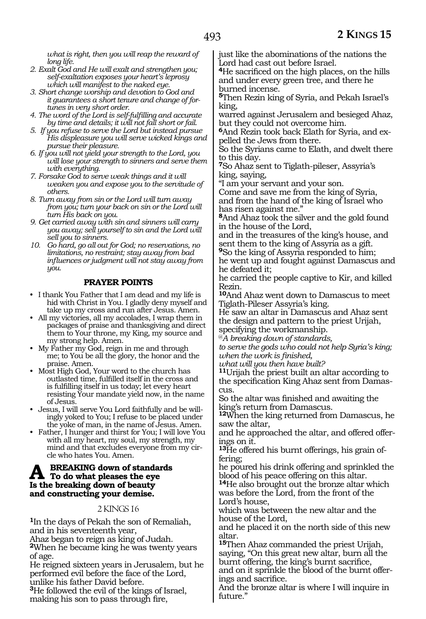*what is right, then you will reap the reward of long life.* 

- *2. Exalt God and He will exalt and strengthen you; self-exaltation exposes your heart's leprosy which will manifest to the naked eye.*
- *3. Short change worship and devotion to God and it guarantees a short tenure and change of fortunes in very short order.*
- *4. The word of the Lord is self-fulfilling and accurate by time and details; it will not fall short or fail.*
- *5. If you refuse to serve the Lord but instead pursue His displeasure you will serve wicked kings and pursue their pleasure.*
- *6. If you will not yield your strength to the Lord, you will lose your strength to sinners and serve them with everything.*
- *7. Forsake God to serve weak things and it will weaken you and expose you to the servitude of others.*
- *8. Turn away from sin or the Lord will turn away from you; turn your back on sin or the Lord will turn His back on you.*
- *9. Get carried away with sin and sinners will carry you away; sell yourself to sin and the Lord will sell you to sinners.*
- *10. Go hard, go all out for God; no reservations, no limitations, no restraint; stay away from bad influences or judgment will not stay away from you.*

## **PRAYER POINTS**

- I thank You Father that I am dead and my life is hid with Christ in You. I gladly deny myself and take up my cross and run after Jesus. Amen.
- All my victories, all my accolades, I wrap them in packages of praise and thanksgiving and direct them to Your throne, my King, my source and my strong help. Amen.
- My Father my God, reign in me and through me; to You be all the glory, the honor and the praise. Amen.
- Most High God, Your word to the church has outlasted time, fulfilled itself in the cross and is fulfilling itself in us today; let every heart resisting Your mandate yield now, in the name of Jesus.
- Jesus, I will serve You Lord faithfully and be willingly yoked to You; I refuse to be placed under the yoke of man, in the name of Jesus. Amen.
- Father, I hunger and thirst for You; I will love You with all my heart, my soul, my strength, my mind and that excludes everyone from my circle who hates You. Amen.

# **A** BREAKING down of standards<br>To do what pleases the eye **Is the breaking down of beauty and constructing your demise.**

#### 2 KINGS 16

**<sup>1</sup>**In the days of Pekah the son of Remaliah, and in his seventeenth year,

Ahaz began to reign as king of Judah.

**<sup>2</sup>**When he became king he was twenty years of age.

He reigned sixteen years in Jerusalem, but he performed evil before the face of the Lord, unlike his father David before.

**<sup>3</sup>**He followed the evil of the kings of Israel, making his son to pass through fire,

just like the abominations of the nations the Lord had cast out before Israel.

**<sup>4</sup>**He sacrificed on the high places, on the hills and under every green tree, and there he burned incense.

**<sup>5</sup>**Then Rezin king of Syria, and Pekah Israel's king,

warred against Jerusalem and besieged Ahaz, but they could not overcome him.

**6**And Rezin took back Elath for Syria, and expelled the Jews from there.

So the Syrians came to Elath, and dwelt there to this day.

**<sup>7</sup>**So Ahaz sent to Tiglath-pileser, Assyria's king, saying,

"I am your servant and your son.

Come and save me from the king of Syria, and from the hand of the king of Israel who has risen against me."

**<sup>8</sup>**And Ahaz took the silver and the gold found in the house of the Lord,

and in the treasures of the king's house, and sent them to the king of Assyria as a gift.

**<sup>9</sup>**So the king of Assyria responded to him; he went up and fought against Damascus and he defeated it;

he carried the people captive to Kir, and killed Rezin.

**<sup>10</sup>**And Ahaz went down to Damascus to meet Tiglath-Pileser Assyria's king.

He saw an altar in Damascus and Ahaz sent the design and pattern to the priest Urijah, specifying the workmanship.

@*A breaking down of standards,*

*to serve the gods who could not help Syria's king; when the work is finished,*

*what will you then have built?*

**<sup>11</sup>**Urijah the priest built an altar according to the specification King Ahaz sent from Damas- cus.

So the altar was finished and awaiting the king's return from Damascus.

**<sup>12</sup>**When the king returned from Damascus, he saw the altar,

and he approached the altar, and offered offerings on it.

**13**He offered his burnt offerings, his grain offering;

he poured his drink offering and sprinkled the blood of his peace offering on this altar.

**<sup>14</sup>**He also brought out the bronze altar which was before the Lord, from the front of the Lord's house,

which was between the new altar and the house of the Lord,

and he placed it on the north side of this new altar.

**<sup>15</sup>**Then Ahaz commanded the priest Urijah, saying, "On this great new altar, burn all the burnt offering, the king's burnt sacrifice, and on it sprinkle the blood of the burnt offer-

ings and sacrifice.

And the bronze altar is where I will inquire in future."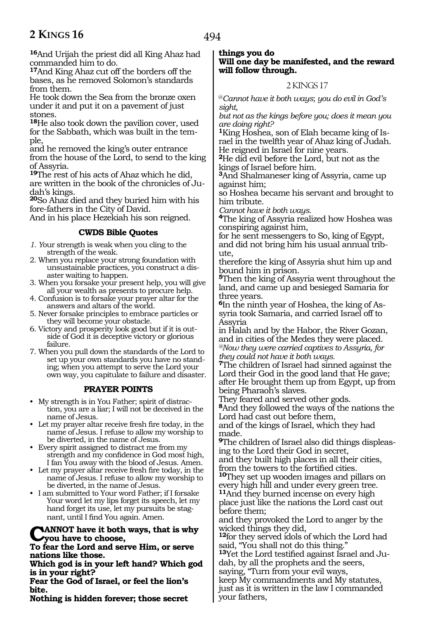494

**<sup>16</sup>**And Urijah the priest did all King Ahaz had commanded him to do.

**<sup>17</sup>**And King Ahaz cut off the borders off the bases, as he removed Solomon's standards from them.

He took down the Sea from the bronze oxen under it and put it on a pavement of just stones.

**<sup>18</sup>**He also took down the pavilion cover, used for the Sabbath, which was built in the tem- ple,

and he removed the king's outer entrance from the house of the Lord, to send to the king of Assyria.

**<sup>19</sup>**The rest of his acts of Ahaz which he did, are written in the book of the chronicles of Judah's kings.

**<sup>20</sup>**So Ahaz died and they buried him with his fore-fathers in the City of David.

And in his place Hezekiah his son reigned.

# **CWDS Bible Quotes**

*1. Y*our strength is weak when you cling to the strength of the weak.

2. When you replace your strong foundation with unsustainable practices, you construct a disaster waiting to happen.

3. When you forsake your present help, you will give all your wealth as presents to procure help.

4. Confusion is to forsake your prayer altar for the answers and altars of the world.

5. Never forsake principles to embrace particles or they will become your obstacle.

6. Victory and prosperity look good but if it is outside of God it is deceptive victory or glorious failure.

7. When you pull down the standards of the Lord to set up your own standards you have no standing; when you attempt to serve the Lord your own way, you capitulate to failure and disaster.

## **PRAYER POINTS**

• My strength is in You Father; spirit of distraction, you are a liar; I will not be deceived in the name of Jesus.

• Let my prayer altar receive fresh fire today, in the name of Jesus. I refuse to allow my worship to be diverted, in the name of Jesus.

• Every spirit assigned to distract me from my strength and my confidence in God most high, I fan You away with the blood of Jesus. Amen.

• Let my prayer altar receive fresh fire today, in the name of Jesus. I refuse to allow my worship to be diverted, in the name of Jesus.

• I am submitted to Your word Father; if I forsake Your word let my lips forget its speech, let my hand forget its use, let my pursuits be stagnant, until I find You again. Amen.

**CANNOT have it both ways, that is why you have to choose,**

**To fear the Lord and serve Him, or serve nations like those.**

**Which god is in your left hand? Which god is in your right?**

**Fear the God of Israel, or feel the lion's bite.**

**Nothing is hidden forever; those secret** 

**things you do Will one day be manifested, and the reward will follow through.**

# 2 KINGS 17

@*Cannot have it both ways*; *you do evil in God's sight,*

*but not as the kings before you; does it mean you are doing right?*

**1**King Hoshea, son of Elah became king of Israel in the twelfth year of Ahaz king of Judah. He reigned in Israel for nine years.

**<sup>2</sup>**He did evil before the Lord, but not as the kings of Israel before him.

**<sup>3</sup>**And Shalmaneser king of Assyria, came up against him;

so Hoshea became his servant and brought to him tribute.

*Cannot have it both ways.*

**<sup>4</sup>**The king of Assyria realized how Hoshea was conspiring against him,

for he sent messengers to So, king of Egypt, and did not bring him his usual annual tribute,

therefore the king of Assyria shut him up and bound him in prison.

**<sup>5</sup>**Then the king of Assyria went throughout the land, and came up and besieged Samaria for three years.

**6**In the ninth year of Hoshea, the king of Assyria took Samaria, and carried Israel off to Assyria

in Halah and by the Habor, the River Gozan, and in cities of the Medes they were placed. *@Now they were carried captives to Assyria, for they could not have it both ways.*

**<sup>7</sup>**The children of Israel had sinned against the Lord their God in the good land that He gave; after He brought them up from Egypt, up from being Pharaoh's slaves.

They feared and served other gods.

**<sup>8</sup>**And they followed the ways of the nations the Lord had cast out before them,

and of the kings of Israel, which they had made.

**9**The children of Israel also did things displeasing to the Lord their God in secret,

and they built high places in all their cities, from the towers to the fortified cities.

**<sup>10</sup>**They set up wooden images and pillars on every high hill and under every green tree. **<sup>11</sup>**And they burned incense on every high place just like the nations the Lord cast out before them;

and they provoked the Lord to anger by the wicked things they did,

**<sup>12</sup>**for they served idols of which the Lord had said, "You shall not do this thing."

**13**Yet the Lord testified against Israel and Judah, by all the prophets and the seers,

saying, "Turn from your evil ways, keep My commandments and My statutes,

just as it is written in the law I commanded your fathers,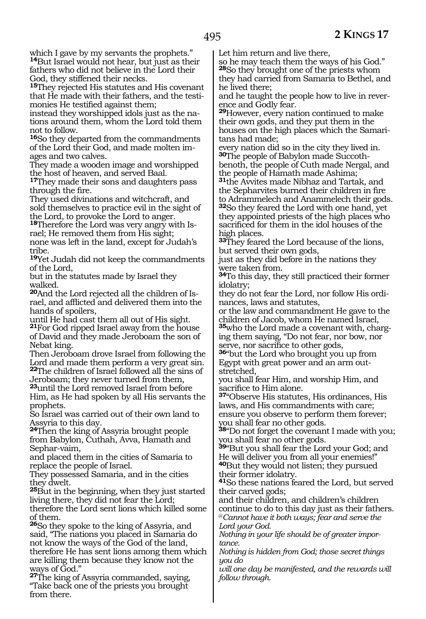which I gave by my servants the prophets." **<sup>14</sup>**But Israel would not hear, but just as their fathers who did not believe in the Lord their God, they stiffened their necks.

**<sup>15</sup>**They rejected His statutes and His covenant that He made with their fathers, and the testimonies He testified against them;

instead they worshipped idols just as the nations around them, whom the Lord told them not to follow.

**<sup>16</sup>**So they departed from the commandments of the Lord their God, and made molten images and two calves.

They made a wooden image and worshipped the host of heaven, and served Baal.

**<sup>17</sup>**They made their sons and daughters pass through the fire.

They used divinations and witchcraft, and sold themselves to practice evil in the sight of the Lord, to provoke the Lord to anger.

**18**Therefore the Lord was very angry with Israel; He removed them from His sight; none was left in the land, except for Judah's tribe.

**<sup>19</sup>**Yet Judah did not keep the commandments of the Lord,

but in the statutes made by Israel they walked.

**20**And the Lord rejected all the children of Israel, and afflicted and delivered them into the hands of spoilers,

until He had cast them all out of His sight.

**<sup>21</sup>**For God ripped Israel away from the house of David and they made Jeroboam the son of Nebat king.

Then Jeroboam drove Israel from following the Lord and made them perform a very great sin. **<sup>22</sup>**The children of Israel followed all the sins of

Jeroboam; they never turned from them, **<sup>23</sup>**until the Lord removed Israel from before

Him, as He had spoken by all His servants the prophets.

So Israel was carried out of their own land to Assyria to this day.

**<sup>24</sup>**Then the king of Assyria brought people from Babylon, Cuthah, Avva, Hamath and Sephar-vaim,

and placed them in the cities of Samaria to replace the people of Israel.

They possessed Samaria, and in the cities they dwelt.

**<sup>25</sup>**But in the beginning, when they just started living there, they did not fear the Lord;

therefore the Lord sent lions which killed some of them.

**<sup>26</sup>**So they spoke to the king of Assyria, and said, "The nations you placed in Samaria do not know the ways of the God of the land, therefore He has sent lions among them which are killing them because they know not the ways of God."

**<sup>27</sup>**The king of Assyria commanded, saying, "Take back one of the priests you brought from there.

Let him return and live there,

so he may teach them the ways of his God." **<sup>28</sup>**So they brought one of the priests whom they had carried from Samaria to Bethel, and he lived there;

and he taught the people how to live in reverence and Godly fear.

**<sup>29</sup>**However, every nation continued to make their own gods, and they put them in the houses on the high places which the Samaritans had made;

every nation did so in the city they lived in. **30**The people of Babylon made Succothbenoth, the people of Cuth made Nergal, and

the people of Hamath made Ashima; **<sup>31</sup>**the Avvites made Nibhaz and Tartak, and the Sepharvites burned their children in fire to Adrammelech and Anammelech their gods. **<sup>32</sup>**So they feared the Lord with one hand, yet they appointed priests of the high places who sacrificed for them in the idol houses of the high places.

**<sup>33</sup>**They feared the Lord because of the lions, but served their own gods,

just as they did before in the nations they were taken from.

**<sup>34</sup>**To this day, they still practiced their former idolatry;

they do not fear the Lord, nor follow His ordinances, laws and statutes,

or the law and commandment He gave to the children of Jacob, whom He named Israel,

**35**who the Lord made a covenant with, charging them saying, "Do not fear, nor bow, nor serve, nor sacrifice to other gods,

**<sup>36</sup>**"but the Lord who brought you up from Egypt with great power and an arm outstretched,

you shall fear Him, and worship Him, and sacrifice to Him alone.

**<sup>37</sup>**"Observe His statutes, His ordinances, His laws, and His commandments with care; ensure you observe to perform them forever; you shall fear no other gods.

**<sup>38</sup>**"Do not forget the covenant I made with you; you shall fear no other gods.

**<sup>39</sup>**"But you shall fear the Lord your God; and He will deliver you from all your enemies!" **<sup>40</sup>**But they would not listen; they pursued their former idolatry.

**<sup>41</sup>**So these nations feared the Lord, but served their carved gods;

and their children, and children's children continue to do to this day just as their fathers. @*Cannot have it both ways; fear and serve the Lord your God.*

*Nothing in your life should be of greater importance.*

*Nothing is hidden from God; those secret things you do*

*will one day be manifested, and the rewards will follow through.*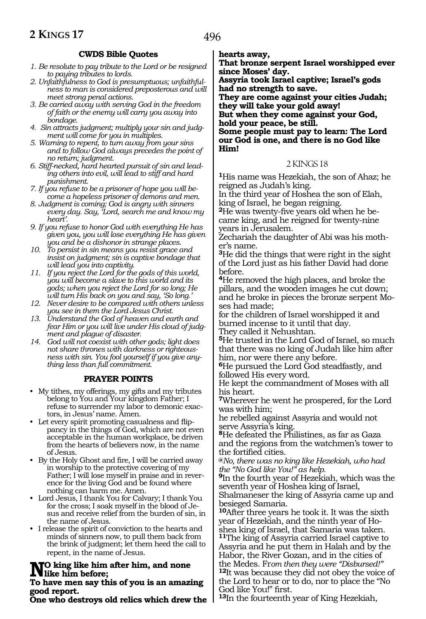# **CWDS Bible Quotes**

- *1. Be resolute to pay tribute to the Lord or be resigned to paying tributes to lords.*
- *2. Unfaithfulness to God is presumptuous; unfaithfulness to man is considered preposterous and will meet strong penal actions.*
- *3. Be carried away with serving God in the freedom of faith or the enemy will carry you away into bondage.*
- *4. Sin attracts judgment; multiply your sin and judgment will come for you in multiples.*
- *5. Warning to repent, to turn away from your sins and to follow God always precedes the point of no return; judgment.*
- *6. Stiff-necked, hard hearted pursuit of sin and leading others into evil, will lead to stiff and hard punishment.*
- *7. If you refuse to be a prisoner of hope you will become a hopeless prisoner of demons and men.*
- *8. Judgment is coming; God is angry with sinners every day. Say, 'Lord, search me and know my heart'.*
- *9. If you refuse to honor God with everything He has given you, you will lose everything He has given you and be a dishonor in strange places.*
- *10. To persist in sin means you resist grace and insist on judgment; sin is captive bondage that will lead you into captivity.*
- *11. If you reject the Lord for the gods of this world, you will become a slave to this world and its gods; when you reject the Lord for so long; He will turn His back on you and say, 'So long.'*
- *12. Never desire to be compared with others unless you see in them the Lord Jesus Christ.*
- *13. Understand the God of heaven and earth and fear Him or you will live under His cloud of judgment and plague of disaster.*
- *14. God will not coexist with other gods; light does not share thrones with darkness or righteousness with sin. You fool yourself if you give anything less than full commitment.*

## **PRAYER POINTS**

- My tithes, my offerings, my gifts and my tributes belong to You and Your kingdom Father; I refuse to surrender my labor to demonic exactors, in Jesus' name. Amen.
- Let every spirit promoting casualness and flippancy in the things of God, which are not even acceptable in the human workplace, be driven from the hearts of believers now, in the name of Jesus.
- By the Holy Ghost and fire, I will be carried away in worship to the protective covering of my Father; I will lose myself in praise and in reverence for the living God and be found where nothing can harm me. Amen.
- Lord Jesus, I thank You for Calvary; I thank You for the cross; I soak myself in the blood of Jesus and receive relief from the burden of sin, in the name of Jesus.
- I release the spirit of conviction to the hearts and minds of sinners now, to pull them back from the brink of judgment; let them heed the call to repent, in the name of Jesus.

# **NO** king like him after him, and none<br>The have man can this of you is an amoni

#### **To have men say this of you is an amazing good report.**

**One who destroys old relics which drew the** 

**hearts away,**

**That bronze serpent Israel worshipped ever since Moses' day.**

**Assyria took Israel captive; Israel's gods had no strength to save.**

**They are come against your cities Judah; they will take your gold away! But when they come against your God, hold your peace, be still.**

**Some people must pay to learn: The Lord our God is one, and there is no God like Him!**

#### 2 KINGS 18

**<sup>1</sup>**His name was Hezekiah, the son of Ahaz; he reigned as Judah's king.

In the third year of Hoshea the son of Elah, king of Israel, he began reigning.

**<sup>2</sup>**He was twenty-five years old when he be- came king, and he reigned for twenty-nine years in Jerusalem.

Zechariah the daughter of Abi was his moth- er's name.

**<sup>3</sup>**He did the things that were right in the sight of the Lord just as his father David had done before.

**<sup>4</sup>**He removed the high places, and broke the pillars, and the wooden images he cut down; and he broke in pieces the bronze serpent Mo- ses had made;

for the children of Israel worshipped it and burned incense to it until that day. They called it Nehushtan.

**<sup>5</sup>**He trusted in the Lord God of Israel, so much that there was no king of Judah like him after him, nor were there any before.

**<sup>6</sup>**He pursued the Lord God steadfastly, and followed His every word.

He kept the commandment of Moses with all his heart.

**<sup>7</sup>**Wherever he went he prospered, for the Lord was with him;

he rebelled against Assyria and would not serve Assyria's king.

**<sup>8</sup>**He defeated the Philistines, as far as Gaza and the regions from the watchmen's tower to the fortified cities.

**@***No, there was no king like Hezekiah, who had the "No God like You!" as help.*

**<sup>9</sup>**In the fourth year of Hezekiah, which was the seventh year of Hoshea king of Israel,

Shalmaneser the king of Assyria came up and besieged Samaria.

**<sup>10</sup>**After three years he took it. It was the sixth year of Hezekiah, and the ninth year of Hoshea king of Israel, that Samaria was taken. **<sup>11</sup>**The king of Assyria carried Israel captive to Assyria and he put them in Halah and by the Habor, the River Gozan, and in the cities of the Medes. From then they were "Disbursed!" <sup>12</sup>It was because they did not obey the voice of the Lord to hear or to do, nor to place the "No God like You!" first.

**<sup>13</sup>**In the fourteenth year of King Hezekiah,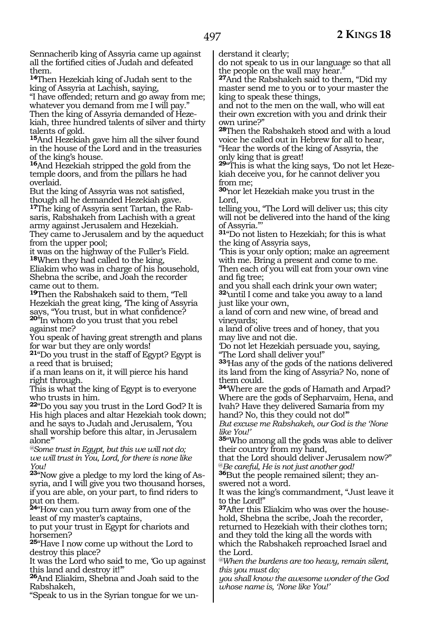Sennacherib king of Assyria came up against all the fortified cities of Judah and defeated them.

**<sup>14</sup>**Then Hezekiah king of Judah sent to the king of Assyria at Lachish, saying,

"I have offended; return and go away from me; whatever you demand from me I will pay." Then the king of Assyria demanded of Hezekiah, three hundred talents of silver and thirty talents of gold.

**<sup>15</sup>**And Hezekiah gave him all the silver found in the house of the Lord and in the treasuries of the king's house.

**<sup>16</sup>**And Hezekiah stripped the gold from the temple doors, and from the pillars he had overlaid.

But the king of Assyria was not satisfied, though all he demanded Hezekiah gave.

**17**The king of Assyria sent Tartan, the Rabsaris, Rabshakeh from Lachish with a great army against Jerusalem and Hezekiah. They came to Jerusalem and by the aqueduct from the upper pool;

it was on the highway of the Fuller's Field. **<sup>18</sup>**When they had called to the king, Eliakim who was in charge of his household, Shebna the scribe, and Joah the recorder came out to them.

**<sup>19</sup>**Then the Rabshakeh said to them, "Tell Hezekiah the great king, 'The king of Assyria says, "You trust, but in what confidence? **<sup>20</sup>**"In whom do you trust that you rebel against me?

You speak of having great strength and plans for war but they are only words!

**<sup>21</sup>**"Do you trust in the staff of Egypt? Egypt is a reed that is bruised;

if a man leans on it, it will pierce his hand right through.

This is what the king of Egypt is to everyone who trusts in him.

**<sup>22</sup>**"Do you say you trust in the Lord God? It is His high places and altar Hezekiah took down; and he says to Judah and Jerusalem, 'You shall worship before this altar, in Jerusalem alone'"

*@Some trust in Egypt, but this we will not do; we will trust in You, Lord, for there is none like You!*

**23**"Now give a pledge to my lord the king of Assyria, and I will give you two thousand horses, if you are able, on your part, to find riders to put on them.

**<sup>24</sup>**"How can you turn away from one of the least of my master's captains,

to put your trust in Egypt for chariots and horsemen?

**<sup>25</sup>**"Have I now come up without the Lord to destroy this place?

It was the Lord who said to me, 'Go up against this land and destroy it!'"

**<sup>26</sup>**And Eliakim, Shebna and Joah said to the Rabshakeh,

"Speak to us in the Syrian tongue for we un-

derstand it clearly;

do not speak to us in our language so that all the people on the wall may hear.

**<sup>27</sup>**And the Rabshakeh said to them, "Did my master send me to you or to your master the king to speak these things,

and not to the men on the wall, who will eat their own excretion with you and drink their own urine?"

**<sup>28</sup>**Then the Rabshakeh stood and with a loud voice he called out in Hebrew for all to hear,

"Hear the words of the king of Assyria, the only king that is great!

**29**"This is what the king says, 'Do not let Hezekiah deceive you, for he cannot deliver you from me;

**<sup>30</sup>**'nor let Hezekiah make you trust in the Lord,

telling you, "The Lord will deliver us; this city will not be delivered into the hand of the king of Assyria."'

**<sup>31</sup>**"Do not listen to Hezekiah; for this is what the king of Assyria says,

'This is your only option; make an agreement with me. Bring a present and come to me.

Then each of you will eat from your own vine and fig tree;

and you shall each drink your own water; **<sup>32</sup>**'until I come and take you away to a land just like your own,

a land of corn and new wine, of bread and vineyards;

a land of olive trees and of honey, that you may live and not die.

'Do not let Hezekiah persuade you, saying, "The Lord shall deliver you!"

**<sup>33</sup>**'Has any of the gods of the nations delivered its land from the king of Assyria? No, none of them could.

**<sup>34</sup>**'Where are the gods of Hamath and Arpad? Where are the gods of Sepharvaim, Hena, and Ivah? Have they delivered Samaria from my hand? No, this they could not do!"

*But excuse me Rabshakeh, our God is the 'None like You!'*

**<sup>35</sup>**"Who among all the gods was able to deliver their country from my hand,

that the Lord should deliver Jerusalem now?" @*Be careful, He is not just another god!*

**36**But the people remained silent; they answered not a word.

It was the king's commandment, "Just leave it to the Lord!"

**37**After this Eliakim who was over the household, Shebna the scribe, Joah the recorder,

returned to Hezekiah with their clothes torn; and they told the king all the words with

which the Rabshakeh reproached Israel and the Lord.

*@When the burdens are too heavy, remain silent, this you must do;*

*you shall know the awesome wonder of the God whose name is, 'None like You!'*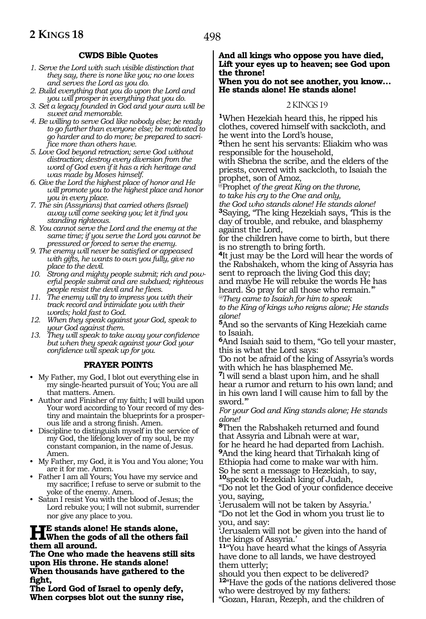# **CWDS Bible Quotes**

- *1. Serve the Lord with such visible distinction that they say, there is none like you; no one loves and serves the Lord as you do.*
- *2. Build everything that you do upon the Lord and you will prosper in everything that you do.*
- *3. Set a legacy founded in God and your aura will be sweet and memorable.*
- *4. Be willing to serve God like nobody else; be ready to go further than everyone else; be motivated to go harder and to do more; be prepared to sacrifice more than others have.*
- *5. Love God beyond retraction; serve God without distraction; destroy every diversion from the word of God even if it has a rich heritage and was made by Moses himself.*
- *6. Give the Lord the highest place of honor and He will promote you to the highest place and honor you in every place.*
- *7. The sin (Assyrians) that carried others (Israel) away will come seeking you; let it find you standing righteous.*
- *8. You cannot serve the Lord and the enemy at the same time; if you serve the Lord you cannot be pressured or forced to serve the enemy.*
- *9. The enemy will never be satisfied or appeased with gifts, he wants to own you fully, give no place to the devil.*
- *10. Strong and mighty people submit; rich and powerful people submit and are subdued; righteous people resist the devil and he flees.*
- *11. The enemy will try to impress you with their track record and intimidate you with their words; hold fast to God.*
- *12. When they speak against your God, speak to your God against them.*
- *13. They will speak to take away your confidence but when they speak against your God your confidence will speak up for you.*

#### **PRAYER POINTS**

- My Father, my God, I blot out everything else in my single-hearted pursuit of You; You are all that matters. Amen.
- Author and Finisher of my faith; I will build upon Your word according to Your record of my destiny and maintain the blueprints for a prosperous life and a strong finish. Amen.
- Discipline to distinguish myself in the service of my God, the lifelong lover of my soul, be my constant companion, in the name of Jesus. Amen.
- My Father, my God, it is You and You alone; You are it for me. Amen.
- Father I am all Yours; You have my service and my sacrifice; I refuse to serve or submit to the yoke of the enemy. Amen.
- Satan I resist You with the blood of Jesus; the Lord rebuke you; I will not submit, surrender nor give any place to you.

# **He stands alone! He stands alone, When the gods of all the others fail them all around.**

**The One who made the heavens still sits upon His throne. He stands alone! When thousands have gathered to the fight,**

**The Lord God of Israel to openly defy, When corpses blot out the sunny rise,**

#### **And all kings who oppose you have died, Lift your eyes up to heaven; see God upon the throne!**

#### **When you do not see another, you know… He stands alone! He stands alone!**

#### 2 KINGS 19

**<sup>1</sup>**When Hezekiah heard this, he ripped his clothes, covered himself with sackcloth, and he went into the Lord's house,

**<sup>2</sup>**then he sent his servants: Eliakim who was responsible for the household,

with Shebna the scribe, and the elders of the priests, covered with sackcloth, to Isaiah the prophet, son of Amoz,

@Prophet *of the great King on the throne, to take his cry to the One and only,* 

*the God who stands alone! He stands alone!* **<sup>3</sup>**Saying, "The king Hezekiah says, 'This is the day of trouble, and rebuke, and blasphemy against the Lord,

for the children have come to birth, but there is no strength to bring forth.

**<sup>4</sup>**It just may be the Lord will hear the words of the Rabshakeh, whom the king of Assyria has sent to reproach the living God this day; and maybe He will rebuke the words He has heard. So pray for all those who remain.'"

*@They came to Isaiah for him to speak to the King of kings who reigns alone; He stands alone!*

**<sup>5</sup>**And so the servants of King Hezekiah came to Isaiah.

**<sup>6</sup>**And Isaiah said to them, "Go tell your master, this is what the Lord says:

'Do not be afraid of the king of Assyria's words with which he has blasphemed Me.

**<sup>7</sup>**l will send a blast upon him, and he shall hear a rumor and return to his own land; and in his own land I will cause him to fall by the sword.'"

*For your God and King stands alone; He stands alone!*

**<sup>8</sup>**Then the Rabshakeh returned and found that Assyria and Libnah were at war, for he heard he had departed from Lachish. **<sup>9</sup>**And the king heard that Tirhakah king of Ethiopia had come to make war with him. So he sent a message to Hezekiah, to say, **<sup>10</sup>**speak to Hezekiah king of Judah,

"Do not let the God of your confidence deceive you, saying,

'Jerusalem will not be taken by Assyria.' "Do not let the God in whom you trust lie to you, and say:

'Jerusalem will not be given into the hand of the kings of Assyria.'

**<sup>11</sup>**"You have heard what the kings of Assyria have done to all lands, we have destroyed them utterly;

should you then expect to be delivered? **<sup>12</sup>**"Have the gods of the nations delivered those who were destroyed by my fathers:

"Gozan, Haran, Rezeph, and the children of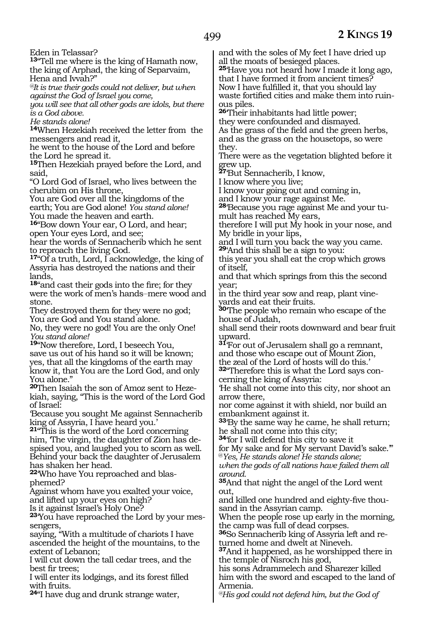Eden in Telassar?

**<sup>13</sup>**"Tell me where is the king of Hamath now, the king of Arphad, the king of Separvaim, Hena and Ivvah?"

*@It is true their gods could not deliver, but when against the God of Israel you come,*

*you will see that all other gods are idols, but there is a God above.*

*He stands alone!*

**<sup>14</sup>**When Hezekiah received the letter from the messengers and read it,

he went to the house of the Lord and before the Lord he spread it.

**<sup>15</sup>**Then Hezekiah prayed before the Lord, and said,

"O Lord God of Israel, who lives between the cherubim on His throne,

You are God over all the kingdoms of the earth; You are God alone! *You stand alone!* You made the heaven and earth.

**<sup>16</sup>**"Bow down Your ear, O Lord, and hear; open Your eyes Lord, and see;

hear the words of Sennacherib which he sent to reproach the living God.

**<sup>17</sup>**"Of a truth, Lord, I acknowledge, the king of Assyria has destroyed the nations and their lands,

**<sup>18</sup>**"and cast their gods into the fire; for they were the work of men's hands-mere wood and stone.

They destroyed them for they were no god; You are God and You stand alone.

No, they were no god! You are the only One! *You stand alone!*

**<sup>19</sup>**"Now therefore, Lord, I beseech You, save us out of his hand so it will be known; yes, that all the kingdoms of the earth may know it, that You are the Lord God, and only You alone."

**<sup>20</sup>**Then Isaiah the son of Amoz sent to Heze- kiah, saying, "This is the word of the Lord God of Israel:

'Because you sought Me against Sennacherib king of Assyria, I have heard you.'

**<sup>21</sup>**"This is the word of the Lord concerning him, 'The virgin, the daughter of Zion has despised you, and laughed you to scorn as well. Behind your back the daughter of Jerusalem has shaken her head.

**22**'Who have You reproached and blasphemed?

Against whom have you exalted your voice, and lifted up your eyes on high?

Is it against Israel's Holy One?

**23**'You have reproached the Lord by your messengers,

saying, "With a multitude of chariots I have ascended the height of the mountains, to the extent of Lebanon;

I will cut down the tall cedar trees, and the best fir trees;

I will enter its lodgings, and its forest filled with fruits.

**<sup>24</sup>**"I have dug and drunk strange water,

and with the soles of My feet I have dried up all the moats of besieged places.

**<sup>25</sup>**'Have you not heard how I made it long ago, that I have formed it from ancient times? Now I have fulfilled it, that you should lay waste fortified cities and make them into ruinous piles.

**<sup>26</sup>**'Their inhabitants had little power; they were confounded and dismayed. As the grass of the field and the green herbs, and as the grass on the housetops, so were they.

There were as the vegetation blighted before it grew up.

**<sup>27</sup>**'But Sennacherib, I know,

I know where you live;

I know your going out and coming in,

and I know your rage against Me.

**28**'Because you rage against Me and your tumult has reached My ears,

therefore I will put My hook in your nose, and My bridle in your lips,

and I will turn you back the way you came. **<sup>29</sup>**'And this shall be a sign to you:

this year you shall eat the crop which grows of itself,

and that which springs from this the second year;

in the third year sow and reap, plant vineyards and eat their fruits.

**<sup>30</sup>**'The people who remain who escape of the house of Judah,

shall send their roots downward and bear fruit upward.

**<sup>31</sup>**'For out of Jerusalem shall go a remnant, and those who escape out of Mount Zion,

the zeal of the Lord of hosts will do this.' **32**"Therefore this is what the Lord says concerning the king of Assyria:

'He shall not come into this city, nor shoot an arrow there,

nor come against it with shield, nor build an embankment against it.

**<sup>33</sup>**'By the same way he came, he shall return; he shall not come into this city;

**<sup>34</sup>**'for I will defend this city to save it

for My sake and for My servant David's sake.'" @*Yes, He stands alone! He stands alone;*

*when the gods of all nations have failed them all around.*

**<sup>35</sup>**And that night the angel of the Lord went out,

and killed one hundred and eighty-five thousand in the Assyrian camp.

When the people rose up early in the morning, the camp was full of dead corpses.

**36**So Sennacherib king of Assyria left and returned home and dwelt at Nineveh.

**<sup>37</sup>**And it happened, as he worshipped there in the temple of Nisroch his god,

his sons Adrammelech and Sharezer killed him with the sword and escaped to the land of Armenia.

*@His god could not defend him, but the God of*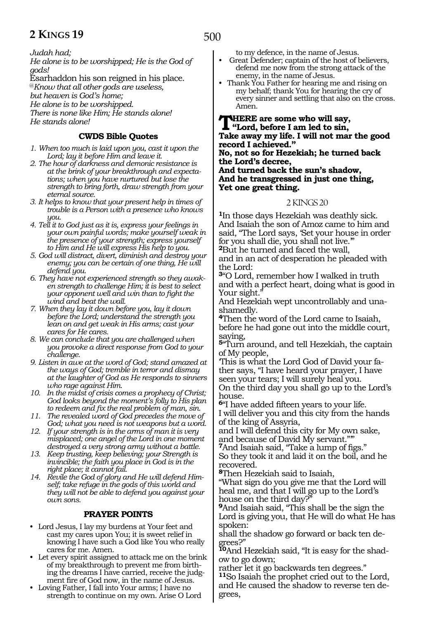*Judah had;*

*He alone is to be worshipped; He is the God of gods!*

Esarhaddon his son reigned in his place.

@*Know that all other gods are useless,*

*but heaven is God's home;*

*He alone is to be worshipped. There is none like Him; He stands alone!*

*He stands alone!* 

# **CWDS Bible Quotes**

- *1. When too much is laid upon you, cast it upon the Lord; lay it before Him and leave it.*
- *2. The hour of darkness and demonic resistance is at the brink of your breakthrough and expectations; when you have nurtured but lose the strength to bring forth, draw strength from your eternal source.*
- *3. It helps to know that your present help in times of trouble is a Person with a presence who knows you.*
- *4. Tell it to God just as it is, express your feelings in your own painful words; make yourself weak in the presence of your strength; express yourself to Him and He will express His help to you.*
- *5. God will distract, divert, diminish and destroy your enemy; you can be certain of one thing, He will defend you.*
- *6. They have not experienced strength so they awaken strength to challenge Him; it is best to select your opponent well and win than to fight the wind and beat the wall.*
- *7. When they lay it down before you, lay it down before the Lord; understand the strength you lean on and get weak in His arms; cast your cares for He cares.*
- *8. We can conclude that you are challenged when you provoke a direct response from God to your challenge.*
- *9. Listen in awe at the word of God; stand amazed at the ways of God; tremble in terror and dismay at the laughter of God as He responds to sinners who rage against Him.*
- *10. In the midst of crisis comes a prophecy of Christ; God looks beyond the moment's folly to His plan to redeem and fix the real problem of man, sin.*
- *11. The revealed word of God precedes the move of God; what you need is not weapons but a word.*
- *12. If your strength is in the arms of man it is very misplaced; one angel of the Lord in one moment destroyed a very strong army without a battle.*
- *13. Keep trusting, keep believing; your Strength is invincible; the faith you place in God is in the right place; it cannot fail.*
- *14. Revile the God of glory and He will defend Himself; take refuge in the gods of this world and they will not be able to defend you against your own sons.*

# **PRAYER POINTS**

- Lord Jesus, I lay my burdens at Your feet and cast my cares upon You; it is sweet relief in knowing I have such a God like You who really cares for me. Amen.
- Let every spirit assigned to attack me on the brink of my breakthrough to prevent me from birthing the dreams I have carried, receive the judgment fire of God now, in the name of Jesus.
- Loving Father, I fall into Your arms; I have no strength to continue on my own. Arise O Lord

to my defence, in the name of Jesus.

- Great Defender; captain of the host of believers, defend me now from the strong attack of the enemy, in the name of Jesus.
- Thank You Father for hearing me and rising on my behalf; thank You for hearing the cry of every sinner and settling that also on the cross. Amen.

#### **THERE are some who will say,**<br>
"Lord, before I am led to sin,<br>
Telse sures may life, I will not most **Take away my life. I will not mar the good record I achieved." No, not so for Hezekiah; he turned back the Lord's decree, And turned back the sun's shadow, And he transgressed in just one thing, Yet one great thing.**

#### 2 KINGS 20

**<sup>1</sup>**In those days Hezekiah was deathly sick. And Isaiah the son of Amoz came to him and said, "The Lord says, 'Set your house in order for you shall die, you shall not live.'" **<sup>2</sup>**But he turned and faced the wall,

and in an act of desperation he pleaded with the Lord:

**<sup>3</sup>**"O Lord, remember how I walked in truth and with a perfect heart, doing what is good in Your sight."

And Hezekiah wept uncontrollably and unashamedly.

**<sup>4</sup>**Then the word of the Lord came to Isaiah, before he had gone out into the middle court, saying,

**<sup>5</sup>**"Turn around, and tell Hezekiah, the captain of My people,

'This is what the Lord God of David your father says, "I have heard your prayer, I have seen your tears; I will surely heal you.

On the third day you shall go up to the Lord's house.

**<sup>6</sup>**"I have added fifteen years to your life. I will deliver you and this city from the hands of the king of Assyria,

and I will defend this city for My own sake, and because of David My servant."'"

**<sup>7</sup>**And Isaiah said, "Take a lump of figs." So they took it and laid it on the boil, and he recovered.

**<sup>8</sup>**Then Hezekiah said to Isaiah,

"What sign do you give me that the Lord will heal me, and that I will go up to the Lord's house on the third day?

**<sup>9</sup>**And Isaiah said, "This shall be the sign the Lord is giving you, that He will do what He has spoken:

shall the shadow go forward or back ten degrees?"

**10**And Hezekiah said, "It is easy for the shadow to go down;

rather let it go backwards ten degrees."

**<sup>11</sup>**So Isaiah the prophet cried out to the Lord, and He caused the shadow to reverse ten degrees,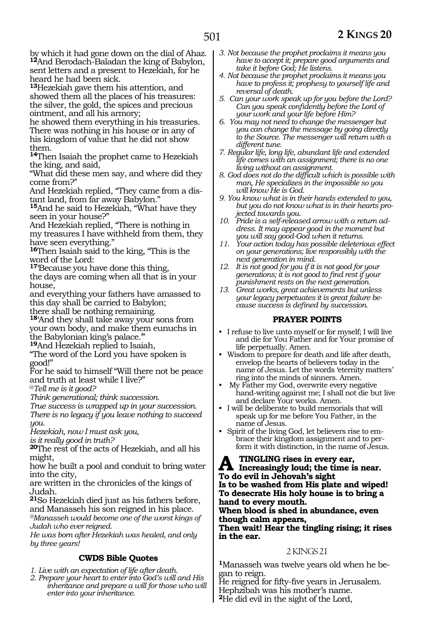by which it had gone down on the dial of Ahaz. **<sup>12</sup>**And Berodach-Baladan the king of Babylon, sent letters and a present to Hezekiah, for he heard he had been sick.

**<sup>13</sup>**Hezekiah gave them his attention, and showed them all the places of his treasures: the silver, the gold, the spices and precious ointment, and all his armory;

he showed them everything in his treasuries. There was nothing in his house or in any of his kingdom of value that he did not show them.

**<sup>14</sup>**Then Isaiah the prophet came to Hezekiah the king, and said,

"What did these men say, and where did they come from?"

And Hezekiah replied, "They came from a dis- tant land, from far away Babylon."

**<sup>15</sup>**And he said to Hezekiah, "What have they seen in your house?"

And Hezekiah replied, "There is nothing in my treasures I have withheld from them, they have seen everything."

**<sup>16</sup>**Then Isaiah said to the king, "This is the word of the Lord:

**<sup>17</sup>**'Because you have done this thing,

the days are coming when all that is in your house,

and everything your fathers have amassed to this day shall be carried to Babylon;

there shall be nothing remaining.

**<sup>18</sup>**'And they shall take away your sons from your own body, and make them eunuchs in the Babylonian king's palace.'"

**<sup>19</sup>**And Hezekiah replied to Isaiah,

"The word of the Lord you have spoken is good!"

For he said to himself "Will there not be peace and truth at least while I live?"

@*Tell me is it good?*

*Think generational; think succession.*

*True success is wrapped up in your succession. There is no legacy if you leave nothing to succeed* 

*you.*

*Hezekiah, now I must ask you,*

*is it really good in truth?*

**<sup>20</sup>**The rest of the acts of Hezekiah, and all his might,

how he built a pool and conduit to bring water into the city,

are written in the chronicles of the kings of Judah.

**<sup>21</sup>**So Hezekiah died just as his fathers before, and Manasseh his son reigned in his place.

*@Manasseh would become one of the worst kings of Judah who ever reigned.*

*He was born after Hezekiah was healed, and only by three years!*

## **CWDS Bible Quotes**

- *1. Live with an expectation of life after death.*
- *2. Prepare your heart to enter into God's will and His inheritance and prepare a will for those who will enter into your inheritance.*
- *3. Not because the prophet proclaims it means you have to accept it; prepare good arguments and take it before God; He listens.*
- *4. Not because the prophet proclaims it means you have to profess it; prophesy to yourself life and reversal of death.*
- *5. Can your work speak up for you before the Lord? Can you speak confidently before the Lord of your work and your life before Him?*
- *6. You may not need to change the messenger but you can change the message by going directly to the Source. The messenger will return with a different tune.*
- *7. Regular life, long life, abundant life and extended life comes with an assignment; there is no one living without an assignment.*
- *8. God does not do the difficult which is possible with man, He specializes in the impossible so you will know He is God.*
- *9. You know what is in their hands extended to you, but you do not know what is in their hearts projected towards you.*
- *10. Pride is a self-released arrow with a return address. It may appear good in the moment but you will say good-God when it returns.*
- *11. Your action today has possible deleterious effect on your generations; live responsibly with the next generation in mind.*
- *12. It is not good for you if it is not good for your generations; it is not good to find rest if your punishment rests on the next generation.*
- *13. Great works, great achievements but unless your legacy perpetuates it is great failure because success is defined by succession.*

## **PRAYER POINTS**

- I refuse to live unto myself or for myself; I will live and die for You Father and for Your promise of life perpetually. Amen.
- Wisdom to prepare for death and life after death, envelop the hearts of believers today in the name of Jesus. Let the words 'eternity matters' ring into the minds of sinners. Amen.
- My Father my God, overwrite every negative hand-writing against me; I shall not die but live and declare Your works. Amen.
- I will be deliberate to build memorials that will speak up for me before You Father, in the name of Jesus.
- Spirit of the living God, let believers rise to embrace their kingdom assignment and to perform it with distinction, in the name of Jesus.

**A** TINGLING rises in every ear,<br> **Increasingly loud; the time is near.**<br> **To do anil in Library is gight. To do evil in Jehovah's sight Is to be washed from His plate and wiped! To desecrate His holy house is to bring a hand to every mouth.**

**When blood is shed in abundance, even though calm appears,**

**Then wait! Hear the tingling rising; it rises in the ear.**

## 2 KINGS 21

**1**Manasseh was twelve years old when he began to reign.

He reigned for fifty-five years in Jerusalem. Hephzibah was his mother's name. **<sup>2</sup>**He did evil in the sight of the Lord,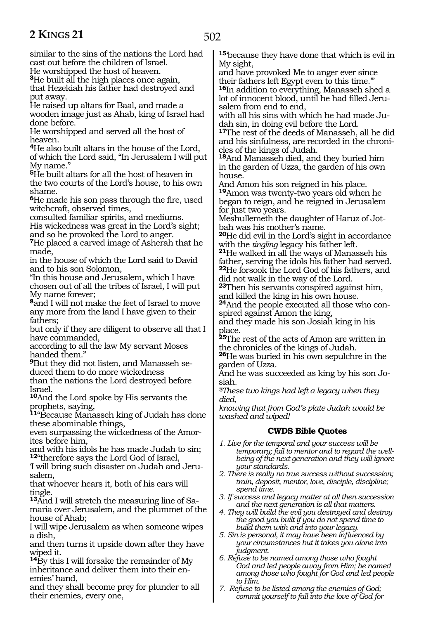502

similar to the sins of the nations the Lord had cast out before the children of Israel.

He worshipped the host of heaven.

**<sup>3</sup>**He built all the high places once again, that Hezekiah his father had destroyed and put away.

He raised up altars for Baal, and made a wooden image just as Ahab, king of Israel had done before.

He worshipped and served all the host of heaven.

**<sup>4</sup>**He also built altars in the house of the Lord, of which the Lord said, "In Jerusalem I will put My name."

**<sup>5</sup>**He built altars for all the host of heaven in the two courts of the Lord's house, to his own shame.

**<sup>6</sup>**He made his son pass through the fire, used witchcraft, observed times,

consulted familiar spirits, and mediums. His wickedness was great in the Lord's sight;

and so he provoked the Lord to anger.

**<sup>7</sup>**He placed a carved image of Asherah that he made,

in the house of which the Lord said to David and to his son Solomon,

"In this house and Jerusalem, which I have chosen out of all the tribes of Israel, I will put My name forever;

**<sup>8</sup>**and I will not make the feet of Israel to move any more from the land I have given to their fathers;

but only if they are diligent to observe all that I have commanded,

according to all the law My servant Moses handed them."

**<sup>9</sup>**But they did not listen, and Manasseh se- duced them to do more wickedness

than the nations the Lord destroyed before Israel.

**<sup>10</sup>**And the Lord spoke by His servants the prophets, saying,

**<sup>11</sup>**"Because Manasseh king of Judah has done these abominable things,

even surpassing the wickedness of the Amorites before him,

and with his idols he has made Judah to sin; **<sup>12</sup>**"therefore says the Lord God of Israel,

'I will bring such disaster on Judah and Jerusalem,

that whoever hears it, both of his ears will tingle.<br><sup>13</sup>And I will stretch the measuring line of Sa-

maria over Jerusalem, and the plummet of the house of Ahab;

I will wipe Jerusalem as when someone wipes a dish,

and then turns it upside down after they have wiped it.

**<sup>14</sup>**By this I will forsake the remainder of My inheritance and deliver them into their enemies' hand,

and they shall become prey for plunder to all their enemies, every one,

**<sup>15</sup>**'because they have done that which is evil in My sight,

and have provoked Me to anger ever since their fathers left Egypt even to this time.'" **<sup>16</sup>**In addition to everything, Manasseh shed a lot of innocent blood, until he had filled Jerusalem from end to end,

with all his sins with which he had made Judah sin, in doing evil before the Lord.

**<sup>17</sup>**The rest of the deeds of Manasseh, all he did and his sinfulness, are recorded in the chronicles of the kings of Judah.

**<sup>18</sup>**And Manasseh died, and they buried him in the garden of Uzza, the garden of his own house.

And Amon his son reigned in his place. **<sup>19</sup>**Amon was twenty-two years old when he began to reign, and he reigned in Jerusalem for just two years.

Meshullemeth the daughter of Haruz of Jotbah was his mother's name.

**<sup>20</sup>**He did evil in the Lord's sight in accordance

<sup>21</sup>He walked in all the ways of Manasseh his father, serving the idols his father had served. **<sup>22</sup>**He forsook the Lord God of his fathers, and did not walk in the way of the Lord.

**<sup>23</sup>**Then his servants conspired against him, and killed the king in his own house.

**24**And the people executed all those who conspired against Amon the king,

and they made his son Josiah king in his place.

**<sup>25</sup>**The rest of the acts of Amon are written in the chronicles of the kings of Judah.

**<sup>26</sup>**He was buried in his own sepulchre in the garden of Uzza.

And he was succeeded as king by his son Jo- siah.

*@These two kings had left a legacy when they died,*

*knowing that from God's plate Judah would be washed and wiped!*

# **CWDS Bible Quotes**

- *1. Live for the temporal and your success will be temporary; fail to mentor and to regard the wellbeing of the next generation and they will ignore your standards.*
- *2. There is really no true success without succession; train, deposit, mentor, love, disciple, discipline; spend time.*
- *3. If success and legacy matter at all then succession and the next generation is all that matters.*
- *4. They will build the evil you destroyed and destroy the good you built if you do not spend time to build them with and into your legacy.*
- *5. Sin is personal, it may have been influenced by your circumstances but it takes you alone into judgment.*
- *6. Refuse to be named among those who fought God and led people away from Him; be named among those who fought for God and led people to Him.*
- *7. Refuse to be listed among the enemies of God; commit yourself to fall into the love of God for*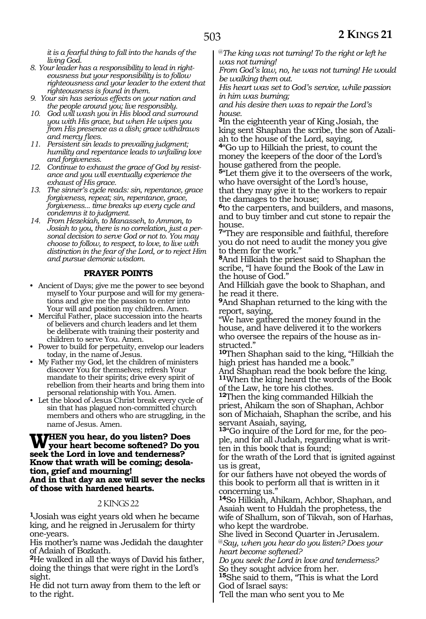*it is a fearful thing to fall into the hands of the living God.*

- *8. Your leader has a responsibility to lead in righteousness but your responsibility is to follow righteousness and your leader to the extent that righteousness is found in them.*
- *9. Your sin has serious effects on your nation and the people around you; live responsibly.*
- *10. God will wash you in His blood and surround you with His grace, but when He wipes you from His presence as a dish; grace withdraws and mercy flees.*
- *11. Persistent sin leads to prevailing judgment; humility and repentance leads to unfailing love and forgiveness.*
- *12. Continue to exhaust the grace of God by resistance and you will eventually experience the exhaust of His grace.*
- *13. The sinner's cycle reads: sin, repentance, grace forgiveness, repeat; sin, repentance, grace, forgiveness... time breaks up every cycle and condemns it to judgment.*
- *14. From Hezekiah, to Manasseh, to Ammon, to Josiah to you, there is no correlation, just a personal decision to serve God or not to. You may choose to follow, to respect, to love, to live with distinction in the fear of the Lord, or to reject Him and pursue demonic wisdom.*

#### **PRAYER POINTS**

- Ancient of Days; give me the power to see beyond myself to Your purpose and will for my generations and give me the passion to enter into Your will and position my children. Amen.
- Merciful Father, place succession into the hearts of believers and church leaders and let them be deliberate with training their posterity and children to serve You. Amen.
- Power to build for perpetuity, envelop our leaders today, in the name of Jesus.
- My Father my God, let the children of ministers discover You for themselves; refresh Your mandate to their spirits; drive every spirit of rebellion from their hearts and bring them into personal relationship with You. Amen.
- Let the blood of Jesus Christ break every cycle of sin that has plagued non-committed church members and others who are struggling, in the name of Jesus. Amen.

#### **When you hear, do you listen? Does your heart become softened? Do you seek the Lord in love and tenderness? Know that wrath will be coming; desolation, grief and mourning! And in that day an axe will sever the necks of those with hardened hearts.**

#### 2 KINGS 22

**<sup>1</sup>**Josiah was eight years old when he became king, and he reigned in Jerusalem for thirty one-years.

His mother's name was Jedidah the daughter of Adaiah of Bozkath.

**<sup>2</sup>**He walked in all the ways of David his father, doing the things that were right in the Lord's sight.

He did not turn away from them to the left or to the right.

@*The king was not turning! To the right or left he was not turning!*

*From God's law, no, he was not turning! He would be walking them out.*

*His heart was set to God's service, while passion in him was burning;* 

*and his desire then was to repair the Lord's house.*

**<sup>3</sup>**In the eighteenth year of King Josiah, the king sent Shaphan the scribe, the son of Azaliah to the house of the Lord, saying,

**<sup>4</sup>**"Go up to Hilkiah the priest, to count the money the keepers of the door of the Lord's house gathered from the people.

**<sup>5</sup>**"Let them give it to the overseers of the work, who have oversight of the Lord's house, that they may give it to the workers to repair the damages to the house;

**<sup>6</sup>**to the carpenters, and builders, and masons, and to buy timber and cut stone to repair the house.

**<sup>7</sup>**"They are responsible and faithful, therefore you do not need to audit the money you give to them for the work."

**<sup>8</sup>**And Hilkiah the priest said to Shaphan the scribe, "I have found the Book of the Law in the house of God."

And Hilkiah gave the book to Shaphan, and he read it there.

**<sup>9</sup>**And Shaphan returned to the king with the report, saying,

"We have gathered the money found in the house, and have delivered it to the workers who oversee the repairs of the house as in- structed."

**<sup>10</sup>**Then Shaphan said to the king, "Hilkiah the high priest has handed me a book."

And Shaphan read the book before the king. **<sup>11</sup>**When the king heard the words of the Book of the Law, he tore his clothes.

**<sup>12</sup>**Then the king commanded Hilkiah the priest, Ahikam the son of Shaphan, Achbor son of Michaiah, Shaphan the scribe, and his servant Asaiah, saying,

**13**"Go inquire of the Lord for me, for the people, and for all Judah, regarding what is written in this book that is found;

for the wrath of the Lord that is ignited against us is great,

for our fathers have not obeyed the words of this book to perform all that is written in it concerning us."

**<sup>14</sup>**So Hilkiah, Ahikam, Achbor, Shaphan, and Asaiah went to Huldah the prophetess, the wife of Shallum, son of Tikvah, son of Harhas, who kept the wardrobe.

She lived in Second Quarter in Jerusalem. @*Say, when you hear do you listen? Does your heart become softened?*

*Do you seek the Lord in love and tenderness?* So they sought advice from her.

**<sup>15</sup>**She said to them, "This is what the Lord God of Israel says:

'Tell the man who sent you to Me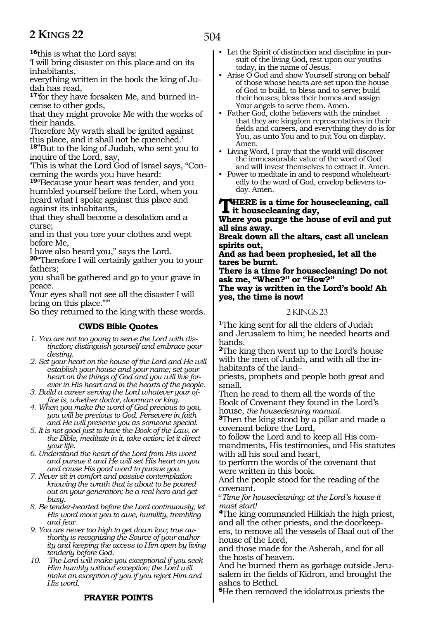504

**<sup>16</sup>**this is what the Lord says:

'I will bring disaster on this place and on its inhabitants,

everything written in the book the king of Judah has read,

**17**'for they have forsaken Me, and burned incense to other gods,

that they might provoke Me with the works of their hands.

Therefore My wrath shall be ignited against this place, and it shall not be quenched.'

**18"**But to the king of Judah, who sent you to inquire of the Lord, say,

'This is what the Lord God of Israel says, "Concerning the words you have heard:

**<sup>19</sup>**"Because your heart was tender, and you humbled yourself before the Lord, when you heard what I spoke against this place and against its inhabitants,

that they shall become a desolation and a curse;

and in that you tore your clothes and wept before Me,

I have also heard you," says the Lord.

**<sup>20</sup>**"Therefore I will certainly gather you to your fathers;

you shall be gathered and go to your grave in peace.

Your eyes shall not see all the disaster I will bring on this place."'"

So they returned to the king with these words.

## **CWDS Bible Quotes**

- *1. You are not too young to serve the Lord with distinction; distinguish yourself and embrace your destiny.*
- *2. Set your heart on the house of the Lord and He will establish your house and your name; set your heart on the things of God and you will live forever in His heart and in the hearts of the people.*
- *3. Build a career serving the Lord whatever your office is, whether doctor, doorman or king.*

*4. When you make the word of God precious to you, you will be precious to God. Persevere in faith and He will preserve you as someone special.*

*5. It is not good just to have the Book of the Law, or the Bible, meditate in it, take action; let it direct your life.*

*6. Understand the heart of the Lord from His word and pursue it and He will set His heart on you and cause His good word to pursue you.*

*7. Never sit in comfort and passive contemplation knowing the wrath that is about to be poured out on your generation; be a real hero and get busy.*

*8. Be tender-hearted before the Lord continuously; let His word move you to awe, humility, trembling and fear.*

*9. You are never too high to get down low; true authority is recognizing the Source of your authority and keeping the access to Him open by living tenderly before God.*

*10. The Lord will make you exceptional if you seek Him humbly without exception; the Lord will make an exception of you if you reject Him and His word.*

• Let the Spirit of distinction and discipline in pursuit of the living God, rest upon our youths today, in the name of Jesus.

• Arise O God and show Yourself strong on behalf of those whose hearts are set upon the house of God to build, to bless and to serve; build their houses; bless their homes and assign Your angels to serve them. Amen.

• Father God, clothe believers with the mindset that they are kingdom representatives in their fields and careers, and everything they do is for You, as unto You and to put You on display. Amen.

• Living Word, I pray that the world will discover the immeasurable value of the word of God and will invest themselves to extract it. Amen.

• Power to meditate in and to respond wholeheartedly to the word of God, envelop believers today. Amen.

**HERE** is a time for housecleaning, call **it housecleaning day,**

**Where you purge the house of evil and put all sins away.**

**Break down all the altars, cast all unclean spirits out,**

**And as had been prophesied, let all the tares be burnt.**

**There is a time for housecleaning! Do not ask me, "When?" or "How?"**

**The way is written in the Lord's book! Ah yes, the time is now!**

#### 2 KINGS 23

**<sup>1</sup>**The king sent for all the elders of Judah and Jerusalem to him; he needed hearts and hands.

**<sup>2</sup>**The king then went up to the Lord's house with the men of Judah, and with all the inhabitants of the land-

priests, prophets and people both great and small.

Then he read to them all the words of the Book of Covenant they found in the Lord's house, *the housecleaning manual.* **3**Then the king stood by a pillar and made a

covenant before the Lord,

to follow the Lord and to keep all His commandments, His testimonies, and His statutes with all his soul and heart,

to perform the words of the covenant that were written in this book.

And the people stood for the reading of the covenant.

@*Time for housecleaning; at the Lord's house it must start!* 

**<sup>4</sup>**The king commanded Hilkiah the high priest, and all the other priests, and the doorkeepers, to remove all the vessels of Baal out of the house of the Lord,

and those made for the Asherah, and for all the hosts of heaven.

And he burned them as garbage outside Jerusalem in the fields of Kidron, and brought the ashes to Bethel.

**<sup>5</sup>**He then removed the idolatrous priests the

#### **PRAYER POINTS**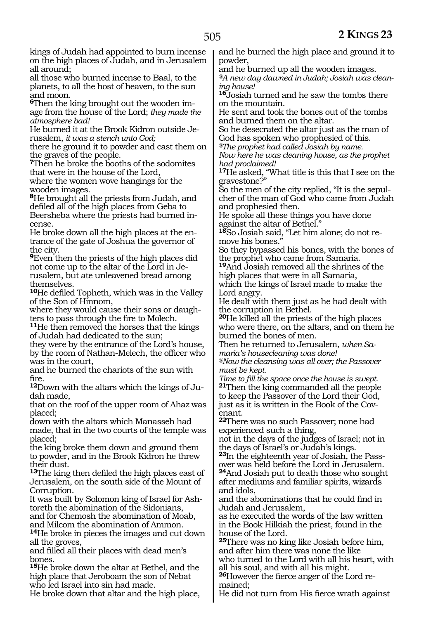kings of Judah had appointed to burn incense on the high places of Judah, and in Jerusalem all around;

all those who burned incense to Baal, to the planets, to all the host of heaven, to the sun and moon.

**6**Then the king brought out the wooden image from the house of the Lord; *they made the atmosphere bad!* 

He burned it at the Brook Kidron outside Je- rusalem, *it was a stench unto God;*

there he ground it to powder and cast them on the graves of the people.

**<sup>7</sup>**Then he broke the booths of the sodomites that were in the house of the Lord, where the women wove hangings for the

wooden images. **<sup>8</sup>**He brought all the priests from Judah, and defiled all of the high places from Geba to Beersheba where the priests had burned incense.

He broke down all the high places at the entrance of the gate of Joshua the governor of the city.

**<sup>9</sup>**Even then the priests of the high places did not come up to the altar of the Lord in Jerusalem, but ate unleavened bread among themselves.

**<sup>10</sup>**He defiled Topheth, which was in the Valley of the Son of Hinnom,

where they would cause their sons or daugh-

ters to pass through the fire to Molech. **11**He then removed the horses that the kings of Judah had dedicated to the sun;

they were by the entrance of the Lord's house, by the room of Nathan-Melech, the officer who was in the court,

and he burned the chariots of the sun with fire.

**<sup>12</sup>**Down with the altars which the kings of Ju- dah made,

that on the roof of the upper room of Ahaz was placed;

down with the altars which Manasseh had made, that in the two courts of the temple was placed;

the king broke them down and ground them to powder, and in the Brook Kidron he threw their dust.

**<sup>13</sup>**The king then defiled the high places east of Jerusalem, on the south side of the Mount of Corruption.

It was built by Solomon king of Israel for Ashtoreth the abomination of the Sidonians, and for Chemosh the abomination of Moab,

and Milcom the abomination of Ammon. **<sup>14</sup>**He broke in pieces the images and cut down all the groves,

and filled all their places with dead men's bones.

**<sup>15</sup>**He broke down the altar at Bethel, and the high place that Jeroboam the son of Nebat who led Israel into sin had made.

He broke down that altar and the high place,

and he burned the high place and ground it to powder,

and he burned up all the wooden images. *@A new day dawned in Judah; Josiah was cleaning house!* 

**<sup>16</sup>**Josiah turned and he saw the tombs there on the mountain.

He sent and took the bones out of the tombs and burned them on the altar.

So he desecrated the altar just as the man of God has spoken who prophesied of this.

*@The prophet had called Josiah by name.* 

*Now here he was cleaning house, as the prophet had proclaimed!* 

**<sup>17</sup>**He asked, "What title is this that I see on the gravestone?"

So the men of the city replied, "It is the sepulcher of the man of God who came from Judah and prophesied then.

He spoke all these things you have done against the altar of Bethel."

**18**So Josiah said, "Let him alone; do not remove his bones."

So they bypassed his bones, with the bones of the prophet who came from Samaria.

**<sup>19</sup>**And Josiah removed all the shrines of the high places that were in all Samaria,

which the kings of Israel made to make the Lord angry.

He dealt with them just as he had dealt with the corruption in Bethel.

**<sup>20</sup>**He killed all the priests of the high places who were there, on the altars, and on them he burned the bones of men.

Then he returned to Jerusalem, *when Samaria's housecleaning was done!*

*@Now the cleansing was all over; the Passover must be kept.*

*Time to fill the space once the house is swept.*  **<sup>21</sup>**Then the king commanded all the people to keep the Passover of the Lord their God, just as it is written in the Book of the Covenant.

**<sup>22</sup>**There was no such Passover; none had experienced such a thing,

not in the days of the judges of Israel; not in the days of Israel's or Judah's kings.

**23**In the eighteenth year of Josiah, the Passover was held before the Lord in Jerusalem.

**<sup>24</sup>**And Josiah put to death those who sought after mediums and familiar spirits, wizards and idols,

and the abominations that he could find in Judah and Jerusalem,

as he executed the words of the law written in the Book Hilkiah the priest, found in the house of the Lord.

**<sup>25</sup>**There was no king like Josiah before him, and after him there was none the like

who turned to the Lord with all his heart, with all his soul, and with all his might.

**<sup>26</sup>**However the fierce anger of the Lord re- mained;

He did not turn from His fierce wrath against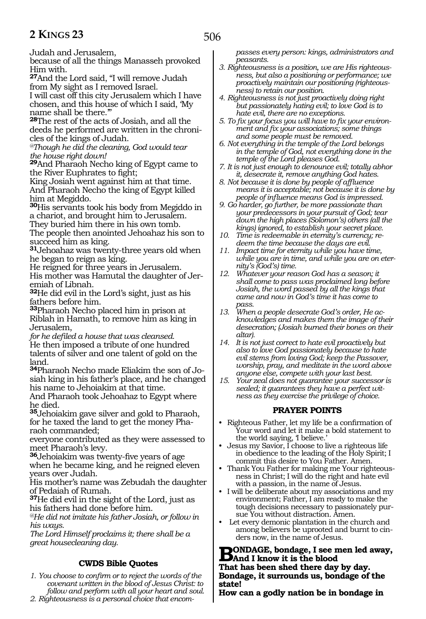Judah and Jerusalem,

because of all the things Manasseh provoked Him with.

**<sup>27</sup>**And the Lord said, "I will remove Judah from My sight as I removed Israel.

I will cast off this city Jerusalem which I have chosen, and this house of which I said, 'My name shall be there."

**<sup>28</sup>**The rest of the acts of Josiah, and all the deeds he performed are written in the chronicles of the kings of Judah.

*@Though he did the cleaning, God would tear the house right down!* 

**<sup>29</sup>**And Pharaoh Necho king of Egypt came to the River Euphrates to fight;

King Josiah went against him at that time. And Pharaoh Necho the king of Egypt killed him at Megiddo.

**<sup>30</sup>**His servants took his body from Megiddo in a chariot, and brought him to Jerusalem.

They buried him there in his own tomb.

The people then anointed Jehoahaz his son to succeed him as king.

**<sup>31</sup>**Jehoahaz was twenty-three years old when he began to reign as king.

He reigned for three years in Jerusalem. His mother was Hamutal the daughter of Jeremiah of Libnah.

**<sup>32</sup>**He did evil in the Lord's sight, just as his fathers before him.

**<sup>33</sup>**Pharaoh Necho placed him in prison at Riblah in Hamath, to remove him as king in Jerusalem,

*for he defiled a house that was cleansed.*  He then imposed a tribute of one hundred talents of silver and one talent of gold on the land.

**34**Pharaoh Necho made Eliakim the son of Josiah king in his father's place, and he changed his name to Jehoiakim at that time.

And Pharaoh took Jehoahaz to Egypt where he died.

**<sup>35</sup>**Jehoiakim gave silver and gold to Pharaoh, for he taxed the land to get the money Pharaoh commanded;

everyone contributed as they were assessed to meet Pharaoh's levy.

**<sup>36</sup>**Jehoiakim was twenty-five years of age when he became king, and he reigned eleven years over Judah.

His mother's name was Zebudah the daughter of Pedaiah of Rumah.

**<sup>37</sup>**He did evil in the sight of the Lord, just as his fathers had done before him.

*@He did not imitate his father Josiah, or follow in his ways.*

*The Lord Himself proclaims it; there shall be a great housecleaning day.*

# **CWDS Bible Quotes**

*1. You choose to confirm or to reject the words of the covenant written in the blood of Jesus Christ: to follow and perform with all your heart and soul.*

*2. Righteousness is a personal choice that encom-*

*passes every person: kings, administrators and peasants.* 

- *3. Righteousness is a position, we are His righteousness, but also a positioning or performance; we proactively maintain our positioning (righteousness) to retain our position.*
- *4. Righteousness is not just proactively doing right but passionately hating evil; to love God is to hate evil, there are no exceptions.*
- *5. To fix your focus you will have to fix your environment and fix your associations; some things and some people must be removed.*
- *6. Not everything in the temple of the Lord belongs in the temple of God, not everything done in the temple of the Lord pleases God.*
- *7. It is not just enough to denounce evil; totally abhor it, desecrate it, remove anything God hates.*
- *8. Not because it is done by people of affluence means it is acceptable; not because it is done by people of influence means God is impressed.*
- *9. Go harder, go further, be more passionate than your predecessors in your pursuit of God; tear down the high places (Solomon's) others (all the kings) ignored, to establish your secret place.*
- *10. Time is redeemable in eternity's currency; redeem the time because the days are evil.*
- *11. Impact time for eternity while you have time, while you are in time, and while you are on eternity's (God's) time.*
- *12. Whatever your reason God has a season; it shall come to pass was proclaimed long before Josiah, the word passed by all the kings that came and now in God's time it has come to pass.*
- *13. When a people desecrate God's order, He acknowledges and makes them the image of their desecration; (Josiah burned their bones on their altar).*
- *14. It is not just correct to hate evil proactively but also to love God passionately because to hate evil stems from loving God; keep the Passover, worship, pray, and meditate in the word above anyone else, compete with your last best.*
- *15. Your zeal does not guarantee your successor is sealed; it guarantees they have a perfect witness as they exercise the privilege of choice.*

# **PRAYER POINTS**

- Righteous Father, let my life be a confirmation of Your word and let it make a bold statement to the world saying, I believe.'
- Jesus my Savior, I choose to live a righteous life in obedience to the leading of the Holy Spirit; I commit this desire to You Father. Amen.
- Thank You Father for making me Your righteousness in Christ; I will do the right and hate evil with a passion, in the name of Jesus.
- I will be deliberate about my associations and my environment; Father, I am ready to make the tough decisions necessary to passionately pursue You without distraction. Amen.
- Let every demonic plantation in the church and among believers be uprooted and burnt to cinders now, in the name of Jesus.

**BONDAGE, bondage, I see men led away,**<br>
That has been shed there do the dow **That has been shed there day by day. Bondage, it surrounds us, bondage of the state!**

**How can a godly nation be in bondage in**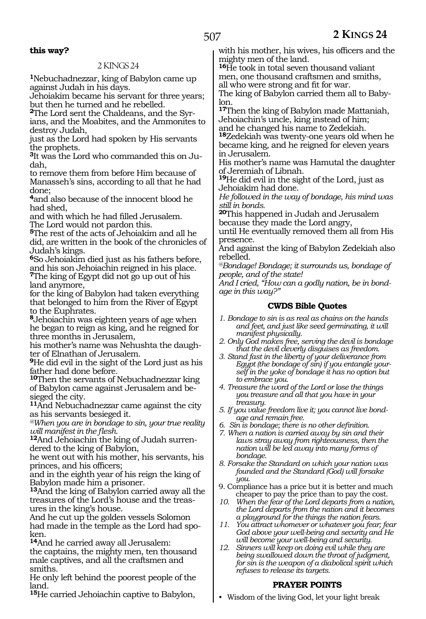# **this way?**

#### 2 KINGS 24

**<sup>1</sup>**Nebuchadnezzar, king of Babylon came up against Judah in his days.

Jehoiakim became his servant for three years; but then he turned and he rebelled.

**2**The Lord sent the Chaldeans, and the Syr-

ians, and the Moabites, and the Ammonites to destroy Judah,

just as the Lord had spoken by His servants the prophets.

**3**It was the Lord who commanded this on Judah,

to remove them from before Him because of Manasseh's sins, according to all that he had done;

**<sup>4</sup>**and also because of the innocent blood he had shed,

and with which he had filled Jerusalem. The Lord would not pardon this.

**<sup>5</sup>**The rest of the acts of Jehoiakim and all he did, are written in the book of the chronicles of Judah's kings.

**<sup>6</sup>**So Jehoiakim died just as his fathers before, and his son Jehoiachin reigned in his place.

**<sup>7</sup>**The king of Egypt did not go up out of his land anymore,

for the king of Babylon had taken everything that belonged to him from the River of Egypt to the Euphrates.

**<sup>8</sup>**Jehoiachin was eighteen years of age when he began to reign as king, and he reigned for three months in Jerusalem,

his mother's name was Nehushta the daughter of Elnathan of Jerusalem.

**<sup>9</sup>**He did evil in the sight of the Lord just as his father had done before.

**<sup>10</sup>**Then the servants of Nebuchadnezzar king of Babylon came against Jerusalem and be- sieged the city.

**<sup>11</sup>**And Nebuchadnezzar came against the city as his servants besieged it.

*@When you are in bondage to sin, your true reality will manifest in the flesh.*

**12**And Jehoiachin the king of Judah surrendered to the king of Babylon,

he went out with his mother, his servants, his princes, and his officers;

and in the eighth year of his reign the king of Babylon made him a prisoner.

**<sup>13</sup>**And the king of Babylon carried away all the treasures of the Lord's house and the treasures in the king's house.

And he cut up the golden vessels Solomon had made in the temple as the Lord had spo- ken.

**<sup>14</sup>**And he carried away all Jerusalem: the captains, the mighty men, ten thousand male captives, and all the craftsmen and smiths.

He only left behind the poorest people of the land.

**<sup>15</sup>**He carried Jehoiachin captive to Babylon,

with his mother, his wives, his officers and the mighty men of the land.

**<sup>16</sup>**He took in total seven thousand valiant men, one thousand craftsmen and smiths,

all who were strong and fit for war.

The king of Babylon carried them all to Babylon.

**<sup>17</sup>**Then the king of Babylon made Mattaniah, Jehoiachin's uncle, king instead of him; and he changed his name to Zedekiah.

**<sup>18</sup>**Zedekiah was twenty-one years old when he became king, and he reigned for eleven years in Jerusalem.

His mother's name was Hamutal the daughter of Jeremiah of Libnah.

**<sup>19</sup>**He did evil in the sight of the Lord, just as Jehoiakim had done.

*He followed in the way of bondage, his mind was still in bonds.*

**<sup>20</sup>**This happened in Judah and Jerusalem because they made the Lord angry,

until He eventually removed them all from His presence.

And against the king of Babylon Zedekiah also rebelled.

*@Bondage! Bondage; it surrounds us, bondage of people, and of the state!*

*And I cried, "How can a godly nation, be in bondage in this way?"*

#### **CWDS Bible Quotes**

- *1. Bondage to sin is as real as chains on the hands and feet, and just like seed germinating, it will manifest physically.*
- *2. Only God makes free, serving the devil is bondage that the devil cleverly disguises as freedom.*
- *3. Stand fast in the liberty of your deliverance from Egypt (the bondage of sin) if you entangle yourself in the yoke of bondage it has no option but to embrace you.*
- *4. Treasure the word of the Lord or lose the things you treasure and all that you have in your treasury.*
- *5. If you value freedom live it; you cannot live bondage and remain free.*
- *6. Sin is bondage; there is no other definition.*
- *7. When a nation is carried away by sin and their laws stray away from righteousness, then the nation will be led away into many forms of bondage.*
- *8. Forsake the Standard on which your nation was founded and the Standard (God) will forsake you.*
- 9. Compliance has a price but it is better and much cheaper to pay the price than to pay the cost.
- *10. When the fear of the Lord departs from a nation, the Lord departs from the nation and it becomes a playground for the things the nation fears.*
- *11. You attract whomever or whatever you fear; fear God above your well-being and security and He will become your well-being and security.*
- *12. Sinners will keep on doing evil while they are being swallowed down the throat of judgment, for sin is the weapon of a diabolical spirit which refuses to release its targets.*

## **PRAYER POINTS**

• Wisdom of the living God, let your light break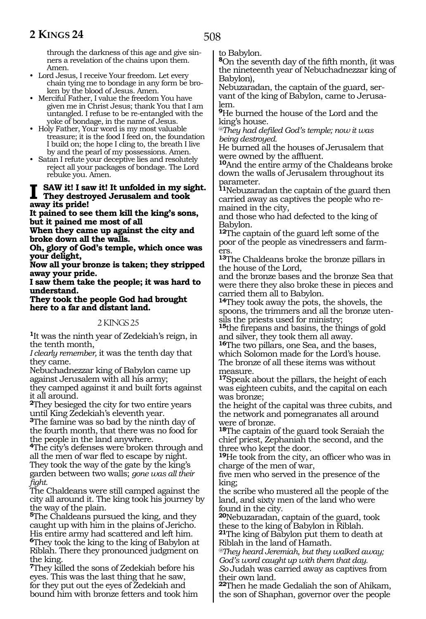through the darkness of this age and give sinners a revelation of the chains upon them. Amen.

- Lord Jesus, I receive Your freedom. Let every chain tying me to bondage in any form be broken by the blood of Jesus. Amen.
- Merciful Father, I value the freedom You have given me in Christ Jesus; thank You that I am untangled. I refuse to be re-entangled with the yoke of bondage, in the name of Jesus.
- Holy Father, Your word is my most valuable treasure; it is the food I feed on, the foundation I build on; the hope I cling to, the breath I live by and the pearl of my possessions. Amen.
- Satan I refute your deceptive lies and resolutely reject all your packages of bondage. The Lord rebuke you. Amen.

#### **I saw it! I saw it! It unfolded in my sight. They destroyed Jerusalem and took away its pride!**

**It pained to see them kill the king's sons, but it pained me most of all** 

**When they came up against the city and broke down all the walls.** 

**Oh, glory of God's temple, which once was your delight,** 

**Now all your bronze is taken; they stripped away your pride.** 

**I saw them take the people; it was hard to understand.** 

**They took the people God had brought here to a far and distant land.** 

2 KINGS 25

**<sup>1</sup>**It was the ninth year of Zedekiah's reign, in the tenth month,

*I clearly remember,* it was the tenth day that they came.

Nebuchadnezzar king of Babylon came up against Jerusalem with all his army; they camped against it and built forts against it all around.

**<sup>2</sup>**They besieged the city for two entire years until King Zedekiah's eleventh year.

**<sup>3</sup>**The famine was so bad by the ninth day of the fourth month, that there was no food for the people in the land anywhere.

**<sup>4</sup>**The city's defenses were broken through and all the men of war fled to escape by night. They took the way of the gate by the king's garden between two walls; *gone was all their fight.*

The Chaldeans were still camped against the city all around it. The king took his journey by the way of the plain.

**<sup>5</sup>**The Chaldeans pursued the king, and they caught up with him in the plains of Jericho. His entire army had scattered and left him. **<sup>6</sup>**They took the king to the king of Babylon at Riblah. There they pronounced judgment on the king.

**<sup>7</sup>**They killed the sons of Zedekiah before his eyes. This was the last thing that he saw, for they put out the eyes of Zedekiah and bound him with bronze fetters and took him to Babylon.

**<sup>8</sup>**On the seventh day of the fifth month, (it was the nineteenth year of Nebuchadnezzar king of Babylon),

Nebuzaradan, the captain of the guard, servant of the king of Babylon, came to Jerusalem.

**<sup>9</sup>**He burned the house of the Lord and the king's house.

*@They had defiled God's temple; now it was being destroyed.* 

He burned all the houses of Jerusalem that were owned by the affluent.

**<sup>10</sup>**And the entire army of the Chaldeans broke down the walls of Jerusalem throughout its parameter.

**<sup>11</sup>**Nebuzaradan the captain of the guard then carried away as captives the people who remained in the city,

and those who had defected to the king of Babylon.

**<sup>12</sup>**The captain of the guard left some of the poor of the people as vinedressers and farmers.

**<sup>13</sup>**The Chaldeans broke the bronze pillars in the house of the Lord,

and the bronze bases and the bronze Sea that were there they also broke these in pieces and carried them all to Babylon.

**<sup>14</sup>**They took away the pots, the shovels, the spoons, the trimmers and all the bronze utensils the priests used for ministry;

**<sup>15</sup>**the firepans and basins, the things of gold and silver, they took them all away.

**<sup>16</sup>**The two pillars, one Sea, and the bases, which Solomon made for the Lord's house. The bronze of all these items was without measure.

**<sup>17</sup>**Speak about the pillars, the height of each was eighteen cubits, and the capital on each was bronze;

the height of the capital was three cubits, and the network and pomegranates all around were of bronze.

**<sup>18</sup>**The captain of the guard took Seraiah the chief priest, Zephaniah the second, and the three who kept the door.

**<sup>19</sup>**He took from the city, an officer who was in charge of the men of war,

five men who served in the presence of the king;

the scribe who mustered all the people of the land, and sixty men of the land who were found in the city.

**<sup>20</sup>**Nebuzaradan, captain of the guard, took these to the king of Babylon in Riblah. **<sup>21</sup>**The king of Babylon put them to death at

Riblah in the land of Hamath.

*@They heard Jeremiah, but they walked away; God's word caught up with them that day. So* Judah was carried away as captives from their own land.

**<sup>22</sup>**Then he made Gedaliah the son of Ahikam, the son of Shaphan, governor over the people